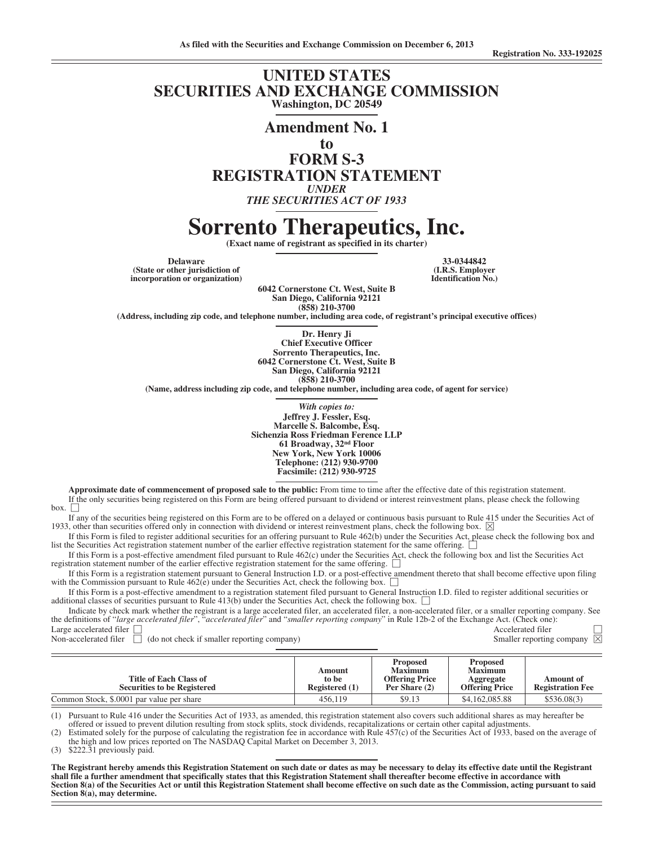## **UNITED STATES SECURITIES AND EXCHANGE COMMISSION Washington, DC 20549**

**Amendment No. 1 to FORM S-3**

**REGISTRATION STATEMENT**

*UNDER*

*THE SECURITIES ACT OF 1933*

# **Sorrento Therapeutics, Inc.**

**(Exact name of registrant as specified in its charter)**

**Delaware 33-0344842 (State or other jurisdiction of incorporation or organization)**

**6042 Cornerstone Ct. West, Suite B San Diego, California 92121 (858) 210-3700**

**(Address, including zip code, and telephone number, including area code, of registrant's principal executive offices)**

**Dr. Henry Ji Chief Executive Officer Sorrento Therapeutics, Inc. 6042 Cornerstone Ct. West, Suite B San Diego, California 92121 (858) 210-3700**

**(Name, address including zip code, and telephone number, including area code, of agent for service)**

*With copies to:*

**Jeffrey J. Fessler, Esq. Marcelle S. Balcombe, Esq. Sichenzia Ross Friedman Ference LLP 61 Broadway, 32nd Floor New York, New York 10006 Telephone: (212) 930-9700 Facsimile: (212) 930-9725**

**Approximate date of commencement of proposed sale to the public:** From time to time after the effective date of this registration statement. If the only securities being registered on this Form are being offered pursuant to dividend or interest reinvestment plans, please check the following  $\mathbf{box}$ .  $\Box$ 

If any of the securities being registered on this Form are to be offered on a delayed or continuous basis pursuant to Rule 415 under the Securities Act of 1933, other than securities offered only in connection with dividend or interest reinvestment plans, check the following box.  $\boxtimes$ 

If this Form is filed to register additional securities for an offering pursuant to Rule 462(b) under the Securities Act, please check the following box and list the Securities Act registration statement number of the earlier effective registration statement for the same offering.

If this Form is a post-effective amendment filed pursuant to Rule 462(c) under the Securities Act, check the following box and list the Securities Act registration statement number of the earlier effective registration statement for the same offering. '

If this Form is a registration statement pursuant to General Instruction I.D. or a post-effective amendment thereto that shall become effective upon filing with the Commission pursuant to Rule  $462(e)$  under the Securities Act, check the following box.

If this Form is a post-effective amendment to a registration statement filed pursuant to General Instruction I.D. filed to register additional securities or additional classes of securities pursuant to Rule  $413(b)$  under the Securities Act, check the following box.

Indicate by check mark whether the registrant is a large accelerated filer, an accelerated filer, a non-accelerated filer, or a smaller reporting company. See the definitions of "*large accelerated filer*", "*accelerated filer*" and "*smaller reporting company*" in Rule 12b-2 of the Exchange Act. (Check one): Large accelerated filer  $\Box$  Accelerated filer

Non-accelerated filer  $\Box$  (do not check if smaller reporting company) Smaller reporting company  $\boxtimes$ 

| Title of Each Class of<br><b>Securities to be Registered</b> | Amount<br>to be<br>Registered (1) | <b>Proposed</b><br><b>Maximum</b><br><b>Offering Price</b><br>Per Share (2) | <b>Proposed</b><br><b>Maximum</b><br>Aggregate<br><b>Offering Price</b> | Amount of<br><b>Registration Fee</b> |
|--------------------------------------------------------------|-----------------------------------|-----------------------------------------------------------------------------|-------------------------------------------------------------------------|--------------------------------------|
| Common Stock, \$.0001 par value per share                    | 456,119                           | \$9.13                                                                      | \$4,162,085.88                                                          | \$536.08(3)                          |

(1) Pursuant to Rule 416 under the Securities Act of 1933, as amended, this registration statement also covers such additional shares as may hereafter be offered or issued to prevent dilution resulting from stock splits, stock dividends, recapitalizations or certain other capital adjustments.

(2) Estimated solely for the purpose of calculating the registration fee in accordance with Rule 457(c) of the Securities Act of 1933, based on the average of the high and low prices reported on The NASDAQ Capital Market on December 3, 2013.

(3) \$222.31 previously paid.

**The Registrant hereby amends this Registration Statement on such date or dates as may be necessary to delay its effective date until the Registrant shall file a further amendment that specifically states that this Registration Statement shall thereafter become effective in accordance with Section 8(a) of the Securities Act or until this Registration Statement shall become effective on such date as the Commission, acting pursuant to said Section 8(a), may determine.**

**(I.R.S. Employer Identification No.)**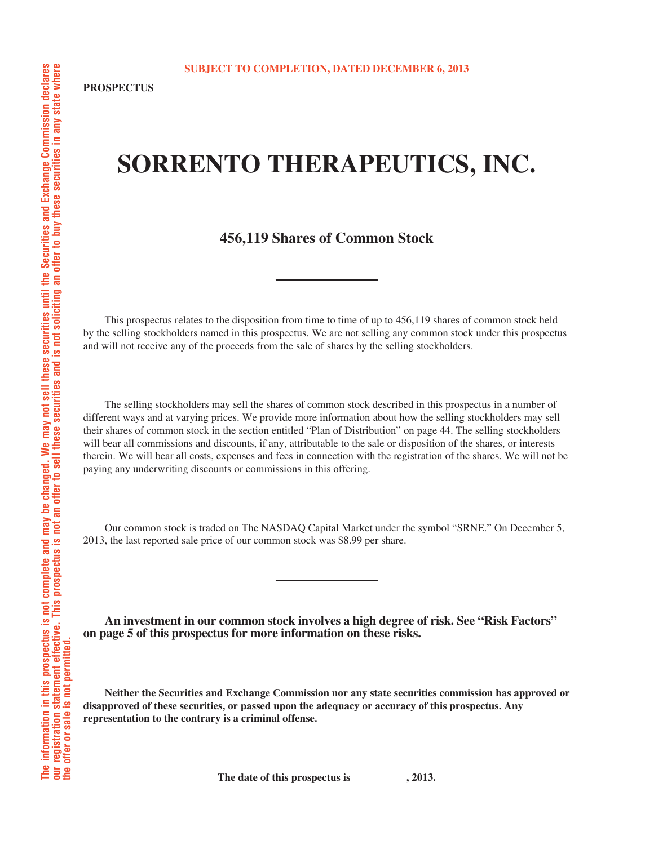# **SORRENTO THERAPEUTICS, INC.**

## **456,119 Shares of Common Stock**

This prospectus relates to the disposition from time to time of up to 456,119 shares of common stock held by the selling stockholders named in this prospectus. We are not selling any common stock under this prospectus and will not receive any of the proceeds from the sale of shares by the selling stockholders.

The selling stockholders may sell the shares of common stock described in this prospectus in a number of different ways and at varying prices. We provide more information about how the selling stockholders may sell their shares of common stock in the section entitled "Plan of Distribution" on page 44. The selling stockholders will bear all commissions and discounts, if any, attributable to the sale or disposition of the shares, or interests therein. We will bear all costs, expenses and fees in connection with the registration of the shares. We will not be paying any underwriting discounts or commissions in this offering.

Our common stock is traded on The NASDAQ Capital Market under the symbol "SRNE." On December 5, 2013, the last reported sale price of our common stock was \$8.99 per share.

**An investment in our common stock involves a high degree of risk. See "Risk Factors" on page 5 of this prospectus for more information on these risks.**

**Neither the Securities and Exchange Commission nor any state securities commission has approved or disapproved of these securities, or passed upon the adequacy or accuracy of this prospectus. Any representation to the contrary is a criminal offense.**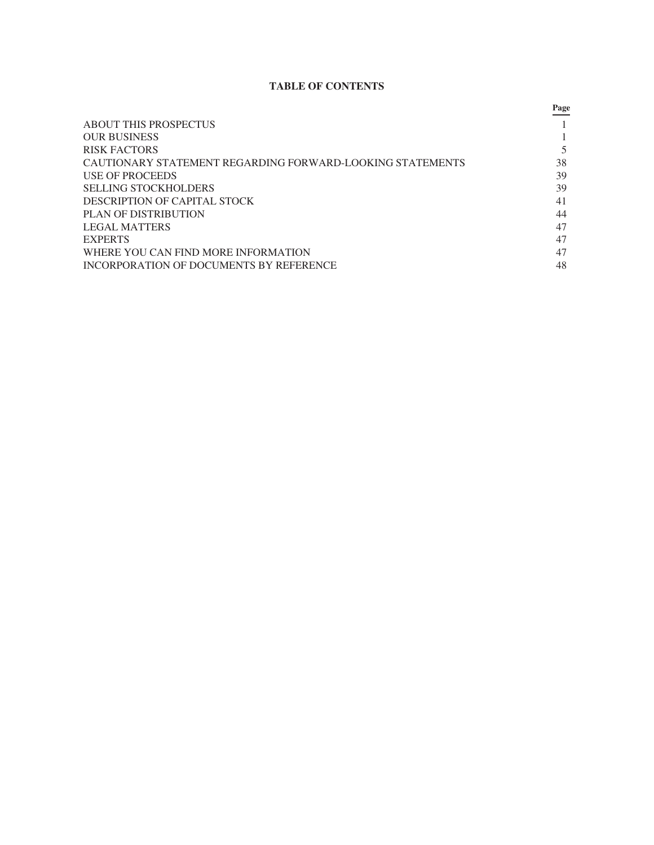## **TABLE OF CONTENTS**

|                                                           | Page |
|-----------------------------------------------------------|------|
| <b>ABOUT THIS PROSPECTUS</b>                              |      |
| <b>OUR BUSINESS</b>                                       |      |
| RISK FACTORS                                              |      |
| CAUTIONARY STATEMENT REGARDING FORWARD-LOOKING STATEMENTS | 38   |
| USE OF PROCEEDS                                           | 39   |
| SELLING STOCKHOLDERS                                      | 39   |
| DESCRIPTION OF CAPITAL STOCK                              | 41   |
| PLAN OF DISTRIBUTION                                      | 44   |
| LEGAL MATTERS                                             | 47   |
| <b>EXPERTS</b>                                            | 47   |
| WHERE YOU CAN FIND MORE INFORMATION                       | 47   |
| INCORPORATION OF DOCUMENTS BY REFERENCE                   | 48   |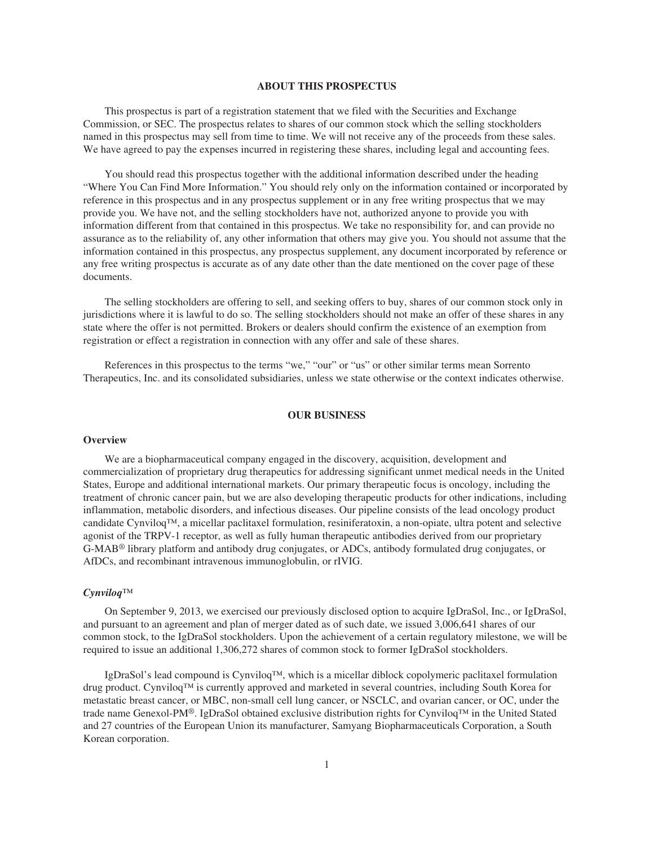#### **ABOUT THIS PROSPECTUS**

This prospectus is part of a registration statement that we filed with the Securities and Exchange Commission, or SEC. The prospectus relates to shares of our common stock which the selling stockholders named in this prospectus may sell from time to time. We will not receive any of the proceeds from these sales. We have agreed to pay the expenses incurred in registering these shares, including legal and accounting fees.

You should read this prospectus together with the additional information described under the heading "Where You Can Find More Information." You should rely only on the information contained or incorporated by reference in this prospectus and in any prospectus supplement or in any free writing prospectus that we may provide you. We have not, and the selling stockholders have not, authorized anyone to provide you with information different from that contained in this prospectus. We take no responsibility for, and can provide no assurance as to the reliability of, any other information that others may give you. You should not assume that the information contained in this prospectus, any prospectus supplement, any document incorporated by reference or any free writing prospectus is accurate as of any date other than the date mentioned on the cover page of these documents.

The selling stockholders are offering to sell, and seeking offers to buy, shares of our common stock only in jurisdictions where it is lawful to do so. The selling stockholders should not make an offer of these shares in any state where the offer is not permitted. Brokers or dealers should confirm the existence of an exemption from registration or effect a registration in connection with any offer and sale of these shares.

References in this prospectus to the terms "we," "our" or "us" or other similar terms mean Sorrento Therapeutics, Inc. and its consolidated subsidiaries, unless we state otherwise or the context indicates otherwise.

#### **OUR BUSINESS**

#### **Overview**

We are a biopharmaceutical company engaged in the discovery, acquisition, development and commercialization of proprietary drug therapeutics for addressing significant unmet medical needs in the United States, Europe and additional international markets. Our primary therapeutic focus is oncology, including the treatment of chronic cancer pain, but we are also developing therapeutic products for other indications, including inflammation, metabolic disorders, and infectious diseases. Our pipeline consists of the lead oncology product candidate Cynviloq™, a micellar paclitaxel formulation, resiniferatoxin, a non-opiate, ultra potent and selective agonist of the TRPV-1 receptor, as well as fully human therapeutic antibodies derived from our proprietary G-MAB® library platform and antibody drug conjugates, or ADCs, antibody formulated drug conjugates, or AfDCs, and recombinant intravenous immunoglobulin, or rIVIG.

#### *Cynviloq™*

On September 9, 2013, we exercised our previously disclosed option to acquire IgDraSol, Inc., or IgDraSol, and pursuant to an agreement and plan of merger dated as of such date, we issued 3,006,641 shares of our common stock, to the IgDraSol stockholders. Upon the achievement of a certain regulatory milestone, we will be required to issue an additional 1,306,272 shares of common stock to former IgDraSol stockholders.

IgDraSol's lead compound is Cynviloq™, which is a micellar diblock copolymeric paclitaxel formulation drug product. Cynviloq™ is currently approved and marketed in several countries, including South Korea for metastatic breast cancer, or MBC, non-small cell lung cancer, or NSCLC, and ovarian cancer, or OC, under the trade name Genexol-PM®. IgDraSol obtained exclusive distribution rights for Cynviloq™ in the United Stated and 27 countries of the European Union its manufacturer, Samyang Biopharmaceuticals Corporation, a South Korean corporation.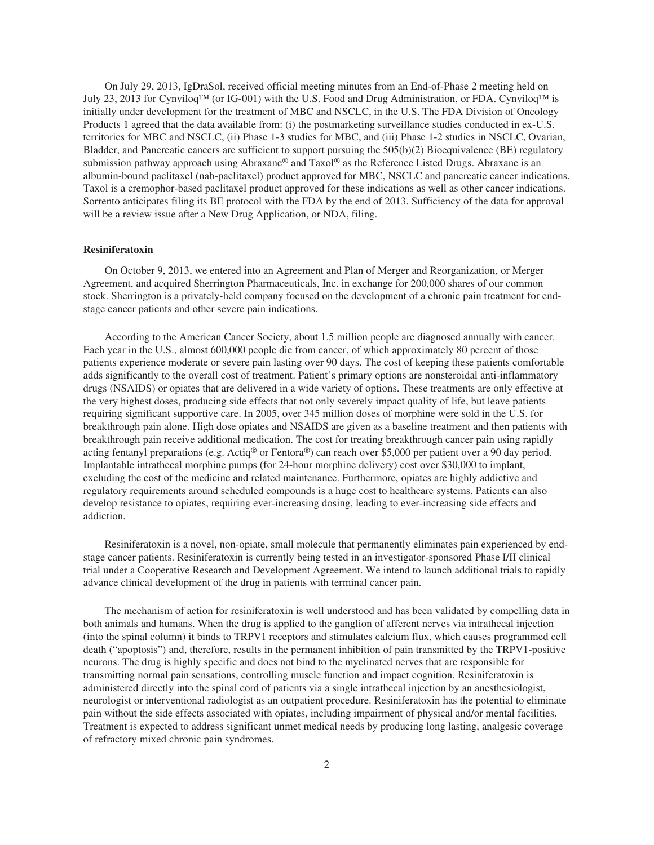On July 29, 2013, IgDraSol, received official meeting minutes from an End-of-Phase 2 meeting held on July 23, 2013 for Cynviloq™ (or IG-001) with the U.S. Food and Drug Administration, or FDA. Cynviloq™ is initially under development for the treatment of MBC and NSCLC, in the U.S. The FDA Division of Oncology Products 1 agreed that the data available from: (i) the postmarketing surveillance studies conducted in ex-U.S. territories for MBC and NSCLC, (ii) Phase 1-3 studies for MBC, and (iii) Phase 1-2 studies in NSCLC, Ovarian, Bladder, and Pancreatic cancers are sufficient to support pursuing the 505(b)(2) Bioequivalence (BE) regulatory submission pathway approach using Abraxane® and Taxol® as the Reference Listed Drugs. Abraxane is an albumin-bound paclitaxel (nab-paclitaxel) product approved for MBC, NSCLC and pancreatic cancer indications. Taxol is a cremophor-based paclitaxel product approved for these indications as well as other cancer indications. Sorrento anticipates filing its BE protocol with the FDA by the end of 2013. Sufficiency of the data for approval will be a review issue after a New Drug Application, or NDA, filing.

#### **Resiniferatoxin**

On October 9, 2013, we entered into an Agreement and Plan of Merger and Reorganization, or Merger Agreement, and acquired Sherrington Pharmaceuticals, Inc. in exchange for 200,000 shares of our common stock. Sherrington is a privately-held company focused on the development of a chronic pain treatment for endstage cancer patients and other severe pain indications.

According to the American Cancer Society, about 1.5 million people are diagnosed annually with cancer. Each year in the U.S., almost 600,000 people die from cancer, of which approximately 80 percent of those patients experience moderate or severe pain lasting over 90 days. The cost of keeping these patients comfortable adds significantly to the overall cost of treatment. Patient's primary options are nonsteroidal anti-inflammatory drugs (NSAIDS) or opiates that are delivered in a wide variety of options. These treatments are only effective at the very highest doses, producing side effects that not only severely impact quality of life, but leave patients requiring significant supportive care. In 2005, over 345 million doses of morphine were sold in the U.S. for breakthrough pain alone. High dose opiates and NSAIDS are given as a baseline treatment and then patients with breakthrough pain receive additional medication. The cost for treating breakthrough cancer pain using rapidly acting fentanyl preparations (e.g. Actiq® or Fentora®) can reach over \$5,000 per patient over a 90 day period. Implantable intrathecal morphine pumps (for 24-hour morphine delivery) cost over \$30,000 to implant, excluding the cost of the medicine and related maintenance. Furthermore, opiates are highly addictive and regulatory requirements around scheduled compounds is a huge cost to healthcare systems. Patients can also develop resistance to opiates, requiring ever-increasing dosing, leading to ever-increasing side effects and addiction.

Resiniferatoxin is a novel, non-opiate, small molecule that permanently eliminates pain experienced by endstage cancer patients. Resiniferatoxin is currently being tested in an investigator-sponsored Phase I/II clinical trial under a Cooperative Research and Development Agreement. We intend to launch additional trials to rapidly advance clinical development of the drug in patients with terminal cancer pain.

The mechanism of action for resiniferatoxin is well understood and has been validated by compelling data in both animals and humans. When the drug is applied to the ganglion of afferent nerves via intrathecal injection (into the spinal column) it binds to TRPV1 receptors and stimulates calcium flux, which causes programmed cell death ("apoptosis") and, therefore, results in the permanent inhibition of pain transmitted by the TRPV1-positive neurons. The drug is highly specific and does not bind to the myelinated nerves that are responsible for transmitting normal pain sensations, controlling muscle function and impact cognition. Resiniferatoxin is administered directly into the spinal cord of patients via a single intrathecal injection by an anesthesiologist, neurologist or interventional radiologist as an outpatient procedure. Resiniferatoxin has the potential to eliminate pain without the side effects associated with opiates, including impairment of physical and/or mental facilities. Treatment is expected to address significant unmet medical needs by producing long lasting, analgesic coverage of refractory mixed chronic pain syndromes.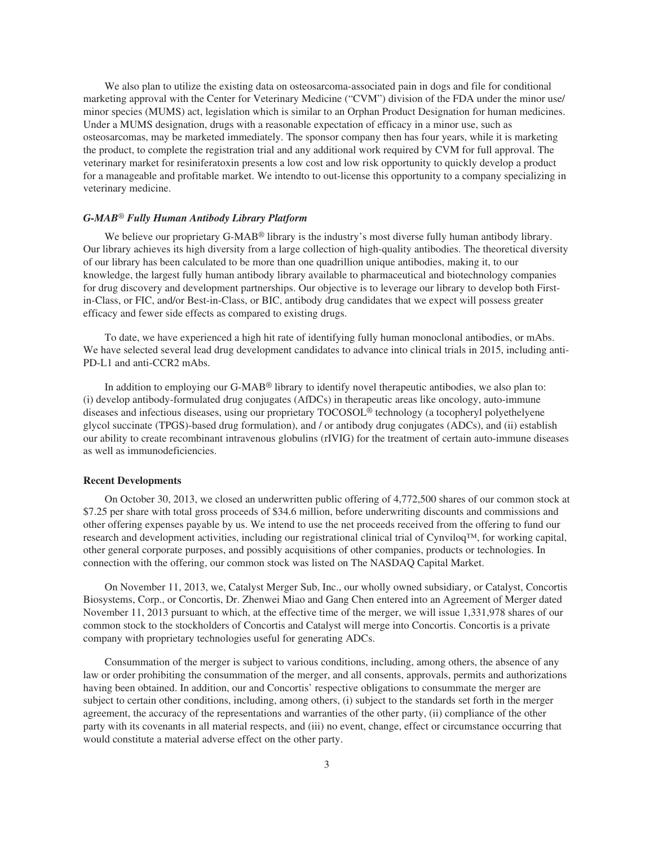We also plan to utilize the existing data on osteosarcoma-associated pain in dogs and file for conditional marketing approval with the Center for Veterinary Medicine ("CVM") division of the FDA under the minor use/ minor species (MUMS) act, legislation which is similar to an Orphan Product Designation for human medicines. Under a MUMS designation, drugs with a reasonable expectation of efficacy in a minor use, such as osteosarcomas, may be marketed immediately. The sponsor company then has four years, while it is marketing the product, to complete the registration trial and any additional work required by CVM for full approval. The veterinary market for resiniferatoxin presents a low cost and low risk opportunity to quickly develop a product for a manageable and profitable market. We intendto to out-license this opportunity to a company specializing in veterinary medicine.

#### *G-MAB*® *Fully Human Antibody Library Platform*

We believe our proprietary G-MAB<sup>®</sup> library is the industry's most diverse fully human antibody library. Our library achieves its high diversity from a large collection of high-quality antibodies. The theoretical diversity of our library has been calculated to be more than one quadrillion unique antibodies, making it, to our knowledge, the largest fully human antibody library available to pharmaceutical and biotechnology companies for drug discovery and development partnerships. Our objective is to leverage our library to develop both Firstin-Class, or FIC, and/or Best-in-Class, or BIC, antibody drug candidates that we expect will possess greater efficacy and fewer side effects as compared to existing drugs.

To date, we have experienced a high hit rate of identifying fully human monoclonal antibodies, or mAbs. We have selected several lead drug development candidates to advance into clinical trials in 2015, including anti-PD-L1 and anti-CCR2 mAbs.

In addition to employing our G-MAB® library to identify novel therapeutic antibodies, we also plan to: (i) develop antibody-formulated drug conjugates (AfDCs) in therapeutic areas like oncology, auto-immune diseases and infectious diseases, using our proprietary TOCOSOL® technology (a tocopheryl polyethelyene glycol succinate (TPGS)-based drug formulation), and / or antibody drug conjugates (ADCs), and (ii) establish our ability to create recombinant intravenous globulins (rIVIG) for the treatment of certain auto-immune diseases as well as immunodeficiencies.

#### **Recent Developments**

On October 30, 2013, we closed an underwritten public offering of 4,772,500 shares of our common stock at \$7.25 per share with total gross proceeds of \$34.6 million, before underwriting discounts and commissions and other offering expenses payable by us. We intend to use the net proceeds received from the offering to fund our research and development activities, including our registrational clinical trial of Cynviloq™, for working capital, other general corporate purposes, and possibly acquisitions of other companies, products or technologies. In connection with the offering, our common stock was listed on The NASDAQ Capital Market.

On November 11, 2013, we, Catalyst Merger Sub, Inc., our wholly owned subsidiary, or Catalyst, Concortis Biosystems, Corp., or Concortis, Dr. Zhenwei Miao and Gang Chen entered into an Agreement of Merger dated November 11, 2013 pursuant to which, at the effective time of the merger, we will issue 1,331,978 shares of our common stock to the stockholders of Concortis and Catalyst will merge into Concortis. Concortis is a private company with proprietary technologies useful for generating ADCs.

Consummation of the merger is subject to various conditions, including, among others, the absence of any law or order prohibiting the consummation of the merger, and all consents, approvals, permits and authorizations having been obtained. In addition, our and Concortis' respective obligations to consummate the merger are subject to certain other conditions, including, among others, (i) subject to the standards set forth in the merger agreement, the accuracy of the representations and warranties of the other party, (ii) compliance of the other party with its covenants in all material respects, and (iii) no event, change, effect or circumstance occurring that would constitute a material adverse effect on the other party.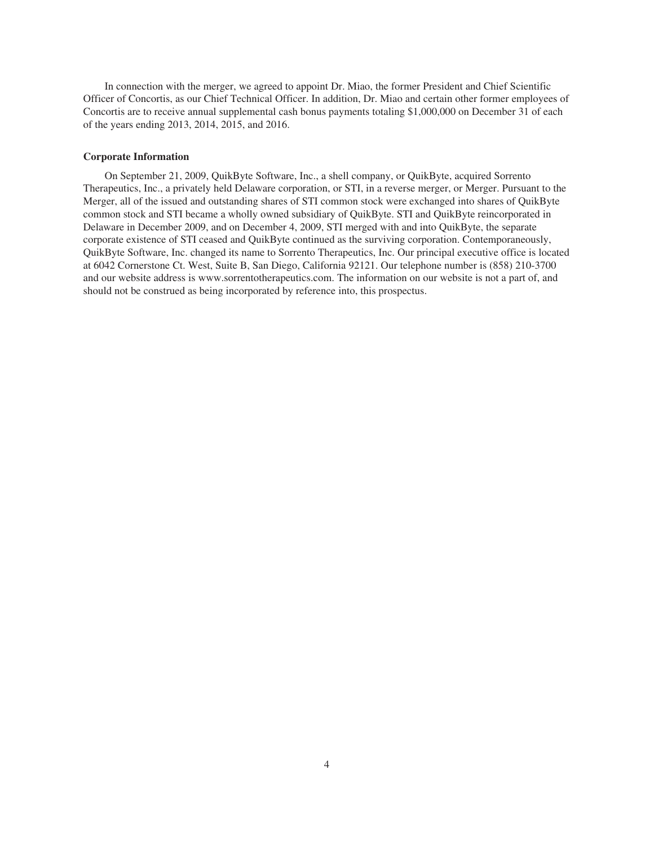In connection with the merger, we agreed to appoint Dr. Miao, the former President and Chief Scientific Officer of Concortis, as our Chief Technical Officer. In addition, Dr. Miao and certain other former employees of Concortis are to receive annual supplemental cash bonus payments totaling \$1,000,000 on December 31 of each of the years ending 2013, 2014, 2015, and 2016.

#### **Corporate Information**

On September 21, 2009, QuikByte Software, Inc., a shell company, or QuikByte, acquired Sorrento Therapeutics, Inc., a privately held Delaware corporation, or STI, in a reverse merger, or Merger. Pursuant to the Merger, all of the issued and outstanding shares of STI common stock were exchanged into shares of QuikByte common stock and STI became a wholly owned subsidiary of QuikByte. STI and QuikByte reincorporated in Delaware in December 2009, and on December 4, 2009, STI merged with and into QuikByte, the separate corporate existence of STI ceased and QuikByte continued as the surviving corporation. Contemporaneously, QuikByte Software, Inc. changed its name to Sorrento Therapeutics, Inc. Our principal executive office is located at 6042 Cornerstone Ct. West, Suite B, San Diego, California 92121. Our telephone number is (858) 210-3700 and our website address is www.sorrentotherapeutics.com. The information on our website is not a part of, and should not be construed as being incorporated by reference into, this prospectus.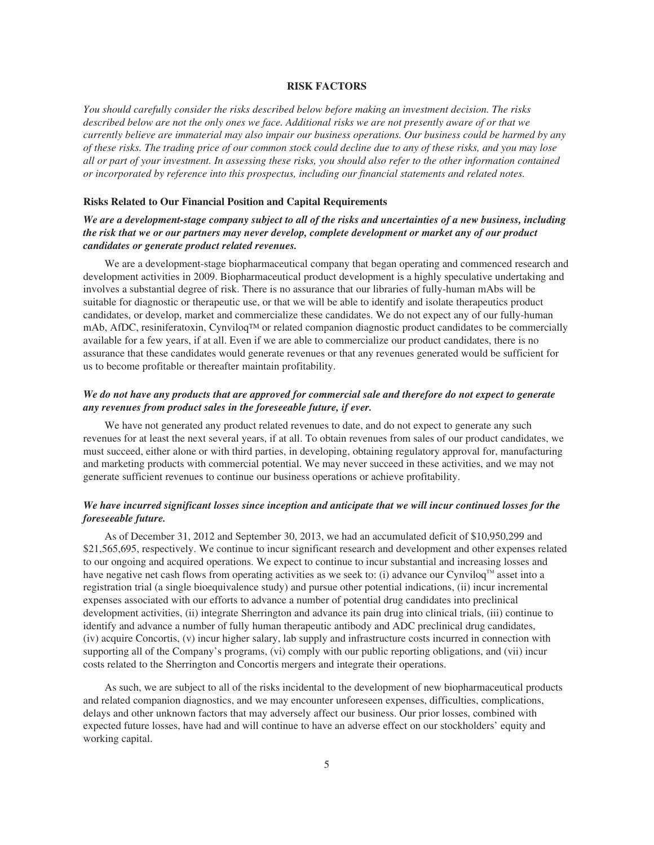#### **RISK FACTORS**

*You should carefully consider the risks described below before making an investment decision. The risks described below are not the only ones we face. Additional risks we are not presently aware of or that we currently believe are immaterial may also impair our business operations. Our business could be harmed by any of these risks. The trading price of our common stock could decline due to any of these risks, and you may lose all or part of your investment. In assessing these risks, you should also refer to the other information contained or incorporated by reference into this prospectus, including our financial statements and related notes.*

#### **Risks Related to Our Financial Position and Capital Requirements**

## *We are a development-stage company subject to all of the risks and uncertainties of a new business, including the risk that we or our partners may never develop, complete development or market any of our product candidates or generate product related revenues.*

We are a development-stage biopharmaceutical company that began operating and commenced research and development activities in 2009. Biopharmaceutical product development is a highly speculative undertaking and involves a substantial degree of risk. There is no assurance that our libraries of fully-human mAbs will be suitable for diagnostic or therapeutic use, or that we will be able to identify and isolate therapeutics product candidates, or develop, market and commercialize these candidates. We do not expect any of our fully-human mAb, AfDC, resiniferatoxin, Cynviloq™ or related companion diagnostic product candidates to be commercially available for a few years, if at all. Even if we are able to commercialize our product candidates, there is no assurance that these candidates would generate revenues or that any revenues generated would be sufficient for us to become profitable or thereafter maintain profitability.

## *We do not have any products that are approved for commercial sale and therefore do not expect to generate any revenues from product sales in the foreseeable future, if ever.*

We have not generated any product related revenues to date, and do not expect to generate any such revenues for at least the next several years, if at all. To obtain revenues from sales of our product candidates, we must succeed, either alone or with third parties, in developing, obtaining regulatory approval for, manufacturing and marketing products with commercial potential. We may never succeed in these activities, and we may not generate sufficient revenues to continue our business operations or achieve profitability.

## *We have incurred significant losses since inception and anticipate that we will incur continued losses for the foreseeable future.*

As of December 31, 2012 and September 30, 2013, we had an accumulated deficit of \$10,950,299 and \$21,565,695, respectively. We continue to incur significant research and development and other expenses related to our ongoing and acquired operations. We expect to continue to incur substantial and increasing losses and have negative net cash flows from operating activities as we seek to: (i) advance our Cynviloq™ asset into a registration trial (a single bioequivalence study) and pursue other potential indications, (ii) incur incremental expenses associated with our efforts to advance a number of potential drug candidates into preclinical development activities, (ii) integrate Sherrington and advance its pain drug into clinical trials, (iii) continue to identify and advance a number of fully human therapeutic antibody and ADC preclinical drug candidates, (iv) acquire Concortis, (v) incur higher salary, lab supply and infrastructure costs incurred in connection with supporting all of the Company's programs, (vi) comply with our public reporting obligations, and (vii) incur costs related to the Sherrington and Concortis mergers and integrate their operations.

As such, we are subject to all of the risks incidental to the development of new biopharmaceutical products and related companion diagnostics, and we may encounter unforeseen expenses, difficulties, complications, delays and other unknown factors that may adversely affect our business. Our prior losses, combined with expected future losses, have had and will continue to have an adverse effect on our stockholders' equity and working capital.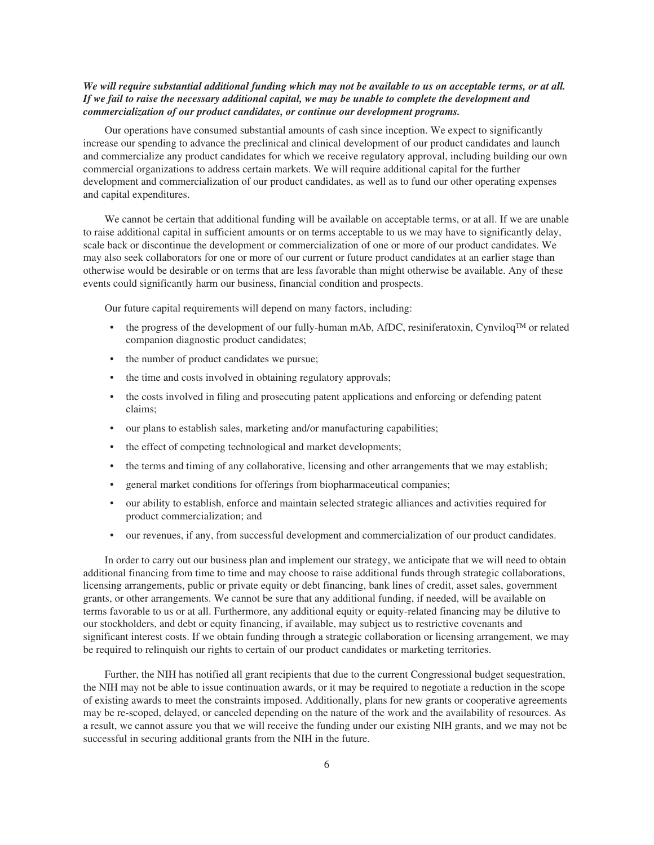## *We will require substantial additional funding which may not be available to us on acceptable terms, or at all. If we fail to raise the necessary additional capital, we may be unable to complete the development and commercialization of our product candidates, or continue our development programs.*

Our operations have consumed substantial amounts of cash since inception. We expect to significantly increase our spending to advance the preclinical and clinical development of our product candidates and launch and commercialize any product candidates for which we receive regulatory approval, including building our own commercial organizations to address certain markets. We will require additional capital for the further development and commercialization of our product candidates, as well as to fund our other operating expenses and capital expenditures.

We cannot be certain that additional funding will be available on acceptable terms, or at all. If we are unable to raise additional capital in sufficient amounts or on terms acceptable to us we may have to significantly delay, scale back or discontinue the development or commercialization of one or more of our product candidates. We may also seek collaborators for one or more of our current or future product candidates at an earlier stage than otherwise would be desirable or on terms that are less favorable than might otherwise be available. Any of these events could significantly harm our business, financial condition and prospects.

Our future capital requirements will depend on many factors, including:

- the progress of the development of our fully-human mAb, AfDC, resiniferatoxin, Cynviloq™ or related companion diagnostic product candidates;
- the number of product candidates we pursue;
- the time and costs involved in obtaining regulatory approvals;
- the costs involved in filing and prosecuting patent applications and enforcing or defending patent claims;
- our plans to establish sales, marketing and/or manufacturing capabilities;
- the effect of competing technological and market developments;
- the terms and timing of any collaborative, licensing and other arrangements that we may establish;
- general market conditions for offerings from biopharmaceutical companies;
- our ability to establish, enforce and maintain selected strategic alliances and activities required for product commercialization; and
- our revenues, if any, from successful development and commercialization of our product candidates.

In order to carry out our business plan and implement our strategy, we anticipate that we will need to obtain additional financing from time to time and may choose to raise additional funds through strategic collaborations, licensing arrangements, public or private equity or debt financing, bank lines of credit, asset sales, government grants, or other arrangements. We cannot be sure that any additional funding, if needed, will be available on terms favorable to us or at all. Furthermore, any additional equity or equity-related financing may be dilutive to our stockholders, and debt or equity financing, if available, may subject us to restrictive covenants and significant interest costs. If we obtain funding through a strategic collaboration or licensing arrangement, we may be required to relinquish our rights to certain of our product candidates or marketing territories.

Further, the NIH has notified all grant recipients that due to the current Congressional budget sequestration, the NIH may not be able to issue continuation awards, or it may be required to negotiate a reduction in the scope of existing awards to meet the constraints imposed. Additionally, plans for new grants or cooperative agreements may be re-scoped, delayed, or canceled depending on the nature of the work and the availability of resources. As a result, we cannot assure you that we will receive the funding under our existing NIH grants, and we may not be successful in securing additional grants from the NIH in the future.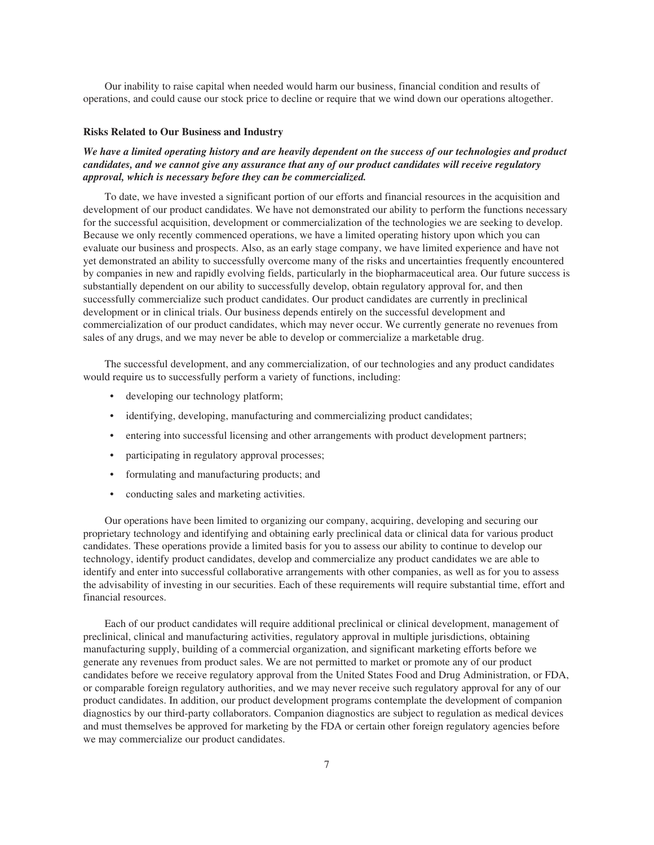Our inability to raise capital when needed would harm our business, financial condition and results of operations, and could cause our stock price to decline or require that we wind down our operations altogether.

#### **Risks Related to Our Business and Industry**

## *We have a limited operating history and are heavily dependent on the success of our technologies and product candidates, and we cannot give any assurance that any of our product candidates will receive regulatory approval, which is necessary before they can be commercialized.*

To date, we have invested a significant portion of our efforts and financial resources in the acquisition and development of our product candidates. We have not demonstrated our ability to perform the functions necessary for the successful acquisition, development or commercialization of the technologies we are seeking to develop. Because we only recently commenced operations, we have a limited operating history upon which you can evaluate our business and prospects. Also, as an early stage company, we have limited experience and have not yet demonstrated an ability to successfully overcome many of the risks and uncertainties frequently encountered by companies in new and rapidly evolving fields, particularly in the biopharmaceutical area. Our future success is substantially dependent on our ability to successfully develop, obtain regulatory approval for, and then successfully commercialize such product candidates. Our product candidates are currently in preclinical development or in clinical trials. Our business depends entirely on the successful development and commercialization of our product candidates, which may never occur. We currently generate no revenues from sales of any drugs, and we may never be able to develop or commercialize a marketable drug.

The successful development, and any commercialization, of our technologies and any product candidates would require us to successfully perform a variety of functions, including:

- developing our technology platform;
- identifying, developing, manufacturing and commercializing product candidates;
- entering into successful licensing and other arrangements with product development partners;
- participating in regulatory approval processes;
- formulating and manufacturing products; and
- conducting sales and marketing activities.

Our operations have been limited to organizing our company, acquiring, developing and securing our proprietary technology and identifying and obtaining early preclinical data or clinical data for various product candidates. These operations provide a limited basis for you to assess our ability to continue to develop our technology, identify product candidates, develop and commercialize any product candidates we are able to identify and enter into successful collaborative arrangements with other companies, as well as for you to assess the advisability of investing in our securities. Each of these requirements will require substantial time, effort and financial resources.

Each of our product candidates will require additional preclinical or clinical development, management of preclinical, clinical and manufacturing activities, regulatory approval in multiple jurisdictions, obtaining manufacturing supply, building of a commercial organization, and significant marketing efforts before we generate any revenues from product sales. We are not permitted to market or promote any of our product candidates before we receive regulatory approval from the United States Food and Drug Administration, or FDA, or comparable foreign regulatory authorities, and we may never receive such regulatory approval for any of our product candidates. In addition, our product development programs contemplate the development of companion diagnostics by our third-party collaborators. Companion diagnostics are subject to regulation as medical devices and must themselves be approved for marketing by the FDA or certain other foreign regulatory agencies before we may commercialize our product candidates.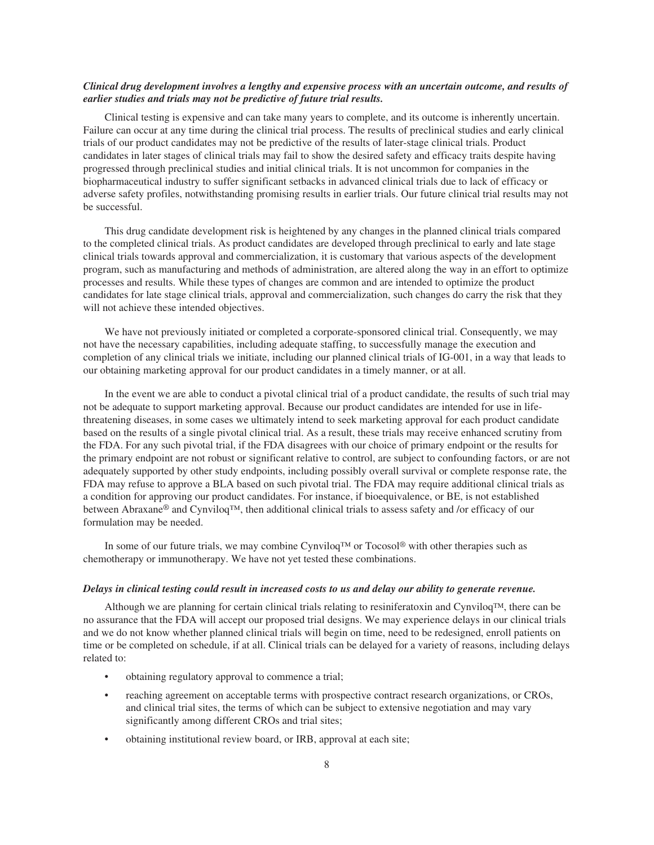## *Clinical drug development involves a lengthy and expensive process with an uncertain outcome, and results of earlier studies and trials may not be predictive of future trial results.*

Clinical testing is expensive and can take many years to complete, and its outcome is inherently uncertain. Failure can occur at any time during the clinical trial process. The results of preclinical studies and early clinical trials of our product candidates may not be predictive of the results of later-stage clinical trials. Product candidates in later stages of clinical trials may fail to show the desired safety and efficacy traits despite having progressed through preclinical studies and initial clinical trials. It is not uncommon for companies in the biopharmaceutical industry to suffer significant setbacks in advanced clinical trials due to lack of efficacy or adverse safety profiles, notwithstanding promising results in earlier trials. Our future clinical trial results may not be successful.

This drug candidate development risk is heightened by any changes in the planned clinical trials compared to the completed clinical trials. As product candidates are developed through preclinical to early and late stage clinical trials towards approval and commercialization, it is customary that various aspects of the development program, such as manufacturing and methods of administration, are altered along the way in an effort to optimize processes and results. While these types of changes are common and are intended to optimize the product candidates for late stage clinical trials, approval and commercialization, such changes do carry the risk that they will not achieve these intended objectives.

We have not previously initiated or completed a corporate-sponsored clinical trial. Consequently, we may not have the necessary capabilities, including adequate staffing, to successfully manage the execution and completion of any clinical trials we initiate, including our planned clinical trials of IG-001, in a way that leads to our obtaining marketing approval for our product candidates in a timely manner, or at all.

In the event we are able to conduct a pivotal clinical trial of a product candidate, the results of such trial may not be adequate to support marketing approval. Because our product candidates are intended for use in lifethreatening diseases, in some cases we ultimately intend to seek marketing approval for each product candidate based on the results of a single pivotal clinical trial. As a result, these trials may receive enhanced scrutiny from the FDA. For any such pivotal trial, if the FDA disagrees with our choice of primary endpoint or the results for the primary endpoint are not robust or significant relative to control, are subject to confounding factors, or are not adequately supported by other study endpoints, including possibly overall survival or complete response rate, the FDA may refuse to approve a BLA based on such pivotal trial. The FDA may require additional clinical trials as a condition for approving our product candidates. For instance, if bioequivalence, or BE, is not established between Abraxane® and Cynviloq™, then additional clinical trials to assess safety and /or efficacy of our formulation may be needed.

In some of our future trials, we may combine Cynviloq<sup>™</sup> or Tocosol<sup>®</sup> with other therapies such as chemotherapy or immunotherapy. We have not yet tested these combinations.

#### *Delays in clinical testing could result in increased costs to us and delay our ability to generate revenue.*

Although we are planning for certain clinical trials relating to resiniferatoxin and CynviloqTM, there can be no assurance that the FDA will accept our proposed trial designs. We may experience delays in our clinical trials and we do not know whether planned clinical trials will begin on time, need to be redesigned, enroll patients on time or be completed on schedule, if at all. Clinical trials can be delayed for a variety of reasons, including delays related to:

- obtaining regulatory approval to commence a trial;
- reaching agreement on acceptable terms with prospective contract research organizations, or CROs, and clinical trial sites, the terms of which can be subject to extensive negotiation and may vary significantly among different CROs and trial sites;
- obtaining institutional review board, or IRB, approval at each site;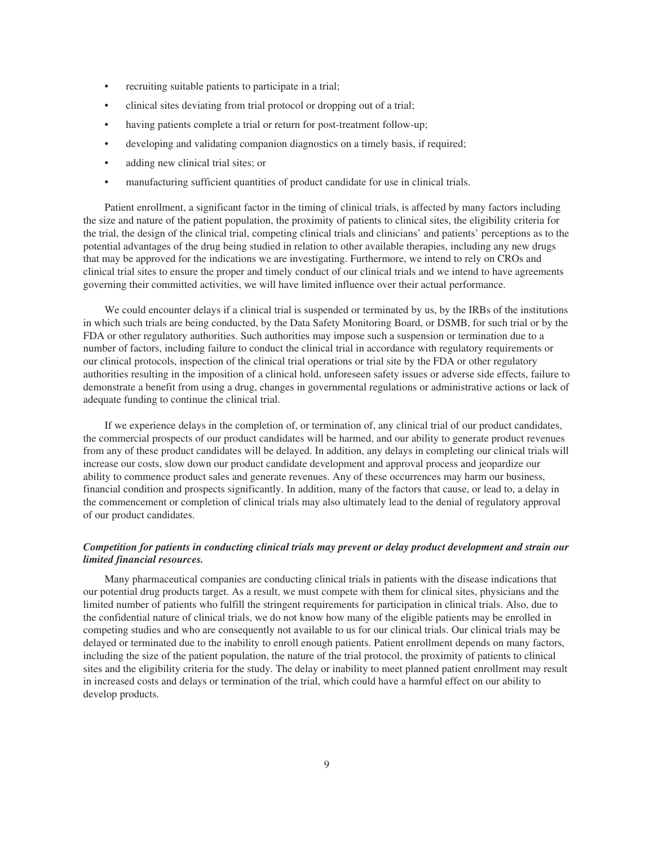- recruiting suitable patients to participate in a trial;
- clinical sites deviating from trial protocol or dropping out of a trial;
- having patients complete a trial or return for post-treatment follow-up;
- developing and validating companion diagnostics on a timely basis, if required;
- adding new clinical trial sites; or
- manufacturing sufficient quantities of product candidate for use in clinical trials.

Patient enrollment, a significant factor in the timing of clinical trials, is affected by many factors including the size and nature of the patient population, the proximity of patients to clinical sites, the eligibility criteria for the trial, the design of the clinical trial, competing clinical trials and clinicians' and patients' perceptions as to the potential advantages of the drug being studied in relation to other available therapies, including any new drugs that may be approved for the indications we are investigating. Furthermore, we intend to rely on CROs and clinical trial sites to ensure the proper and timely conduct of our clinical trials and we intend to have agreements governing their committed activities, we will have limited influence over their actual performance.

We could encounter delays if a clinical trial is suspended or terminated by us, by the IRBs of the institutions in which such trials are being conducted, by the Data Safety Monitoring Board, or DSMB, for such trial or by the FDA or other regulatory authorities. Such authorities may impose such a suspension or termination due to a number of factors, including failure to conduct the clinical trial in accordance with regulatory requirements or our clinical protocols, inspection of the clinical trial operations or trial site by the FDA or other regulatory authorities resulting in the imposition of a clinical hold, unforeseen safety issues or adverse side effects, failure to demonstrate a benefit from using a drug, changes in governmental regulations or administrative actions or lack of adequate funding to continue the clinical trial.

If we experience delays in the completion of, or termination of, any clinical trial of our product candidates, the commercial prospects of our product candidates will be harmed, and our ability to generate product revenues from any of these product candidates will be delayed. In addition, any delays in completing our clinical trials will increase our costs, slow down our product candidate development and approval process and jeopardize our ability to commence product sales and generate revenues. Any of these occurrences may harm our business, financial condition and prospects significantly. In addition, many of the factors that cause, or lead to, a delay in the commencement or completion of clinical trials may also ultimately lead to the denial of regulatory approval of our product candidates.

## *Competition for patients in conducting clinical trials may prevent or delay product development and strain our limited financial resources.*

Many pharmaceutical companies are conducting clinical trials in patients with the disease indications that our potential drug products target. As a result, we must compete with them for clinical sites, physicians and the limited number of patients who fulfill the stringent requirements for participation in clinical trials. Also, due to the confidential nature of clinical trials, we do not know how many of the eligible patients may be enrolled in competing studies and who are consequently not available to us for our clinical trials. Our clinical trials may be delayed or terminated due to the inability to enroll enough patients. Patient enrollment depends on many factors, including the size of the patient population, the nature of the trial protocol, the proximity of patients to clinical sites and the eligibility criteria for the study. The delay or inability to meet planned patient enrollment may result in increased costs and delays or termination of the trial, which could have a harmful effect on our ability to develop products.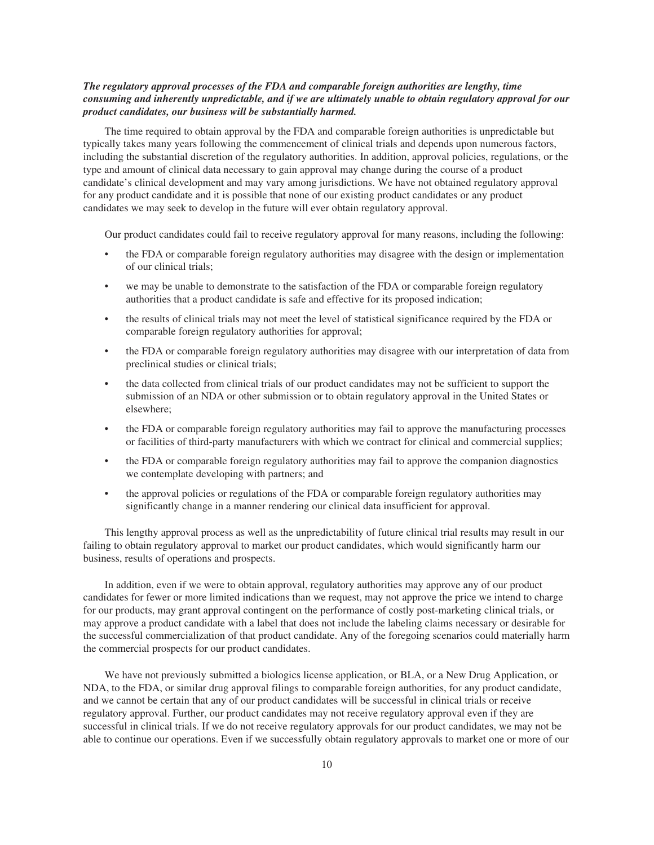## *The regulatory approval processes of the FDA and comparable foreign authorities are lengthy, time consuming and inherently unpredictable, and if we are ultimately unable to obtain regulatory approval for our product candidates, our business will be substantially harmed.*

The time required to obtain approval by the FDA and comparable foreign authorities is unpredictable but typically takes many years following the commencement of clinical trials and depends upon numerous factors, including the substantial discretion of the regulatory authorities. In addition, approval policies, regulations, or the type and amount of clinical data necessary to gain approval may change during the course of a product candidate's clinical development and may vary among jurisdictions. We have not obtained regulatory approval for any product candidate and it is possible that none of our existing product candidates or any product candidates we may seek to develop in the future will ever obtain regulatory approval.

Our product candidates could fail to receive regulatory approval for many reasons, including the following:

- the FDA or comparable foreign regulatory authorities may disagree with the design or implementation of our clinical trials;
- we may be unable to demonstrate to the satisfaction of the FDA or comparable foreign regulatory authorities that a product candidate is safe and effective for its proposed indication;
- the results of clinical trials may not meet the level of statistical significance required by the FDA or comparable foreign regulatory authorities for approval;
- the FDA or comparable foreign regulatory authorities may disagree with our interpretation of data from preclinical studies or clinical trials;
- the data collected from clinical trials of our product candidates may not be sufficient to support the submission of an NDA or other submission or to obtain regulatory approval in the United States or elsewhere;
- the FDA or comparable foreign regulatory authorities may fail to approve the manufacturing processes or facilities of third-party manufacturers with which we contract for clinical and commercial supplies;
- the FDA or comparable foreign regulatory authorities may fail to approve the companion diagnostics we contemplate developing with partners; and
- the approval policies or regulations of the FDA or comparable foreign regulatory authorities may significantly change in a manner rendering our clinical data insufficient for approval.

This lengthy approval process as well as the unpredictability of future clinical trial results may result in our failing to obtain regulatory approval to market our product candidates, which would significantly harm our business, results of operations and prospects.

In addition, even if we were to obtain approval, regulatory authorities may approve any of our product candidates for fewer or more limited indications than we request, may not approve the price we intend to charge for our products, may grant approval contingent on the performance of costly post-marketing clinical trials, or may approve a product candidate with a label that does not include the labeling claims necessary or desirable for the successful commercialization of that product candidate. Any of the foregoing scenarios could materially harm the commercial prospects for our product candidates.

We have not previously submitted a biologics license application, or BLA, or a New Drug Application, or NDA, to the FDA, or similar drug approval filings to comparable foreign authorities, for any product candidate, and we cannot be certain that any of our product candidates will be successful in clinical trials or receive regulatory approval. Further, our product candidates may not receive regulatory approval even if they are successful in clinical trials. If we do not receive regulatory approvals for our product candidates, we may not be able to continue our operations. Even if we successfully obtain regulatory approvals to market one or more of our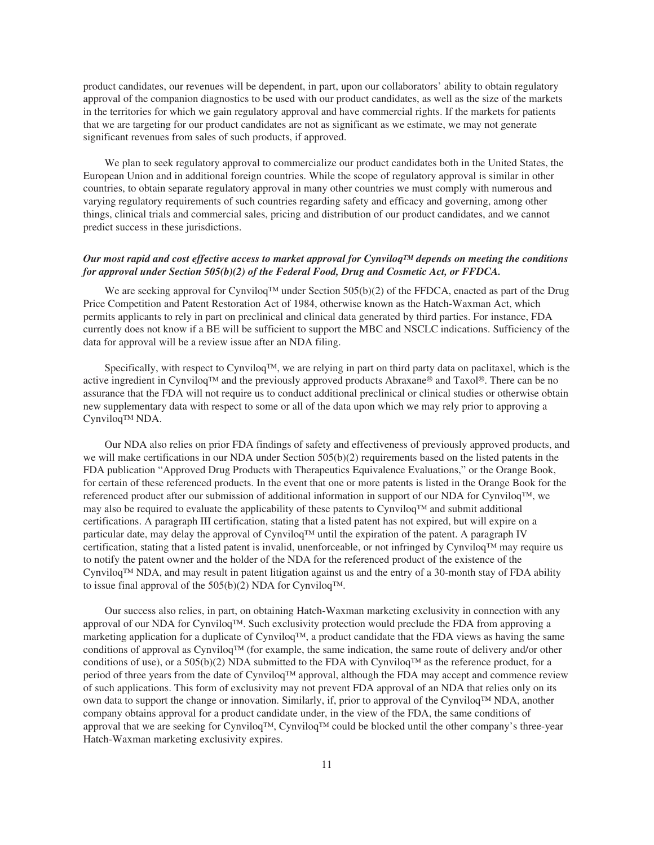product candidates, our revenues will be dependent, in part, upon our collaborators' ability to obtain regulatory approval of the companion diagnostics to be used with our product candidates, as well as the size of the markets in the territories for which we gain regulatory approval and have commercial rights. If the markets for patients that we are targeting for our product candidates are not as significant as we estimate, we may not generate significant revenues from sales of such products, if approved.

We plan to seek regulatory approval to commercialize our product candidates both in the United States, the European Union and in additional foreign countries. While the scope of regulatory approval is similar in other countries, to obtain separate regulatory approval in many other countries we must comply with numerous and varying regulatory requirements of such countries regarding safety and efficacy and governing, among other things, clinical trials and commercial sales, pricing and distribution of our product candidates, and we cannot predict success in these jurisdictions.

## *Our most rapid and cost effective access to market approval for CynviloqTM depends on meeting the conditions for approval under Section 505(b)(2) of the Federal Food, Drug and Cosmetic Act, or FFDCA.*

We are seeking approval for Cynviloq™ under Section 505(b)(2) of the FFDCA, enacted as part of the Drug Price Competition and Patent Restoration Act of 1984, otherwise known as the Hatch-Waxman Act, which permits applicants to rely in part on preclinical and clinical data generated by third parties. For instance, FDA currently does not know if a BE will be sufficient to support the MBC and NSCLC indications. Sufficiency of the data for approval will be a review issue after an NDA filing.

Specifically, with respect to Cynviloq $TM$ , we are relying in part on third party data on paclitaxel, which is the active ingredient in CynviloqTM and the previously approved products Abraxane® and Taxol®. There can be no assurance that the FDA will not require us to conduct additional preclinical or clinical studies or otherwise obtain new supplementary data with respect to some or all of the data upon which we may rely prior to approving a Cynviloq<sup>™</sup> NDA.

Our NDA also relies on prior FDA findings of safety and effectiveness of previously approved products, and we will make certifications in our NDA under Section 505(b)(2) requirements based on the listed patents in the FDA publication "Approved Drug Products with Therapeutics Equivalence Evaluations," or the Orange Book, for certain of these referenced products. In the event that one or more patents is listed in the Orange Book for the referenced product after our submission of additional information in support of our NDA for Cynviloq™, we may also be required to evaluate the applicability of these patents to Cynviloq™ and submit additional certifications. A paragraph III certification, stating that a listed patent has not expired, but will expire on a particular date, may delay the approval of Cynviloq™ until the expiration of the patent. A paragraph IV certification, stating that a listed patent is invalid, unenforceable, or not infringed by Cynviloq™ may require us to notify the patent owner and the holder of the NDA for the referenced product of the existence of the Cynviloq™ NDA, and may result in patent litigation against us and the entry of a 30-month stay of FDA ability to issue final approval of the 505(b)(2) NDA for Cynviloq™.

Our success also relies, in part, on obtaining Hatch-Waxman marketing exclusivity in connection with any approval of our NDA for Cynviloq™. Such exclusivity protection would preclude the FDA from approving a marketing application for a duplicate of Cynviloq™, a product candidate that the FDA views as having the same conditions of approval as Cynviloq™ (for example, the same indication, the same route of delivery and/or other conditions of use), or a 505(b)(2) NDA submitted to the FDA with Cynviloq™ as the reference product, for a period of three years from the date of Cynviloq™ approval, although the FDA may accept and commence review of such applications. This form of exclusivity may not prevent FDA approval of an NDA that relies only on its own data to support the change or innovation. Similarly, if, prior to approval of the Cynviloq™ NDA, another company obtains approval for a product candidate under, in the view of the FDA, the same conditions of approval that we are seeking for Cynviloq™, Cynviloq™ could be blocked until the other company's three-year Hatch-Waxman marketing exclusivity expires.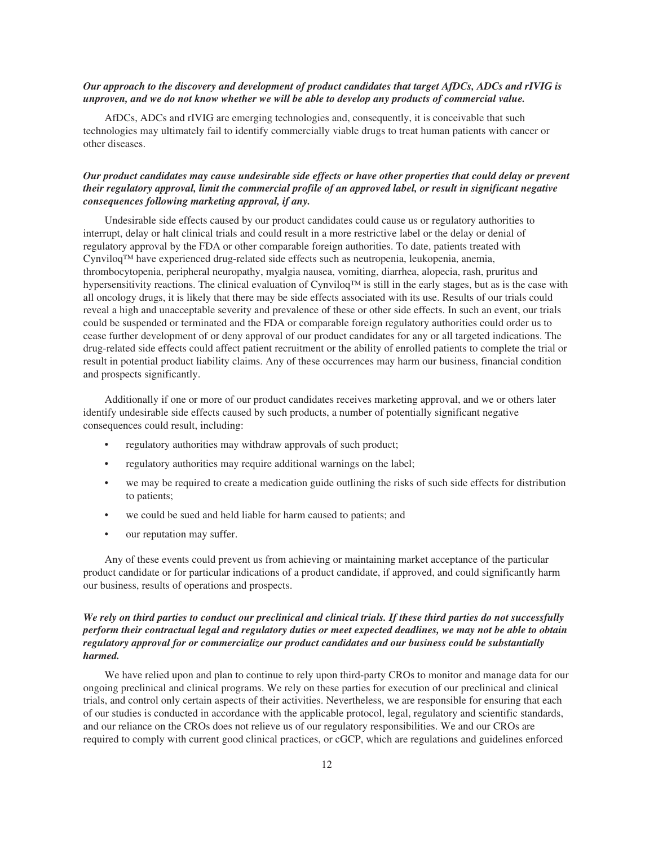## *Our approach to the discovery and development of product candidates that target AfDCs, ADCs and rIVIG is unproven, and we do not know whether we will be able to develop any products of commercial value.*

AfDCs, ADCs and rIVIG are emerging technologies and, consequently, it is conceivable that such technologies may ultimately fail to identify commercially viable drugs to treat human patients with cancer or other diseases.

## *Our product candidates may cause undesirable side effects or have other properties that could delay or prevent their regulatory approval, limit the commercial profile of an approved label, or result in significant negative consequences following marketing approval, if any.*

Undesirable side effects caused by our product candidates could cause us or regulatory authorities to interrupt, delay or halt clinical trials and could result in a more restrictive label or the delay or denial of regulatory approval by the FDA or other comparable foreign authorities. To date, patients treated with Cynviloq™ have experienced drug-related side effects such as neutropenia, leukopenia, anemia, thrombocytopenia, peripheral neuropathy, myalgia nausea, vomiting, diarrhea, alopecia, rash, pruritus and hypersensitivity reactions. The clinical evaluation of Cynviloq™ is still in the early stages, but as is the case with all oncology drugs, it is likely that there may be side effects associated with its use. Results of our trials could reveal a high and unacceptable severity and prevalence of these or other side effects. In such an event, our trials could be suspended or terminated and the FDA or comparable foreign regulatory authorities could order us to cease further development of or deny approval of our product candidates for any or all targeted indications. The drug-related side effects could affect patient recruitment or the ability of enrolled patients to complete the trial or result in potential product liability claims. Any of these occurrences may harm our business, financial condition and prospects significantly.

Additionally if one or more of our product candidates receives marketing approval, and we or others later identify undesirable side effects caused by such products, a number of potentially significant negative consequences could result, including:

- regulatory authorities may withdraw approvals of such product;
- regulatory authorities may require additional warnings on the label;
- we may be required to create a medication guide outlining the risks of such side effects for distribution to patients;
- we could be sued and held liable for harm caused to patients; and
- our reputation may suffer.

Any of these events could prevent us from achieving or maintaining market acceptance of the particular product candidate or for particular indications of a product candidate, if approved, and could significantly harm our business, results of operations and prospects.

## *We rely on third parties to conduct our preclinical and clinical trials. If these third parties do not successfully perform their contractual legal and regulatory duties or meet expected deadlines, we may not be able to obtain regulatory approval for or commercialize our product candidates and our business could be substantially harmed.*

We have relied upon and plan to continue to rely upon third-party CROs to monitor and manage data for our ongoing preclinical and clinical programs. We rely on these parties for execution of our preclinical and clinical trials, and control only certain aspects of their activities. Nevertheless, we are responsible for ensuring that each of our studies is conducted in accordance with the applicable protocol, legal, regulatory and scientific standards, and our reliance on the CROs does not relieve us of our regulatory responsibilities. We and our CROs are required to comply with current good clinical practices, or cGCP, which are regulations and guidelines enforced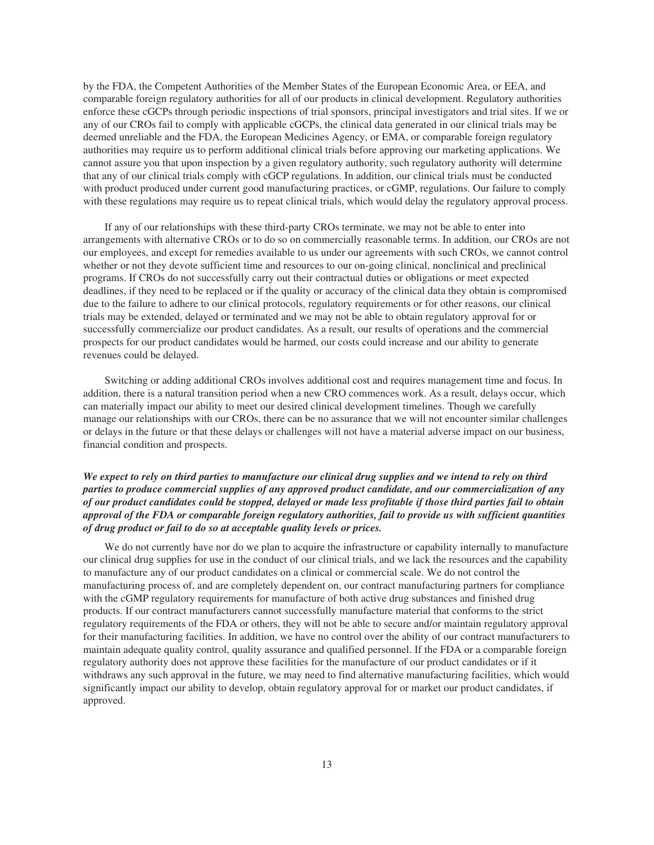by the FDA, the Competent Authorities of the Member States of the European Economic Area, or EEA, and comparable foreign regulatory authorities for all of our products in clinical development. Regulatory authorities enforce these cGCPs through periodic inspections of trial sponsors, principal investigators and trial sites. If we or any of our CROs fail to comply with applicable cGCPs, the clinical data generated in our clinical trials may be deemed unreliable and the FDA, the European Medicines Agency, or EMA, or comparable foreign regulatory authorities may require us to perform additional clinical trials before approving our marketing applications. We cannot assure you that upon inspection by a given regulatory authority, such regulatory authority will determine that any of our clinical trials comply with cGCP regulations. In addition, our clinical trials must be conducted with product produced under current good manufacturing practices, or cGMP, regulations. Our failure to comply with these regulations may require us to repeat clinical trials, which would delay the regulatory approval process.

If any of our relationships with these third-party CROs terminate, we may not be able to enter into arrangements with alternative CROs or to do so on commercially reasonable terms. In addition, our CROs are not our employees, and except for remedies available to us under our agreements with such CROs, we cannot control whether or not they devote sufficient time and resources to our on-going clinical, nonclinical and preclinical programs. If CROs do not successfully carry out their contractual duties or obligations or meet expected deadlines, if they need to be replaced or if the quality or accuracy of the clinical data they obtain is compromised due to the failure to adhere to our clinical protocols, regulatory requirements or for other reasons, our clinical trials may be extended, delayed or terminated and we may not be able to obtain regulatory approval for or successfully commercialize our product candidates. As a result, our results of operations and the commercial prospects for our product candidates would be harmed, our costs could increase and our ability to generate revenues could be delayed.

Switching or adding additional CROs involves additional cost and requires management time and focus. In addition, there is a natural transition period when a new CRO commences work. As a result, delays occur, which can materially impact our ability to meet our desired clinical development timelines. Though we carefully manage our relationships with our CROs, there can be no assurance that we will not encounter similar challenges or delays in the future or that these delays or challenges will not have a material adverse impact on our business, financial condition and prospects.

## *We expect to rely on third parties to manufacture our clinical drug supplies and we intend to rely on third parties to produce commercial supplies of any approved product candidate, and our commercialization of any of our product candidates could be stopped, delayed or made less profitable if those third parties fail to obtain approval of the FDA or comparable foreign regulatory authorities, fail to provide us with sufficient quantities of drug product or fail to do so at acceptable quality levels or prices.*

We do not currently have nor do we plan to acquire the infrastructure or capability internally to manufacture our clinical drug supplies for use in the conduct of our clinical trials, and we lack the resources and the capability to manufacture any of our product candidates on a clinical or commercial scale. We do not control the manufacturing process of, and are completely dependent on, our contract manufacturing partners for compliance with the cGMP regulatory requirements for manufacture of both active drug substances and finished drug products. If our contract manufacturers cannot successfully manufacture material that conforms to the strict regulatory requirements of the FDA or others, they will not be able to secure and/or maintain regulatory approval for their manufacturing facilities. In addition, we have no control over the ability of our contract manufacturers to maintain adequate quality control, quality assurance and qualified personnel. If the FDA or a comparable foreign regulatory authority does not approve these facilities for the manufacture of our product candidates or if it withdraws any such approval in the future, we may need to find alternative manufacturing facilities, which would significantly impact our ability to develop, obtain regulatory approval for or market our product candidates, if approved.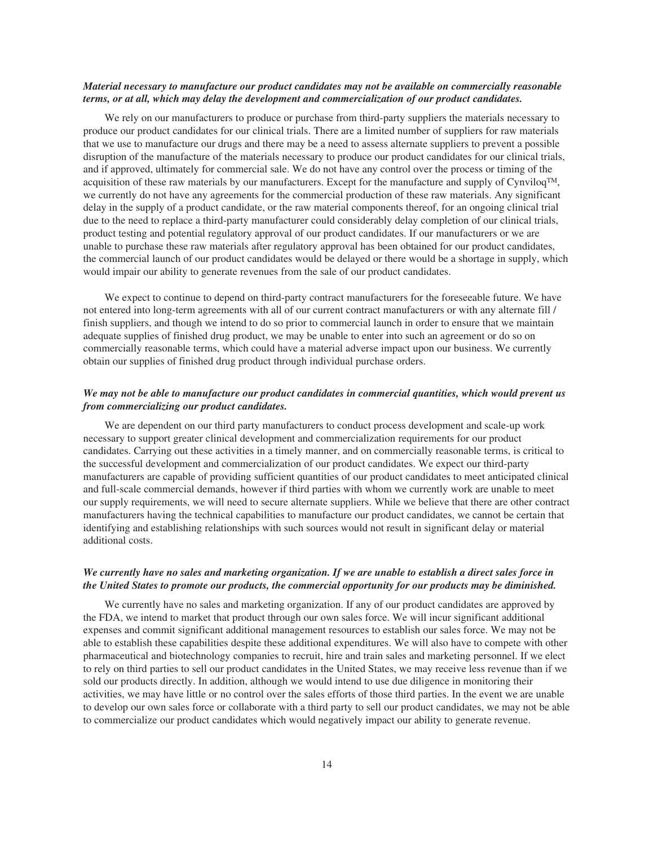## *Material necessary to manufacture our product candidates may not be available on commercially reasonable terms, or at all, which may delay the development and commercialization of our product candidates.*

We rely on our manufacturers to produce or purchase from third-party suppliers the materials necessary to produce our product candidates for our clinical trials. There are a limited number of suppliers for raw materials that we use to manufacture our drugs and there may be a need to assess alternate suppliers to prevent a possible disruption of the manufacture of the materials necessary to produce our product candidates for our clinical trials, and if approved, ultimately for commercial sale. We do not have any control over the process or timing of the acquisition of these raw materials by our manufacturers. Except for the manufacture and supply of Cynviloq $TM$ , we currently do not have any agreements for the commercial production of these raw materials. Any significant delay in the supply of a product candidate, or the raw material components thereof, for an ongoing clinical trial due to the need to replace a third-party manufacturer could considerably delay completion of our clinical trials, product testing and potential regulatory approval of our product candidates. If our manufacturers or we are unable to purchase these raw materials after regulatory approval has been obtained for our product candidates, the commercial launch of our product candidates would be delayed or there would be a shortage in supply, which would impair our ability to generate revenues from the sale of our product candidates.

We expect to continue to depend on third-party contract manufacturers for the foreseeable future. We have not entered into long-term agreements with all of our current contract manufacturers or with any alternate fill / finish suppliers, and though we intend to do so prior to commercial launch in order to ensure that we maintain adequate supplies of finished drug product, we may be unable to enter into such an agreement or do so on commercially reasonable terms, which could have a material adverse impact upon our business. We currently obtain our supplies of finished drug product through individual purchase orders.

## *We may not be able to manufacture our product candidates in commercial quantities, which would prevent us from commercializing our product candidates.*

We are dependent on our third party manufacturers to conduct process development and scale-up work necessary to support greater clinical development and commercialization requirements for our product candidates. Carrying out these activities in a timely manner, and on commercially reasonable terms, is critical to the successful development and commercialization of our product candidates. We expect our third-party manufacturers are capable of providing sufficient quantities of our product candidates to meet anticipated clinical and full-scale commercial demands, however if third parties with whom we currently work are unable to meet our supply requirements, we will need to secure alternate suppliers. While we believe that there are other contract manufacturers having the technical capabilities to manufacture our product candidates, we cannot be certain that identifying and establishing relationships with such sources would not result in significant delay or material additional costs.

## *We currently have no sales and marketing organization. If we are unable to establish a direct sales force in the United States to promote our products, the commercial opportunity for our products may be diminished.*

We currently have no sales and marketing organization. If any of our product candidates are approved by the FDA, we intend to market that product through our own sales force. We will incur significant additional expenses and commit significant additional management resources to establish our sales force. We may not be able to establish these capabilities despite these additional expenditures. We will also have to compete with other pharmaceutical and biotechnology companies to recruit, hire and train sales and marketing personnel. If we elect to rely on third parties to sell our product candidates in the United States, we may receive less revenue than if we sold our products directly. In addition, although we would intend to use due diligence in monitoring their activities, we may have little or no control over the sales efforts of those third parties. In the event we are unable to develop our own sales force or collaborate with a third party to sell our product candidates, we may not be able to commercialize our product candidates which would negatively impact our ability to generate revenue.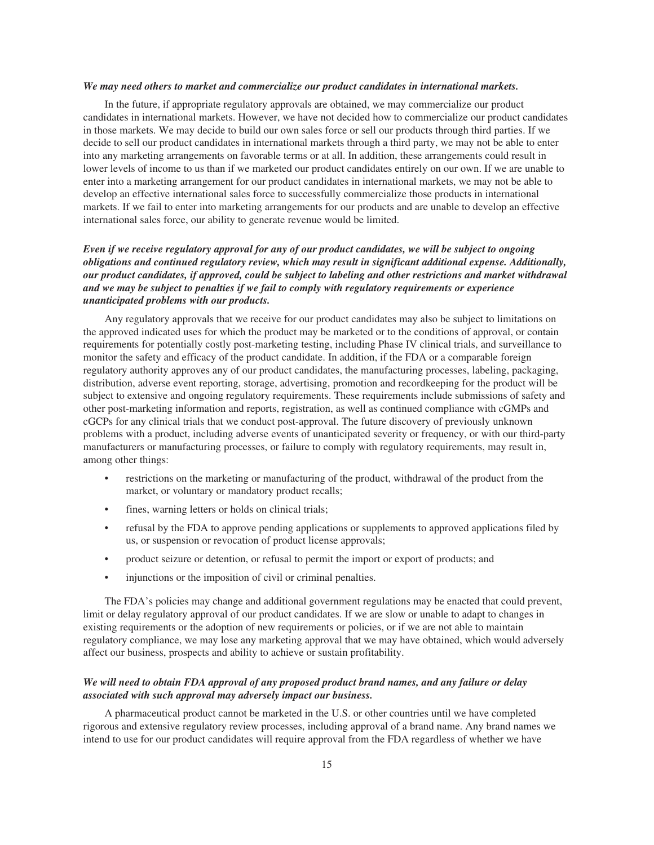#### *We may need others to market and commercialize our product candidates in international markets.*

In the future, if appropriate regulatory approvals are obtained, we may commercialize our product candidates in international markets. However, we have not decided how to commercialize our product candidates in those markets. We may decide to build our own sales force or sell our products through third parties. If we decide to sell our product candidates in international markets through a third party, we may not be able to enter into any marketing arrangements on favorable terms or at all. In addition, these arrangements could result in lower levels of income to us than if we marketed our product candidates entirely on our own. If we are unable to enter into a marketing arrangement for our product candidates in international markets, we may not be able to develop an effective international sales force to successfully commercialize those products in international markets. If we fail to enter into marketing arrangements for our products and are unable to develop an effective international sales force, our ability to generate revenue would be limited.

## *Even if we receive regulatory approval for any of our product candidates, we will be subject to ongoing obligations and continued regulatory review, which may result in significant additional expense. Additionally, our product candidates, if approved, could be subject to labeling and other restrictions and market withdrawal and we may be subject to penalties if we fail to comply with regulatory requirements or experience unanticipated problems with our products.*

Any regulatory approvals that we receive for our product candidates may also be subject to limitations on the approved indicated uses for which the product may be marketed or to the conditions of approval, or contain requirements for potentially costly post-marketing testing, including Phase IV clinical trials, and surveillance to monitor the safety and efficacy of the product candidate. In addition, if the FDA or a comparable foreign regulatory authority approves any of our product candidates, the manufacturing processes, labeling, packaging, distribution, adverse event reporting, storage, advertising, promotion and recordkeeping for the product will be subject to extensive and ongoing regulatory requirements. These requirements include submissions of safety and other post-marketing information and reports, registration, as well as continued compliance with cGMPs and cGCPs for any clinical trials that we conduct post-approval. The future discovery of previously unknown problems with a product, including adverse events of unanticipated severity or frequency, or with our third-party manufacturers or manufacturing processes, or failure to comply with regulatory requirements, may result in, among other things:

- restrictions on the marketing or manufacturing of the product, withdrawal of the product from the market, or voluntary or mandatory product recalls;
- fines, warning letters or holds on clinical trials;
- refusal by the FDA to approve pending applications or supplements to approved applications filed by us, or suspension or revocation of product license approvals;
- product seizure or detention, or refusal to permit the import or export of products; and
- injunctions or the imposition of civil or criminal penalties.

The FDA's policies may change and additional government regulations may be enacted that could prevent, limit or delay regulatory approval of our product candidates. If we are slow or unable to adapt to changes in existing requirements or the adoption of new requirements or policies, or if we are not able to maintain regulatory compliance, we may lose any marketing approval that we may have obtained, which would adversely affect our business, prospects and ability to achieve or sustain profitability.

## *We will need to obtain FDA approval of any proposed product brand names, and any failure or delay associated with such approval may adversely impact our business.*

A pharmaceutical product cannot be marketed in the U.S. or other countries until we have completed rigorous and extensive regulatory review processes, including approval of a brand name. Any brand names we intend to use for our product candidates will require approval from the FDA regardless of whether we have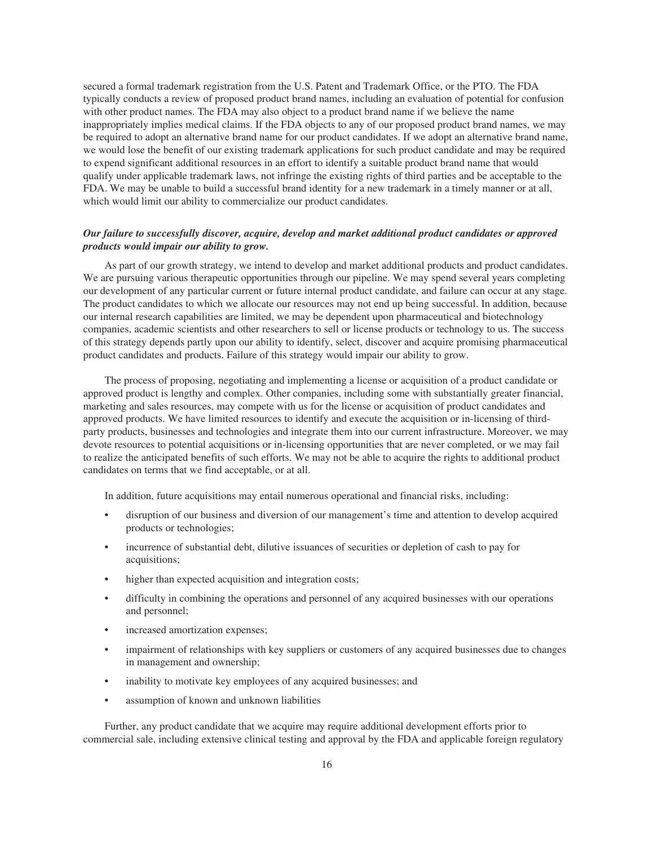secured a formal trademark registration from the U.S. Patent and Trademark Office, or the PTO. The FDA typically conducts a review of proposed product brand names, including an evaluation of potential for confusion with other product names. The FDA may also object to a product brand name if we believe the name inappropriately implies medical claims. If the FDA objects to any of our proposed product brand names, we may be required to adopt an alternative brand name for our product candidates. If we adopt an alternative brand name, we would lose the benefit of our existing trademark applications for such product candidate and may be required to expend significant additional resources in an effort to identify a suitable product brand name that would qualify under applicable trademark laws, not infringe the existing rights of third parties and be acceptable to the FDA. We may be unable to build a successful brand identity for a new trademark in a timely manner or at all, which would limit our ability to commercialize our product candidates.

## *Our failure to successfully discover, acquire, develop and market additional product candidates or approved products would impair our ability to grow.*

As part of our growth strategy, we intend to develop and market additional products and product candidates. We are pursuing various therapeutic opportunities through our pipeline. We may spend several years completing our development of any particular current or future internal product candidate, and failure can occur at any stage. The product candidates to which we allocate our resources may not end up being successful. In addition, because our internal research capabilities are limited, we may be dependent upon pharmaceutical and biotechnology companies, academic scientists and other researchers to sell or license products or technology to us. The success of this strategy depends partly upon our ability to identify, select, discover and acquire promising pharmaceutical product candidates and products. Failure of this strategy would impair our ability to grow.

The process of proposing, negotiating and implementing a license or acquisition of a product candidate or approved product is lengthy and complex. Other companies, including some with substantially greater financial, marketing and sales resources, may compete with us for the license or acquisition of product candidates and approved products. We have limited resources to identify and execute the acquisition or in-licensing of thirdparty products, businesses and technologies and integrate them into our current infrastructure. Moreover, we may devote resources to potential acquisitions or in-licensing opportunities that are never completed, or we may fail to realize the anticipated benefits of such efforts. We may not be able to acquire the rights to additional product candidates on terms that we find acceptable, or at all.

In addition, future acquisitions may entail numerous operational and financial risks, including:

- disruption of our business and diversion of our management's time and attention to develop acquired products or technologies;
- incurrence of substantial debt, dilutive issuances of securities or depletion of cash to pay for acquisitions;
- higher than expected acquisition and integration costs;
- difficulty in combining the operations and personnel of any acquired businesses with our operations and personnel;
- increased amortization expenses;
- impairment of relationships with key suppliers or customers of any acquired businesses due to changes in management and ownership;
- inability to motivate key employees of any acquired businesses; and
- assumption of known and unknown liabilities

Further, any product candidate that we acquire may require additional development efforts prior to commercial sale, including extensive clinical testing and approval by the FDA and applicable foreign regulatory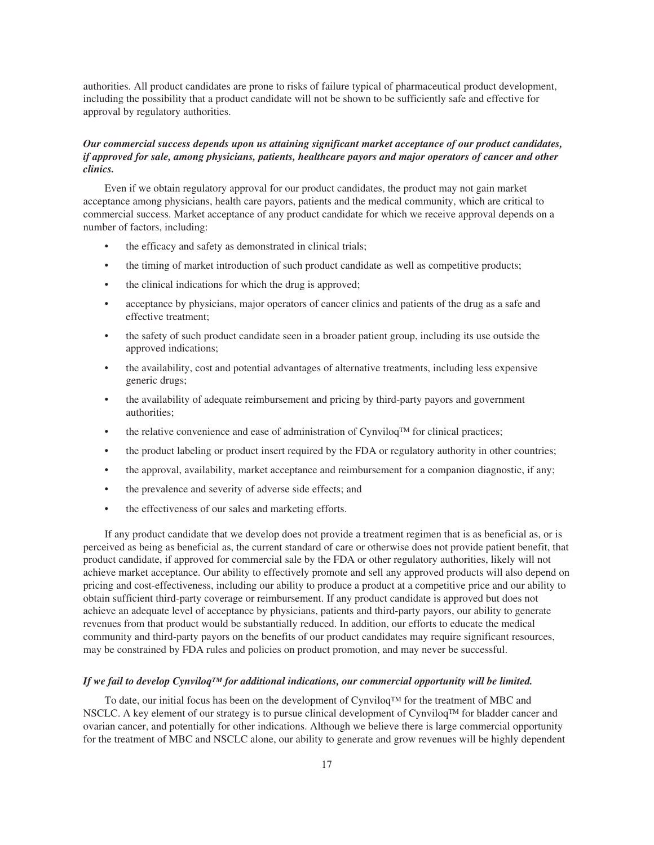authorities. All product candidates are prone to risks of failure typical of pharmaceutical product development, including the possibility that a product candidate will not be shown to be sufficiently safe and effective for approval by regulatory authorities.

## *Our commercial success depends upon us attaining significant market acceptance of our product candidates, if approved for sale, among physicians, patients, healthcare payors and major operators of cancer and other clinics.*

Even if we obtain regulatory approval for our product candidates, the product may not gain market acceptance among physicians, health care payors, patients and the medical community, which are critical to commercial success. Market acceptance of any product candidate for which we receive approval depends on a number of factors, including:

- the efficacy and safety as demonstrated in clinical trials;
- the timing of market introduction of such product candidate as well as competitive products;
- the clinical indications for which the drug is approved;
- acceptance by physicians, major operators of cancer clinics and patients of the drug as a safe and effective treatment;
- the safety of such product candidate seen in a broader patient group, including its use outside the approved indications;
- the availability, cost and potential advantages of alternative treatments, including less expensive generic drugs;
- the availability of adequate reimbursement and pricing by third-party payors and government authorities;
- the relative convenience and ease of administration of Cynviloq<sup>TM</sup> for clinical practices;
- the product labeling or product insert required by the FDA or regulatory authority in other countries;
- the approval, availability, market acceptance and reimbursement for a companion diagnostic, if any;
- the prevalence and severity of adverse side effects; and
- the effectiveness of our sales and marketing efforts.

If any product candidate that we develop does not provide a treatment regimen that is as beneficial as, or is perceived as being as beneficial as, the current standard of care or otherwise does not provide patient benefit, that product candidate, if approved for commercial sale by the FDA or other regulatory authorities, likely will not achieve market acceptance. Our ability to effectively promote and sell any approved products will also depend on pricing and cost-effectiveness, including our ability to produce a product at a competitive price and our ability to obtain sufficient third-party coverage or reimbursement. If any product candidate is approved but does not achieve an adequate level of acceptance by physicians, patients and third-party payors, our ability to generate revenues from that product would be substantially reduced. In addition, our efforts to educate the medical community and third-party payors on the benefits of our product candidates may require significant resources, may be constrained by FDA rules and policies on product promotion, and may never be successful.

#### *If we fail to develop CynviloqTM for additional indications, our commercial opportunity will be limited.*

To date, our initial focus has been on the development of  $Cynviloq^{TM}$  for the treatment of MBC and NSCLC. A key element of our strategy is to pursue clinical development of Cynviloq™ for bladder cancer and ovarian cancer, and potentially for other indications. Although we believe there is large commercial opportunity for the treatment of MBC and NSCLC alone, our ability to generate and grow revenues will be highly dependent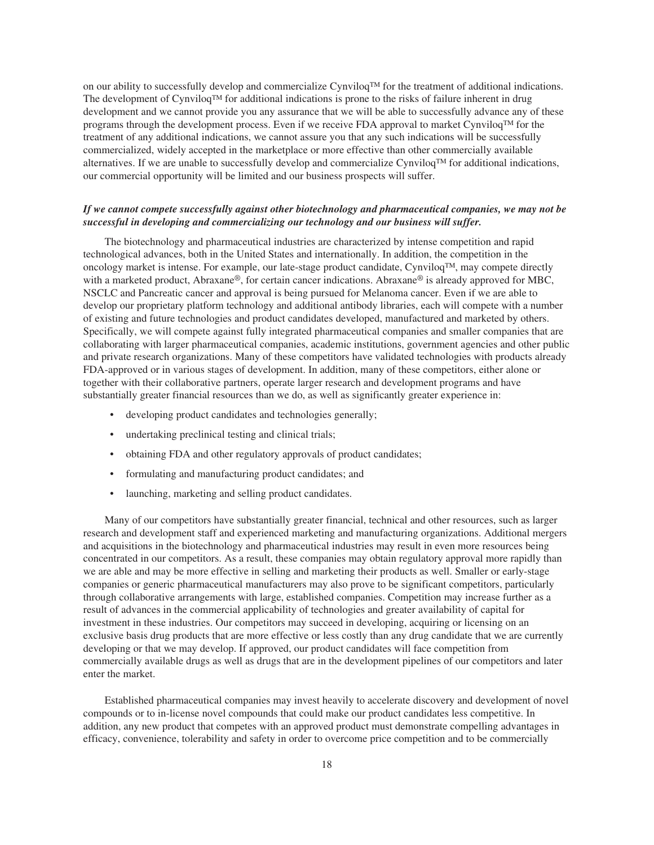on our ability to successfully develop and commercialize Cynviloq<sup> $TM$ </sup> for the treatment of additional indications. The development of Cynviloq<sup>TM</sup> for additional indications is prone to the risks of failure inherent in drug development and we cannot provide you any assurance that we will be able to successfully advance any of these programs through the development process. Even if we receive FDA approval to market Cynviloq<sup>TM</sup> for the treatment of any additional indications, we cannot assure you that any such indications will be successfully commercialized, widely accepted in the marketplace or more effective than other commercially available alternatives. If we are unable to successfully develop and commercialize Cynviloq<sup>TM</sup> for additional indications, our commercial opportunity will be limited and our business prospects will suffer.

## *If we cannot compete successfully against other biotechnology and pharmaceutical companies, we may not be successful in developing and commercializing our technology and our business will suffer.*

The biotechnology and pharmaceutical industries are characterized by intense competition and rapid technological advances, both in the United States and internationally. In addition, the competition in the oncology market is intense. For example, our late-stage product candidate, CynviloqTM, may compete directly with a marketed product, Abraxane®, for certain cancer indications. Abraxane® is already approved for MBC, NSCLC and Pancreatic cancer and approval is being pursued for Melanoma cancer. Even if we are able to develop our proprietary platform technology and additional antibody libraries, each will compete with a number of existing and future technologies and product candidates developed, manufactured and marketed by others. Specifically, we will compete against fully integrated pharmaceutical companies and smaller companies that are collaborating with larger pharmaceutical companies, academic institutions, government agencies and other public and private research organizations. Many of these competitors have validated technologies with products already FDA-approved or in various stages of development. In addition, many of these competitors, either alone or together with their collaborative partners, operate larger research and development programs and have substantially greater financial resources than we do, as well as significantly greater experience in:

- developing product candidates and technologies generally;
- undertaking preclinical testing and clinical trials;
- obtaining FDA and other regulatory approvals of product candidates;
- formulating and manufacturing product candidates; and
- launching, marketing and selling product candidates.

Many of our competitors have substantially greater financial, technical and other resources, such as larger research and development staff and experienced marketing and manufacturing organizations. Additional mergers and acquisitions in the biotechnology and pharmaceutical industries may result in even more resources being concentrated in our competitors. As a result, these companies may obtain regulatory approval more rapidly than we are able and may be more effective in selling and marketing their products as well. Smaller or early-stage companies or generic pharmaceutical manufacturers may also prove to be significant competitors, particularly through collaborative arrangements with large, established companies. Competition may increase further as a result of advances in the commercial applicability of technologies and greater availability of capital for investment in these industries. Our competitors may succeed in developing, acquiring or licensing on an exclusive basis drug products that are more effective or less costly than any drug candidate that we are currently developing or that we may develop. If approved, our product candidates will face competition from commercially available drugs as well as drugs that are in the development pipelines of our competitors and later enter the market.

Established pharmaceutical companies may invest heavily to accelerate discovery and development of novel compounds or to in-license novel compounds that could make our product candidates less competitive. In addition, any new product that competes with an approved product must demonstrate compelling advantages in efficacy, convenience, tolerability and safety in order to overcome price competition and to be commercially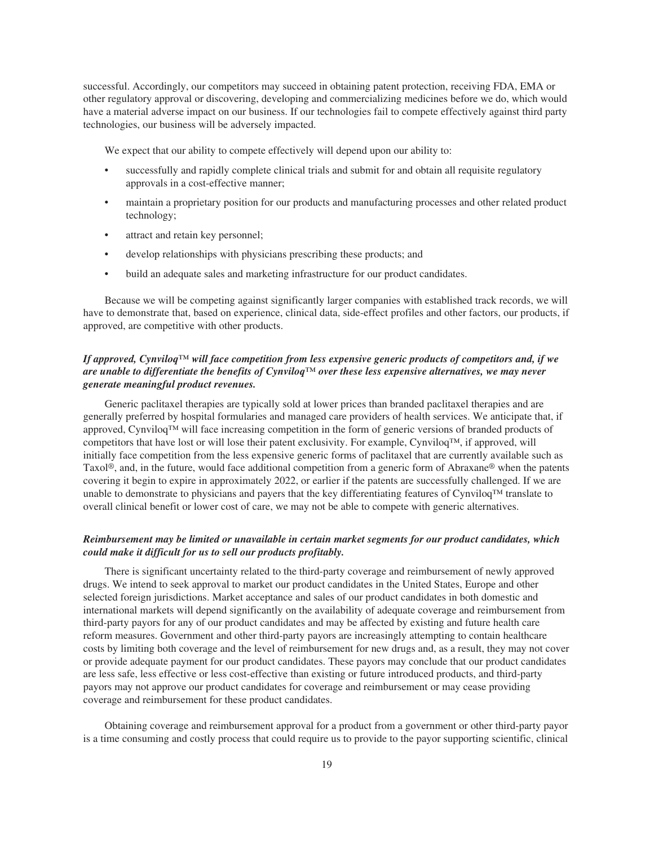successful. Accordingly, our competitors may succeed in obtaining patent protection, receiving FDA, EMA or other regulatory approval or discovering, developing and commercializing medicines before we do, which would have a material adverse impact on our business. If our technologies fail to compete effectively against third party technologies, our business will be adversely impacted.

We expect that our ability to compete effectively will depend upon our ability to:

- successfully and rapidly complete clinical trials and submit for and obtain all requisite regulatory approvals in a cost-effective manner;
- maintain a proprietary position for our products and manufacturing processes and other related product technology;
- attract and retain key personnel;
- develop relationships with physicians prescribing these products; and
- build an adequate sales and marketing infrastructure for our product candidates.

Because we will be competing against significantly larger companies with established track records, we will have to demonstrate that, based on experience, clinical data, side-effect profiles and other factors, our products, if approved, are competitive with other products.

## *If approved, Cynviloq™ will face competition from less expensive generic products of competitors and, if we are unable to differentiate the benefits of Cynviloq™ over these less expensive alternatives, we may never generate meaningful product revenues.*

Generic paclitaxel therapies are typically sold at lower prices than branded paclitaxel therapies and are generally preferred by hospital formularies and managed care providers of health services. We anticipate that, if approved, Cynviloq™ will face increasing competition in the form of generic versions of branded products of competitors that have lost or will lose their patent exclusivity. For example, Cynviloq™, if approved, will initially face competition from the less expensive generic forms of paclitaxel that are currently available such as Taxol®, and, in the future, would face additional competition from a generic form of Abraxane® when the patents covering it begin to expire in approximately 2022, or earlier if the patents are successfully challenged. If we are unable to demonstrate to physicians and payers that the key differentiating features of Cynviloq™ translate to overall clinical benefit or lower cost of care, we may not be able to compete with generic alternatives.

## *Reimbursement may be limited or unavailable in certain market segments for our product candidates, which could make it difficult for us to sell our products profitably.*

There is significant uncertainty related to the third-party coverage and reimbursement of newly approved drugs. We intend to seek approval to market our product candidates in the United States, Europe and other selected foreign jurisdictions. Market acceptance and sales of our product candidates in both domestic and international markets will depend significantly on the availability of adequate coverage and reimbursement from third-party payors for any of our product candidates and may be affected by existing and future health care reform measures. Government and other third-party payors are increasingly attempting to contain healthcare costs by limiting both coverage and the level of reimbursement for new drugs and, as a result, they may not cover or provide adequate payment for our product candidates. These payors may conclude that our product candidates are less safe, less effective or less cost-effective than existing or future introduced products, and third-party payors may not approve our product candidates for coverage and reimbursement or may cease providing coverage and reimbursement for these product candidates.

Obtaining coverage and reimbursement approval for a product from a government or other third-party payor is a time consuming and costly process that could require us to provide to the payor supporting scientific, clinical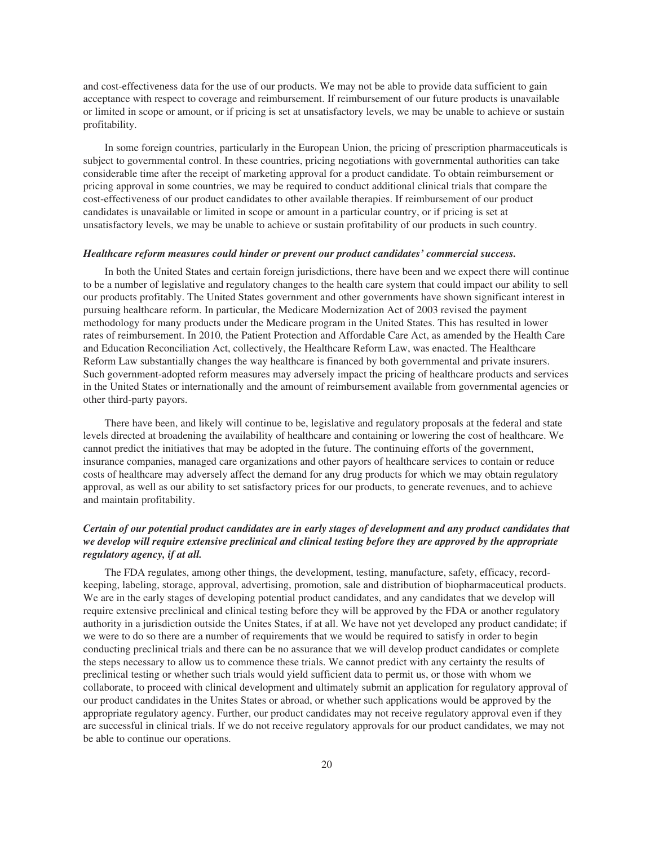and cost-effectiveness data for the use of our products. We may not be able to provide data sufficient to gain acceptance with respect to coverage and reimbursement. If reimbursement of our future products is unavailable or limited in scope or amount, or if pricing is set at unsatisfactory levels, we may be unable to achieve or sustain profitability.

In some foreign countries, particularly in the European Union, the pricing of prescription pharmaceuticals is subject to governmental control. In these countries, pricing negotiations with governmental authorities can take considerable time after the receipt of marketing approval for a product candidate. To obtain reimbursement or pricing approval in some countries, we may be required to conduct additional clinical trials that compare the cost-effectiveness of our product candidates to other available therapies. If reimbursement of our product candidates is unavailable or limited in scope or amount in a particular country, or if pricing is set at unsatisfactory levels, we may be unable to achieve or sustain profitability of our products in such country.

#### *Healthcare reform measures could hinder or prevent our product candidates' commercial success.*

In both the United States and certain foreign jurisdictions, there have been and we expect there will continue to be a number of legislative and regulatory changes to the health care system that could impact our ability to sell our products profitably. The United States government and other governments have shown significant interest in pursuing healthcare reform. In particular, the Medicare Modernization Act of 2003 revised the payment methodology for many products under the Medicare program in the United States. This has resulted in lower rates of reimbursement. In 2010, the Patient Protection and Affordable Care Act, as amended by the Health Care and Education Reconciliation Act, collectively, the Healthcare Reform Law, was enacted. The Healthcare Reform Law substantially changes the way healthcare is financed by both governmental and private insurers. Such government-adopted reform measures may adversely impact the pricing of healthcare products and services in the United States or internationally and the amount of reimbursement available from governmental agencies or other third-party payors.

There have been, and likely will continue to be, legislative and regulatory proposals at the federal and state levels directed at broadening the availability of healthcare and containing or lowering the cost of healthcare. We cannot predict the initiatives that may be adopted in the future. The continuing efforts of the government, insurance companies, managed care organizations and other payors of healthcare services to contain or reduce costs of healthcare may adversely affect the demand for any drug products for which we may obtain regulatory approval, as well as our ability to set satisfactory prices for our products, to generate revenues, and to achieve and maintain profitability.

## *Certain of our potential product candidates are in early stages of development and any product candidates that we develop will require extensive preclinical and clinical testing before they are approved by the appropriate regulatory agency, if at all.*

The FDA regulates, among other things, the development, testing, manufacture, safety, efficacy, recordkeeping, labeling, storage, approval, advertising, promotion, sale and distribution of biopharmaceutical products. We are in the early stages of developing potential product candidates, and any candidates that we develop will require extensive preclinical and clinical testing before they will be approved by the FDA or another regulatory authority in a jurisdiction outside the Unites States, if at all. We have not yet developed any product candidate; if we were to do so there are a number of requirements that we would be required to satisfy in order to begin conducting preclinical trials and there can be no assurance that we will develop product candidates or complete the steps necessary to allow us to commence these trials. We cannot predict with any certainty the results of preclinical testing or whether such trials would yield sufficient data to permit us, or those with whom we collaborate, to proceed with clinical development and ultimately submit an application for regulatory approval of our product candidates in the Unites States or abroad, or whether such applications would be approved by the appropriate regulatory agency. Further, our product candidates may not receive regulatory approval even if they are successful in clinical trials. If we do not receive regulatory approvals for our product candidates, we may not be able to continue our operations.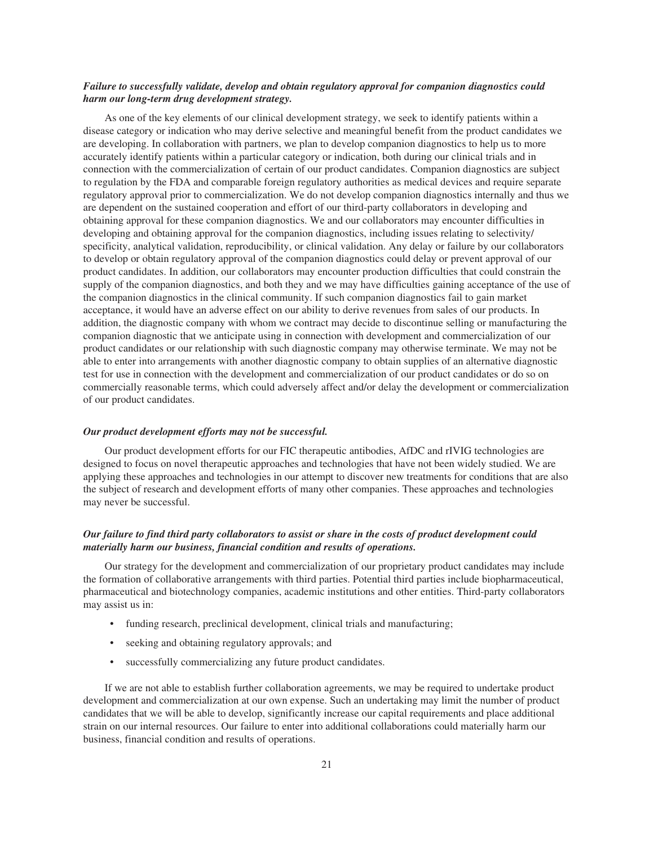## *Failure to successfully validate, develop and obtain regulatory approval for companion diagnostics could harm our long-term drug development strategy.*

As one of the key elements of our clinical development strategy, we seek to identify patients within a disease category or indication who may derive selective and meaningful benefit from the product candidates we are developing. In collaboration with partners, we plan to develop companion diagnostics to help us to more accurately identify patients within a particular category or indication, both during our clinical trials and in connection with the commercialization of certain of our product candidates. Companion diagnostics are subject to regulation by the FDA and comparable foreign regulatory authorities as medical devices and require separate regulatory approval prior to commercialization. We do not develop companion diagnostics internally and thus we are dependent on the sustained cooperation and effort of our third-party collaborators in developing and obtaining approval for these companion diagnostics. We and our collaborators may encounter difficulties in developing and obtaining approval for the companion diagnostics, including issues relating to selectivity/ specificity, analytical validation, reproducibility, or clinical validation. Any delay or failure by our collaborators to develop or obtain regulatory approval of the companion diagnostics could delay or prevent approval of our product candidates. In addition, our collaborators may encounter production difficulties that could constrain the supply of the companion diagnostics, and both they and we may have difficulties gaining acceptance of the use of the companion diagnostics in the clinical community. If such companion diagnostics fail to gain market acceptance, it would have an adverse effect on our ability to derive revenues from sales of our products. In addition, the diagnostic company with whom we contract may decide to discontinue selling or manufacturing the companion diagnostic that we anticipate using in connection with development and commercialization of our product candidates or our relationship with such diagnostic company may otherwise terminate. We may not be able to enter into arrangements with another diagnostic company to obtain supplies of an alternative diagnostic test for use in connection with the development and commercialization of our product candidates or do so on commercially reasonable terms, which could adversely affect and/or delay the development or commercialization of our product candidates.

#### *Our product development efforts may not be successful.*

Our product development efforts for our FIC therapeutic antibodies, AfDC and rIVIG technologies are designed to focus on novel therapeutic approaches and technologies that have not been widely studied. We are applying these approaches and technologies in our attempt to discover new treatments for conditions that are also the subject of research and development efforts of many other companies. These approaches and technologies may never be successful.

## *Our failure to find third party collaborators to assist or share in the costs of product development could materially harm our business, financial condition and results of operations.*

Our strategy for the development and commercialization of our proprietary product candidates may include the formation of collaborative arrangements with third parties. Potential third parties include biopharmaceutical, pharmaceutical and biotechnology companies, academic institutions and other entities. Third-party collaborators may assist us in:

- funding research, preclinical development, clinical trials and manufacturing;
- seeking and obtaining regulatory approvals; and
- successfully commercializing any future product candidates.

If we are not able to establish further collaboration agreements, we may be required to undertake product development and commercialization at our own expense. Such an undertaking may limit the number of product candidates that we will be able to develop, significantly increase our capital requirements and place additional strain on our internal resources. Our failure to enter into additional collaborations could materially harm our business, financial condition and results of operations.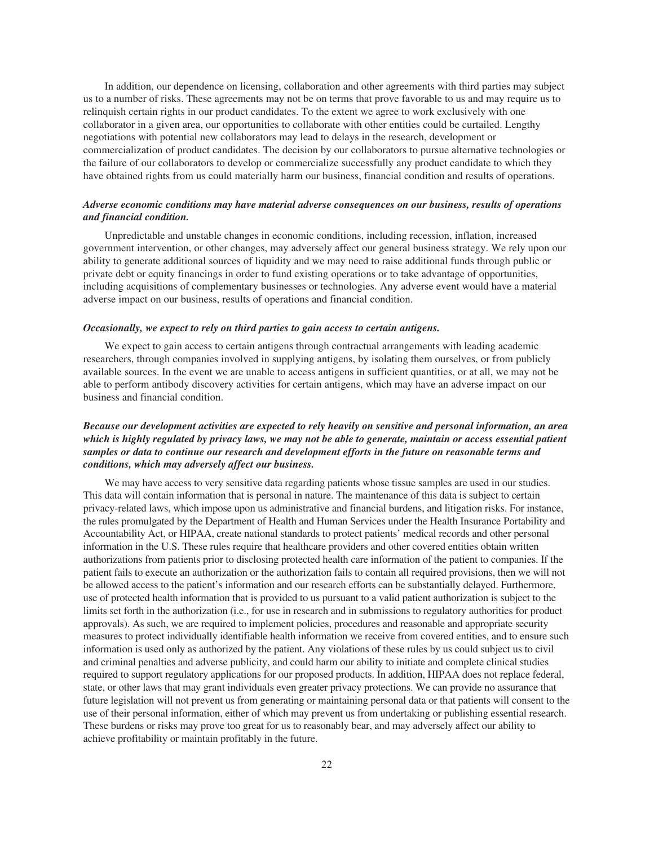In addition, our dependence on licensing, collaboration and other agreements with third parties may subject us to a number of risks. These agreements may not be on terms that prove favorable to us and may require us to relinquish certain rights in our product candidates. To the extent we agree to work exclusively with one collaborator in a given area, our opportunities to collaborate with other entities could be curtailed. Lengthy negotiations with potential new collaborators may lead to delays in the research, development or commercialization of product candidates. The decision by our collaborators to pursue alternative technologies or the failure of our collaborators to develop or commercialize successfully any product candidate to which they have obtained rights from us could materially harm our business, financial condition and results of operations.

## *Adverse economic conditions may have material adverse consequences on our business, results of operations and financial condition.*

Unpredictable and unstable changes in economic conditions, including recession, inflation, increased government intervention, or other changes, may adversely affect our general business strategy. We rely upon our ability to generate additional sources of liquidity and we may need to raise additional funds through public or private debt or equity financings in order to fund existing operations or to take advantage of opportunities, including acquisitions of complementary businesses or technologies. Any adverse event would have a material adverse impact on our business, results of operations and financial condition.

#### *Occasionally, we expect to rely on third parties to gain access to certain antigens.*

We expect to gain access to certain antigens through contractual arrangements with leading academic researchers, through companies involved in supplying antigens, by isolating them ourselves, or from publicly available sources. In the event we are unable to access antigens in sufficient quantities, or at all, we may not be able to perform antibody discovery activities for certain antigens, which may have an adverse impact on our business and financial condition.

## *Because our development activities are expected to rely heavily on sensitive and personal information, an area which is highly regulated by privacy laws, we may not be able to generate, maintain or access essential patient samples or data to continue our research and development efforts in the future on reasonable terms and conditions, which may adversely affect our business.*

We may have access to very sensitive data regarding patients whose tissue samples are used in our studies. This data will contain information that is personal in nature. The maintenance of this data is subject to certain privacy-related laws, which impose upon us administrative and financial burdens, and litigation risks. For instance, the rules promulgated by the Department of Health and Human Services under the Health Insurance Portability and Accountability Act, or HIPAA, create national standards to protect patients' medical records and other personal information in the U.S. These rules require that healthcare providers and other covered entities obtain written authorizations from patients prior to disclosing protected health care information of the patient to companies. If the patient fails to execute an authorization or the authorization fails to contain all required provisions, then we will not be allowed access to the patient's information and our research efforts can be substantially delayed. Furthermore, use of protected health information that is provided to us pursuant to a valid patient authorization is subject to the limits set forth in the authorization (i.e., for use in research and in submissions to regulatory authorities for product approvals). As such, we are required to implement policies, procedures and reasonable and appropriate security measures to protect individually identifiable health information we receive from covered entities, and to ensure such information is used only as authorized by the patient. Any violations of these rules by us could subject us to civil and criminal penalties and adverse publicity, and could harm our ability to initiate and complete clinical studies required to support regulatory applications for our proposed products. In addition, HIPAA does not replace federal, state, or other laws that may grant individuals even greater privacy protections. We can provide no assurance that future legislation will not prevent us from generating or maintaining personal data or that patients will consent to the use of their personal information, either of which may prevent us from undertaking or publishing essential research. These burdens or risks may prove too great for us to reasonably bear, and may adversely affect our ability to achieve profitability or maintain profitably in the future.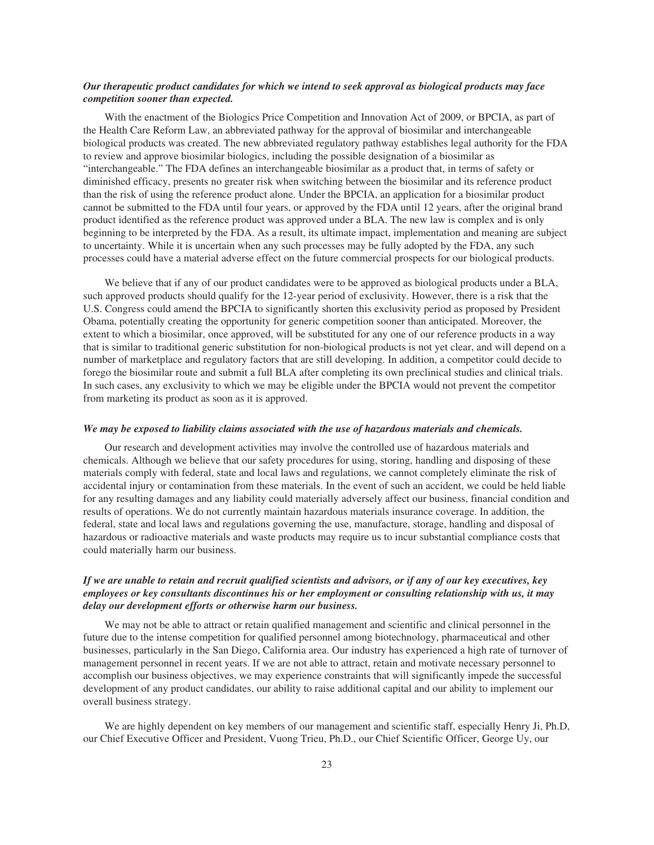## *Our therapeutic product candidates for which we intend to seek approval as biological products may face competition sooner than expected.*

With the enactment of the Biologics Price Competition and Innovation Act of 2009, or BPCIA, as part of the Health Care Reform Law, an abbreviated pathway for the approval of biosimilar and interchangeable biological products was created. The new abbreviated regulatory pathway establishes legal authority for the FDA to review and approve biosimilar biologics, including the possible designation of a biosimilar as "interchangeable." The FDA defines an interchangeable biosimilar as a product that, in terms of safety or diminished efficacy, presents no greater risk when switching between the biosimilar and its reference product than the risk of using the reference product alone. Under the BPCIA, an application for a biosimilar product cannot be submitted to the FDA until four years, or approved by the FDA until 12 years, after the original brand product identified as the reference product was approved under a BLA. The new law is complex and is only beginning to be interpreted by the FDA. As a result, its ultimate impact, implementation and meaning are subject to uncertainty. While it is uncertain when any such processes may be fully adopted by the FDA, any such processes could have a material adverse effect on the future commercial prospects for our biological products.

We believe that if any of our product candidates were to be approved as biological products under a BLA, such approved products should qualify for the 12-year period of exclusivity. However, there is a risk that the U.S. Congress could amend the BPCIA to significantly shorten this exclusivity period as proposed by President Obama, potentially creating the opportunity for generic competition sooner than anticipated. Moreover, the extent to which a biosimilar, once approved, will be substituted for any one of our reference products in a way that is similar to traditional generic substitution for non-biological products is not yet clear, and will depend on a number of marketplace and regulatory factors that are still developing. In addition, a competitor could decide to forego the biosimilar route and submit a full BLA after completing its own preclinical studies and clinical trials. In such cases, any exclusivity to which we may be eligible under the BPCIA would not prevent the competitor from marketing its product as soon as it is approved.

#### *We may be exposed to liability claims associated with the use of hazardous materials and chemicals.*

Our research and development activities may involve the controlled use of hazardous materials and chemicals. Although we believe that our safety procedures for using, storing, handling and disposing of these materials comply with federal, state and local laws and regulations, we cannot completely eliminate the risk of accidental injury or contamination from these materials. In the event of such an accident, we could be held liable for any resulting damages and any liability could materially adversely affect our business, financial condition and results of operations. We do not currently maintain hazardous materials insurance coverage. In addition, the federal, state and local laws and regulations governing the use, manufacture, storage, handling and disposal of hazardous or radioactive materials and waste products may require us to incur substantial compliance costs that could materially harm our business.

## *If we are unable to retain and recruit qualified scientists and advisors, or if any of our key executives, key employees or key consultants discontinues his or her employment or consulting relationship with us, it may delay our development efforts or otherwise harm our business.*

We may not be able to attract or retain qualified management and scientific and clinical personnel in the future due to the intense competition for qualified personnel among biotechnology, pharmaceutical and other businesses, particularly in the San Diego, California area. Our industry has experienced a high rate of turnover of management personnel in recent years. If we are not able to attract, retain and motivate necessary personnel to accomplish our business objectives, we may experience constraints that will significantly impede the successful development of any product candidates, our ability to raise additional capital and our ability to implement our overall business strategy.

We are highly dependent on key members of our management and scientific staff, especially Henry Ji, Ph.D, our Chief Executive Officer and President, Vuong Trieu, Ph.D., our Chief Scientific Officer, George Uy, our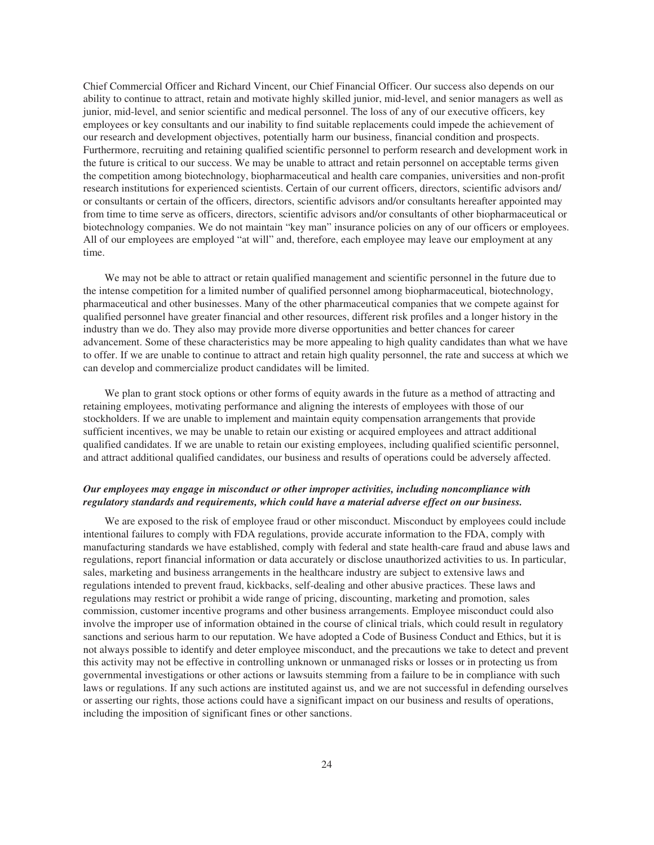Chief Commercial Officer and Richard Vincent, our Chief Financial Officer. Our success also depends on our ability to continue to attract, retain and motivate highly skilled junior, mid-level, and senior managers as well as junior, mid-level, and senior scientific and medical personnel. The loss of any of our executive officers, key employees or key consultants and our inability to find suitable replacements could impede the achievement of our research and development objectives, potentially harm our business, financial condition and prospects. Furthermore, recruiting and retaining qualified scientific personnel to perform research and development work in the future is critical to our success. We may be unable to attract and retain personnel on acceptable terms given the competition among biotechnology, biopharmaceutical and health care companies, universities and non-profit research institutions for experienced scientists. Certain of our current officers, directors, scientific advisors and/ or consultants or certain of the officers, directors, scientific advisors and/or consultants hereafter appointed may from time to time serve as officers, directors, scientific advisors and/or consultants of other biopharmaceutical or biotechnology companies. We do not maintain "key man" insurance policies on any of our officers or employees. All of our employees are employed "at will" and, therefore, each employee may leave our employment at any time.

We may not be able to attract or retain qualified management and scientific personnel in the future due to the intense competition for a limited number of qualified personnel among biopharmaceutical, biotechnology, pharmaceutical and other businesses. Many of the other pharmaceutical companies that we compete against for qualified personnel have greater financial and other resources, different risk profiles and a longer history in the industry than we do. They also may provide more diverse opportunities and better chances for career advancement. Some of these characteristics may be more appealing to high quality candidates than what we have to offer. If we are unable to continue to attract and retain high quality personnel, the rate and success at which we can develop and commercialize product candidates will be limited.

We plan to grant stock options or other forms of equity awards in the future as a method of attracting and retaining employees, motivating performance and aligning the interests of employees with those of our stockholders. If we are unable to implement and maintain equity compensation arrangements that provide sufficient incentives, we may be unable to retain our existing or acquired employees and attract additional qualified candidates. If we are unable to retain our existing employees, including qualified scientific personnel, and attract additional qualified candidates, our business and results of operations could be adversely affected.

## *Our employees may engage in misconduct or other improper activities, including noncompliance with regulatory standards and requirements, which could have a material adverse effect on our business.*

We are exposed to the risk of employee fraud or other misconduct. Misconduct by employees could include intentional failures to comply with FDA regulations, provide accurate information to the FDA, comply with manufacturing standards we have established, comply with federal and state health-care fraud and abuse laws and regulations, report financial information or data accurately or disclose unauthorized activities to us. In particular, sales, marketing and business arrangements in the healthcare industry are subject to extensive laws and regulations intended to prevent fraud, kickbacks, self-dealing and other abusive practices. These laws and regulations may restrict or prohibit a wide range of pricing, discounting, marketing and promotion, sales commission, customer incentive programs and other business arrangements. Employee misconduct could also involve the improper use of information obtained in the course of clinical trials, which could result in regulatory sanctions and serious harm to our reputation. We have adopted a Code of Business Conduct and Ethics, but it is not always possible to identify and deter employee misconduct, and the precautions we take to detect and prevent this activity may not be effective in controlling unknown or unmanaged risks or losses or in protecting us from governmental investigations or other actions or lawsuits stemming from a failure to be in compliance with such laws or regulations. If any such actions are instituted against us, and we are not successful in defending ourselves or asserting our rights, those actions could have a significant impact on our business and results of operations, including the imposition of significant fines or other sanctions.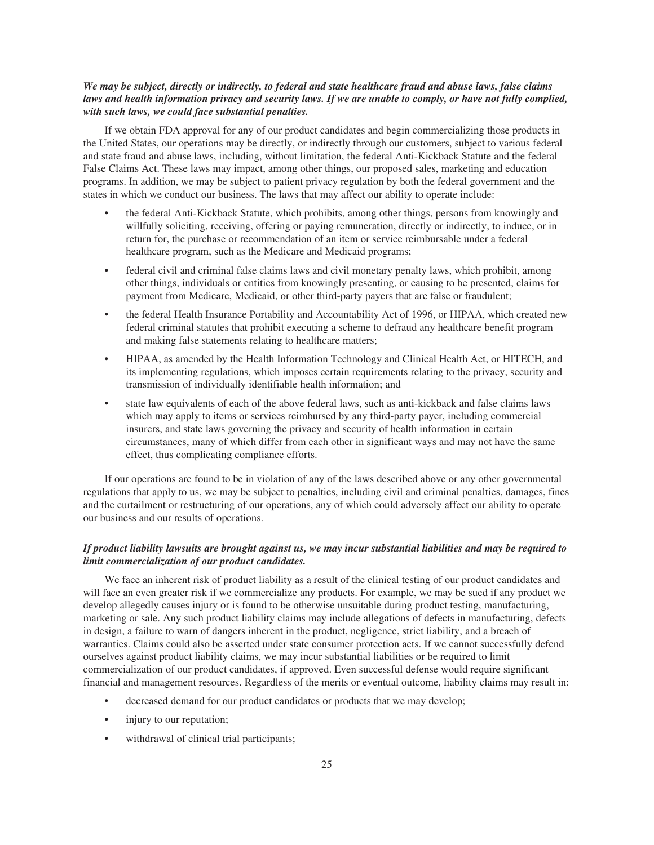## *We may be subject, directly or indirectly, to federal and state healthcare fraud and abuse laws, false claims laws and health information privacy and security laws. If we are unable to comply, or have not fully complied, with such laws, we could face substantial penalties.*

If we obtain FDA approval for any of our product candidates and begin commercializing those products in the United States, our operations may be directly, or indirectly through our customers, subject to various federal and state fraud and abuse laws, including, without limitation, the federal Anti-Kickback Statute and the federal False Claims Act. These laws may impact, among other things, our proposed sales, marketing and education programs. In addition, we may be subject to patient privacy regulation by both the federal government and the states in which we conduct our business. The laws that may affect our ability to operate include:

- the federal Anti-Kickback Statute, which prohibits, among other things, persons from knowingly and willfully soliciting, receiving, offering or paying remuneration, directly or indirectly, to induce, or in return for, the purchase or recommendation of an item or service reimbursable under a federal healthcare program, such as the Medicare and Medicaid programs;
- federal civil and criminal false claims laws and civil monetary penalty laws, which prohibit, among other things, individuals or entities from knowingly presenting, or causing to be presented, claims for payment from Medicare, Medicaid, or other third-party payers that are false or fraudulent;
- the federal Health Insurance Portability and Accountability Act of 1996, or HIPAA, which created new federal criminal statutes that prohibit executing a scheme to defraud any healthcare benefit program and making false statements relating to healthcare matters;
- HIPAA, as amended by the Health Information Technology and Clinical Health Act, or HITECH, and its implementing regulations, which imposes certain requirements relating to the privacy, security and transmission of individually identifiable health information; and
- state law equivalents of each of the above federal laws, such as anti-kickback and false claims laws which may apply to items or services reimbursed by any third-party payer, including commercial insurers, and state laws governing the privacy and security of health information in certain circumstances, many of which differ from each other in significant ways and may not have the same effect, thus complicating compliance efforts.

If our operations are found to be in violation of any of the laws described above or any other governmental regulations that apply to us, we may be subject to penalties, including civil and criminal penalties, damages, fines and the curtailment or restructuring of our operations, any of which could adversely affect our ability to operate our business and our results of operations.

## *If product liability lawsuits are brought against us, we may incur substantial liabilities and may be required to limit commercialization of our product candidates.*

We face an inherent risk of product liability as a result of the clinical testing of our product candidates and will face an even greater risk if we commercialize any products. For example, we may be sued if any product we develop allegedly causes injury or is found to be otherwise unsuitable during product testing, manufacturing, marketing or sale. Any such product liability claims may include allegations of defects in manufacturing, defects in design, a failure to warn of dangers inherent in the product, negligence, strict liability, and a breach of warranties. Claims could also be asserted under state consumer protection acts. If we cannot successfully defend ourselves against product liability claims, we may incur substantial liabilities or be required to limit commercialization of our product candidates, if approved. Even successful defense would require significant financial and management resources. Regardless of the merits or eventual outcome, liability claims may result in:

- decreased demand for our product candidates or products that we may develop;
- injury to our reputation;
- withdrawal of clinical trial participants;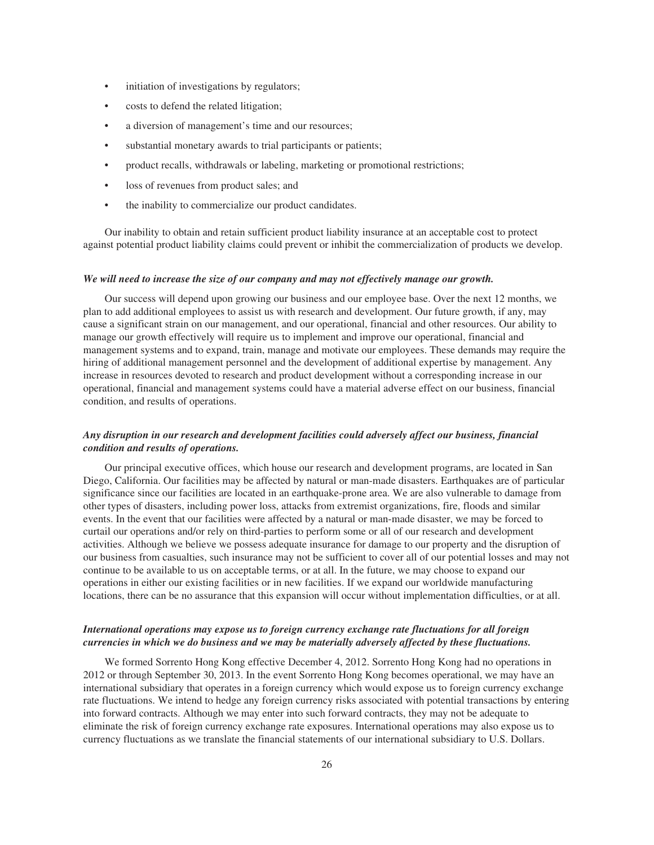- initiation of investigations by regulators;
- costs to defend the related litigation;
- a diversion of management's time and our resources;
- substantial monetary awards to trial participants or patients;
- product recalls, withdrawals or labeling, marketing or promotional restrictions;
- loss of revenues from product sales; and
- the inability to commercialize our product candidates.

Our inability to obtain and retain sufficient product liability insurance at an acceptable cost to protect against potential product liability claims could prevent or inhibit the commercialization of products we develop.

#### *We will need to increase the size of our company and may not effectively manage our growth.*

Our success will depend upon growing our business and our employee base. Over the next 12 months, we plan to add additional employees to assist us with research and development. Our future growth, if any, may cause a significant strain on our management, and our operational, financial and other resources. Our ability to manage our growth effectively will require us to implement and improve our operational, financial and management systems and to expand, train, manage and motivate our employees. These demands may require the hiring of additional management personnel and the development of additional expertise by management. Any increase in resources devoted to research and product development without a corresponding increase in our operational, financial and management systems could have a material adverse effect on our business, financial condition, and results of operations.

## *Any disruption in our research and development facilities could adversely affect our business, financial condition and results of operations.*

Our principal executive offices, which house our research and development programs, are located in San Diego, California. Our facilities may be affected by natural or man-made disasters. Earthquakes are of particular significance since our facilities are located in an earthquake-prone area. We are also vulnerable to damage from other types of disasters, including power loss, attacks from extremist organizations, fire, floods and similar events. In the event that our facilities were affected by a natural or man-made disaster, we may be forced to curtail our operations and/or rely on third-parties to perform some or all of our research and development activities. Although we believe we possess adequate insurance for damage to our property and the disruption of our business from casualties, such insurance may not be sufficient to cover all of our potential losses and may not continue to be available to us on acceptable terms, or at all. In the future, we may choose to expand our operations in either our existing facilities or in new facilities. If we expand our worldwide manufacturing locations, there can be no assurance that this expansion will occur without implementation difficulties, or at all.

## *International operations may expose us to foreign currency exchange rate fluctuations for all foreign currencies in which we do business and we may be materially adversely affected by these fluctuations.*

We formed Sorrento Hong Kong effective December 4, 2012. Sorrento Hong Kong had no operations in 2012 or through September 30, 2013. In the event Sorrento Hong Kong becomes operational, we may have an international subsidiary that operates in a foreign currency which would expose us to foreign currency exchange rate fluctuations. We intend to hedge any foreign currency risks associated with potential transactions by entering into forward contracts. Although we may enter into such forward contracts, they may not be adequate to eliminate the risk of foreign currency exchange rate exposures. International operations may also expose us to currency fluctuations as we translate the financial statements of our international subsidiary to U.S. Dollars.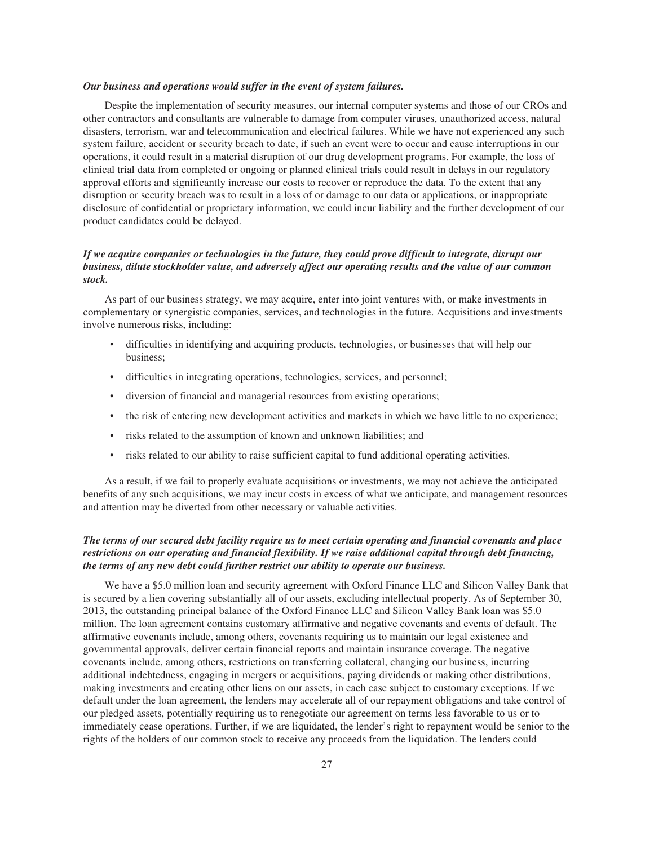#### *Our business and operations would suffer in the event of system failures.*

Despite the implementation of security measures, our internal computer systems and those of our CROs and other contractors and consultants are vulnerable to damage from computer viruses, unauthorized access, natural disasters, terrorism, war and telecommunication and electrical failures. While we have not experienced any such system failure, accident or security breach to date, if such an event were to occur and cause interruptions in our operations, it could result in a material disruption of our drug development programs. For example, the loss of clinical trial data from completed or ongoing or planned clinical trials could result in delays in our regulatory approval efforts and significantly increase our costs to recover or reproduce the data. To the extent that any disruption or security breach was to result in a loss of or damage to our data or applications, or inappropriate disclosure of confidential or proprietary information, we could incur liability and the further development of our product candidates could be delayed.

## *If we acquire companies or technologies in the future, they could prove difficult to integrate, disrupt our business, dilute stockholder value, and adversely affect our operating results and the value of our common stock.*

As part of our business strategy, we may acquire, enter into joint ventures with, or make investments in complementary or synergistic companies, services, and technologies in the future. Acquisitions and investments involve numerous risks, including:

- difficulties in identifying and acquiring products, technologies, or businesses that will help our business;
- difficulties in integrating operations, technologies, services, and personnel;
- diversion of financial and managerial resources from existing operations;
- the risk of entering new development activities and markets in which we have little to no experience;
- risks related to the assumption of known and unknown liabilities; and
- risks related to our ability to raise sufficient capital to fund additional operating activities.

As a result, if we fail to properly evaluate acquisitions or investments, we may not achieve the anticipated benefits of any such acquisitions, we may incur costs in excess of what we anticipate, and management resources and attention may be diverted from other necessary or valuable activities.

## *The terms of our secured debt facility require us to meet certain operating and financial covenants and place restrictions on our operating and financial flexibility. If we raise additional capital through debt financing, the terms of any new debt could further restrict our ability to operate our business.*

We have a \$5.0 million loan and security agreement with Oxford Finance LLC and Silicon Valley Bank that is secured by a lien covering substantially all of our assets, excluding intellectual property. As of September 30, 2013, the outstanding principal balance of the Oxford Finance LLC and Silicon Valley Bank loan was \$5.0 million. The loan agreement contains customary affirmative and negative covenants and events of default. The affirmative covenants include, among others, covenants requiring us to maintain our legal existence and governmental approvals, deliver certain financial reports and maintain insurance coverage. The negative covenants include, among others, restrictions on transferring collateral, changing our business, incurring additional indebtedness, engaging in mergers or acquisitions, paying dividends or making other distributions, making investments and creating other liens on our assets, in each case subject to customary exceptions. If we default under the loan agreement, the lenders may accelerate all of our repayment obligations and take control of our pledged assets, potentially requiring us to renegotiate our agreement on terms less favorable to us or to immediately cease operations. Further, if we are liquidated, the lender's right to repayment would be senior to the rights of the holders of our common stock to receive any proceeds from the liquidation. The lenders could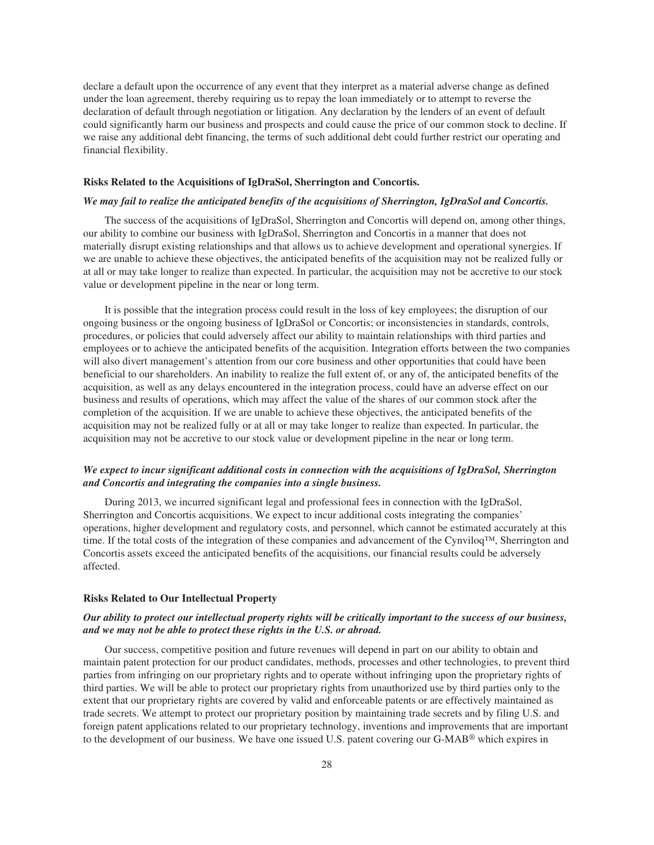declare a default upon the occurrence of any event that they interpret as a material adverse change as defined under the loan agreement, thereby requiring us to repay the loan immediately or to attempt to reverse the declaration of default through negotiation or litigation. Any declaration by the lenders of an event of default could significantly harm our business and prospects and could cause the price of our common stock to decline. If we raise any additional debt financing, the terms of such additional debt could further restrict our operating and financial flexibility.

#### **Risks Related to the Acquisitions of IgDraSol, Sherrington and Concortis.**

#### *We may fail to realize the anticipated benefits of the acquisitions of Sherrington, IgDraSol and Concortis.*

The success of the acquisitions of IgDraSol, Sherrington and Concortis will depend on, among other things, our ability to combine our business with IgDraSol, Sherrington and Concortis in a manner that does not materially disrupt existing relationships and that allows us to achieve development and operational synergies. If we are unable to achieve these objectives, the anticipated benefits of the acquisition may not be realized fully or at all or may take longer to realize than expected. In particular, the acquisition may not be accretive to our stock value or development pipeline in the near or long term.

It is possible that the integration process could result in the loss of key employees; the disruption of our ongoing business or the ongoing business of IgDraSol or Concortis; or inconsistencies in standards, controls, procedures, or policies that could adversely affect our ability to maintain relationships with third parties and employees or to achieve the anticipated benefits of the acquisition. Integration efforts between the two companies will also divert management's attention from our core business and other opportunities that could have been beneficial to our shareholders. An inability to realize the full extent of, or any of, the anticipated benefits of the acquisition, as well as any delays encountered in the integration process, could have an adverse effect on our business and results of operations, which may affect the value of the shares of our common stock after the completion of the acquisition. If we are unable to achieve these objectives, the anticipated benefits of the acquisition may not be realized fully or at all or may take longer to realize than expected. In particular, the acquisition may not be accretive to our stock value or development pipeline in the near or long term.

## *We expect to incur significant additional costs in connection with the acquisitions of IgDraSol, Sherrington and Concortis and integrating the companies into a single business.*

During 2013, we incurred significant legal and professional fees in connection with the IgDraSol, Sherrington and Concortis acquisitions. We expect to incur additional costs integrating the companies' operations, higher development and regulatory costs, and personnel, which cannot be estimated accurately at this time. If the total costs of the integration of these companies and advancement of the Cynviloq™, Sherrington and Concortis assets exceed the anticipated benefits of the acquisitions, our financial results could be adversely affected.

#### **Risks Related to Our Intellectual Property**

## *Our ability to protect our intellectual property rights will be critically important to the success of our business, and we may not be able to protect these rights in the U.S. or abroad.*

Our success, competitive position and future revenues will depend in part on our ability to obtain and maintain patent protection for our product candidates, methods, processes and other technologies, to prevent third parties from infringing on our proprietary rights and to operate without infringing upon the proprietary rights of third parties. We will be able to protect our proprietary rights from unauthorized use by third parties only to the extent that our proprietary rights are covered by valid and enforceable patents or are effectively maintained as trade secrets. We attempt to protect our proprietary position by maintaining trade secrets and by filing U.S. and foreign patent applications related to our proprietary technology, inventions and improvements that are important to the development of our business. We have one issued U.S. patent covering our G-MAB® which expires in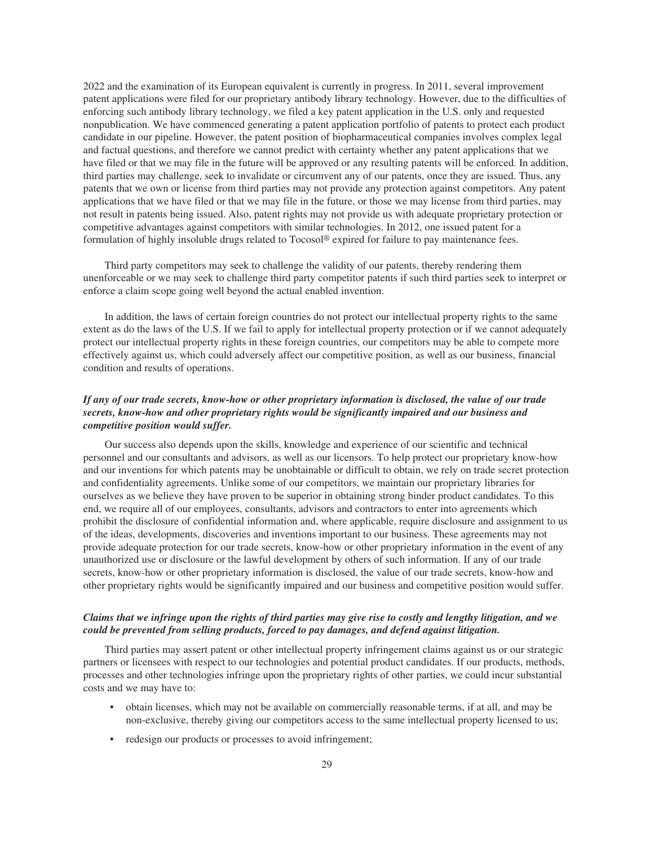2022 and the examination of its European equivalent is currently in progress. In 2011, several improvement patent applications were filed for our proprietary antibody library technology. However, due to the difficulties of enforcing such antibody library technology, we filed a key patent application in the U.S. only and requested nonpublication. We have commenced generating a patent application portfolio of patents to protect each product candidate in our pipeline. However, the patent position of biopharmaceutical companies involves complex legal and factual questions, and therefore we cannot predict with certainty whether any patent applications that we have filed or that we may file in the future will be approved or any resulting patents will be enforced. In addition, third parties may challenge, seek to invalidate or circumvent any of our patents, once they are issued. Thus, any patents that we own or license from third parties may not provide any protection against competitors. Any patent applications that we have filed or that we may file in the future, or those we may license from third parties, may not result in patents being issued. Also, patent rights may not provide us with adequate proprietary protection or competitive advantages against competitors with similar technologies. In 2012, one issued patent for a formulation of highly insoluble drugs related to Tocosol® expired for failure to pay maintenance fees.

Third party competitors may seek to challenge the validity of our patents, thereby rendering them unenforceable or we may seek to challenge third party competitor patents if such third parties seek to interpret or enforce a claim scope going well beyond the actual enabled invention.

In addition, the laws of certain foreign countries do not protect our intellectual property rights to the same extent as do the laws of the U.S. If we fail to apply for intellectual property protection or if we cannot adequately protect our intellectual property rights in these foreign countries, our competitors may be able to compete more effectively against us, which could adversely affect our competitive position, as well as our business, financial condition and results of operations.

## *If any of our trade secrets, know-how or other proprietary information is disclosed, the value of our trade secrets, know-how and other proprietary rights would be significantly impaired and our business and competitive position would suffer.*

Our success also depends upon the skills, knowledge and experience of our scientific and technical personnel and our consultants and advisors, as well as our licensors. To help protect our proprietary know-how and our inventions for which patents may be unobtainable or difficult to obtain, we rely on trade secret protection and confidentiality agreements. Unlike some of our competitors, we maintain our proprietary libraries for ourselves as we believe they have proven to be superior in obtaining strong binder product candidates. To this end, we require all of our employees, consultants, advisors and contractors to enter into agreements which prohibit the disclosure of confidential information and, where applicable, require disclosure and assignment to us of the ideas, developments, discoveries and inventions important to our business. These agreements may not provide adequate protection for our trade secrets, know-how or other proprietary information in the event of any unauthorized use or disclosure or the lawful development by others of such information. If any of our trade secrets, know-how or other proprietary information is disclosed, the value of our trade secrets, know-how and other proprietary rights would be significantly impaired and our business and competitive position would suffer.

## *Claims that we infringe upon the rights of third parties may give rise to costly and lengthy litigation, and we could be prevented from selling products, forced to pay damages, and defend against litigation.*

Third parties may assert patent or other intellectual property infringement claims against us or our strategic partners or licensees with respect to our technologies and potential product candidates. If our products, methods, processes and other technologies infringe upon the proprietary rights of other parties, we could incur substantial costs and we may have to:

- obtain licenses, which may not be available on commercially reasonable terms, if at all, and may be non-exclusive, thereby giving our competitors access to the same intellectual property licensed to us;
- redesign our products or processes to avoid infringement;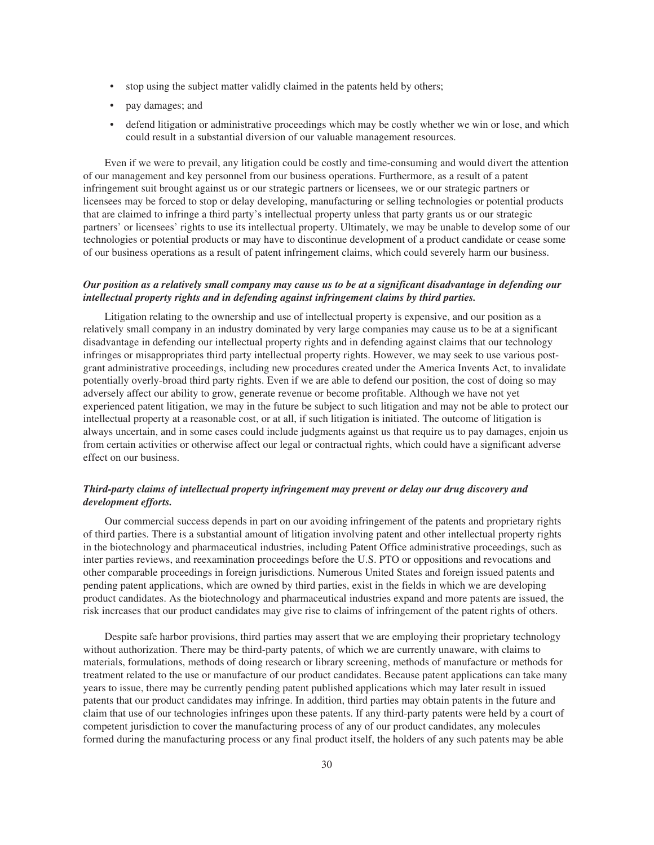- stop using the subject matter validly claimed in the patents held by others;
- pay damages; and
- defend litigation or administrative proceedings which may be costly whether we win or lose, and which could result in a substantial diversion of our valuable management resources.

Even if we were to prevail, any litigation could be costly and time-consuming and would divert the attention of our management and key personnel from our business operations. Furthermore, as a result of a patent infringement suit brought against us or our strategic partners or licensees, we or our strategic partners or licensees may be forced to stop or delay developing, manufacturing or selling technologies or potential products that are claimed to infringe a third party's intellectual property unless that party grants us or our strategic partners' or licensees' rights to use its intellectual property. Ultimately, we may be unable to develop some of our technologies or potential products or may have to discontinue development of a product candidate or cease some of our business operations as a result of patent infringement claims, which could severely harm our business.

## *Our position as a relatively small company may cause us to be at a significant disadvantage in defending our intellectual property rights and in defending against infringement claims by third parties.*

Litigation relating to the ownership and use of intellectual property is expensive, and our position as a relatively small company in an industry dominated by very large companies may cause us to be at a significant disadvantage in defending our intellectual property rights and in defending against claims that our technology infringes or misappropriates third party intellectual property rights. However, we may seek to use various postgrant administrative proceedings, including new procedures created under the America Invents Act, to invalidate potentially overly-broad third party rights. Even if we are able to defend our position, the cost of doing so may adversely affect our ability to grow, generate revenue or become profitable. Although we have not yet experienced patent litigation, we may in the future be subject to such litigation and may not be able to protect our intellectual property at a reasonable cost, or at all, if such litigation is initiated. The outcome of litigation is always uncertain, and in some cases could include judgments against us that require us to pay damages, enjoin us from certain activities or otherwise affect our legal or contractual rights, which could have a significant adverse effect on our business.

## *Third-party claims of intellectual property infringement may prevent or delay our drug discovery and development efforts.*

Our commercial success depends in part on our avoiding infringement of the patents and proprietary rights of third parties. There is a substantial amount of litigation involving patent and other intellectual property rights in the biotechnology and pharmaceutical industries, including Patent Office administrative proceedings, such as inter parties reviews, and reexamination proceedings before the U.S. PTO or oppositions and revocations and other comparable proceedings in foreign jurisdictions. Numerous United States and foreign issued patents and pending patent applications, which are owned by third parties, exist in the fields in which we are developing product candidates. As the biotechnology and pharmaceutical industries expand and more patents are issued, the risk increases that our product candidates may give rise to claims of infringement of the patent rights of others.

Despite safe harbor provisions, third parties may assert that we are employing their proprietary technology without authorization. There may be third-party patents, of which we are currently unaware, with claims to materials, formulations, methods of doing research or library screening, methods of manufacture or methods for treatment related to the use or manufacture of our product candidates. Because patent applications can take many years to issue, there may be currently pending patent published applications which may later result in issued patents that our product candidates may infringe. In addition, third parties may obtain patents in the future and claim that use of our technologies infringes upon these patents. If any third-party patents were held by a court of competent jurisdiction to cover the manufacturing process of any of our product candidates, any molecules formed during the manufacturing process or any final product itself, the holders of any such patents may be able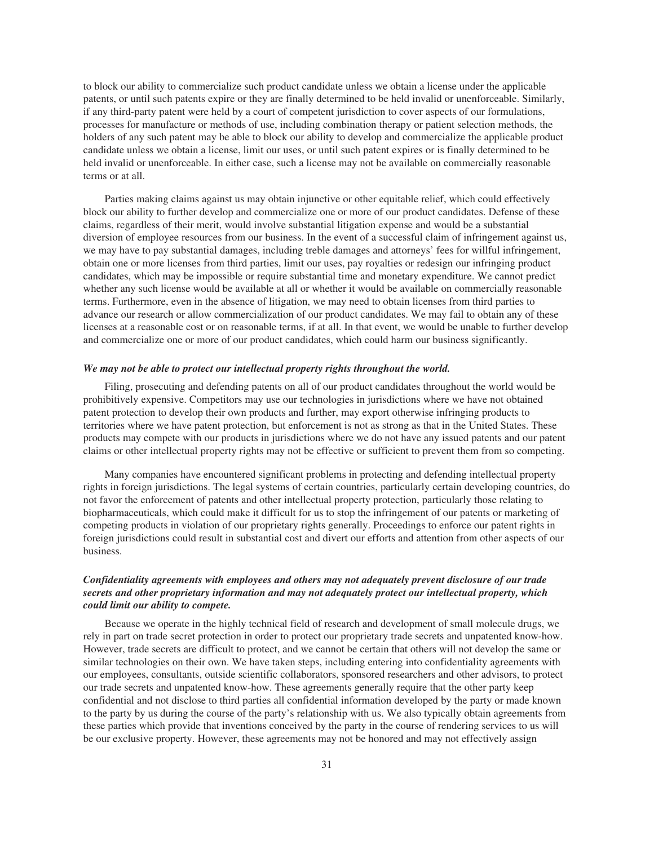to block our ability to commercialize such product candidate unless we obtain a license under the applicable patents, or until such patents expire or they are finally determined to be held invalid or unenforceable. Similarly, if any third-party patent were held by a court of competent jurisdiction to cover aspects of our formulations, processes for manufacture or methods of use, including combination therapy or patient selection methods, the holders of any such patent may be able to block our ability to develop and commercialize the applicable product candidate unless we obtain a license, limit our uses, or until such patent expires or is finally determined to be held invalid or unenforceable. In either case, such a license may not be available on commercially reasonable terms or at all.

Parties making claims against us may obtain injunctive or other equitable relief, which could effectively block our ability to further develop and commercialize one or more of our product candidates. Defense of these claims, regardless of their merit, would involve substantial litigation expense and would be a substantial diversion of employee resources from our business. In the event of a successful claim of infringement against us, we may have to pay substantial damages, including treble damages and attorneys' fees for willful infringement, obtain one or more licenses from third parties, limit our uses, pay royalties or redesign our infringing product candidates, which may be impossible or require substantial time and monetary expenditure. We cannot predict whether any such license would be available at all or whether it would be available on commercially reasonable terms. Furthermore, even in the absence of litigation, we may need to obtain licenses from third parties to advance our research or allow commercialization of our product candidates. We may fail to obtain any of these licenses at a reasonable cost or on reasonable terms, if at all. In that event, we would be unable to further develop and commercialize one or more of our product candidates, which could harm our business significantly.

#### *We may not be able to protect our intellectual property rights throughout the world.*

Filing, prosecuting and defending patents on all of our product candidates throughout the world would be prohibitively expensive. Competitors may use our technologies in jurisdictions where we have not obtained patent protection to develop their own products and further, may export otherwise infringing products to territories where we have patent protection, but enforcement is not as strong as that in the United States. These products may compete with our products in jurisdictions where we do not have any issued patents and our patent claims or other intellectual property rights may not be effective or sufficient to prevent them from so competing.

Many companies have encountered significant problems in protecting and defending intellectual property rights in foreign jurisdictions. The legal systems of certain countries, particularly certain developing countries, do not favor the enforcement of patents and other intellectual property protection, particularly those relating to biopharmaceuticals, which could make it difficult for us to stop the infringement of our patents or marketing of competing products in violation of our proprietary rights generally. Proceedings to enforce our patent rights in foreign jurisdictions could result in substantial cost and divert our efforts and attention from other aspects of our business.

## *Confidentiality agreements with employees and others may not adequately prevent disclosure of our trade secrets and other proprietary information and may not adequately protect our intellectual property, which could limit our ability to compete.*

Because we operate in the highly technical field of research and development of small molecule drugs, we rely in part on trade secret protection in order to protect our proprietary trade secrets and unpatented know-how. However, trade secrets are difficult to protect, and we cannot be certain that others will not develop the same or similar technologies on their own. We have taken steps, including entering into confidentiality agreements with our employees, consultants, outside scientific collaborators, sponsored researchers and other advisors, to protect our trade secrets and unpatented know-how. These agreements generally require that the other party keep confidential and not disclose to third parties all confidential information developed by the party or made known to the party by us during the course of the party's relationship with us. We also typically obtain agreements from these parties which provide that inventions conceived by the party in the course of rendering services to us will be our exclusive property. However, these agreements may not be honored and may not effectively assign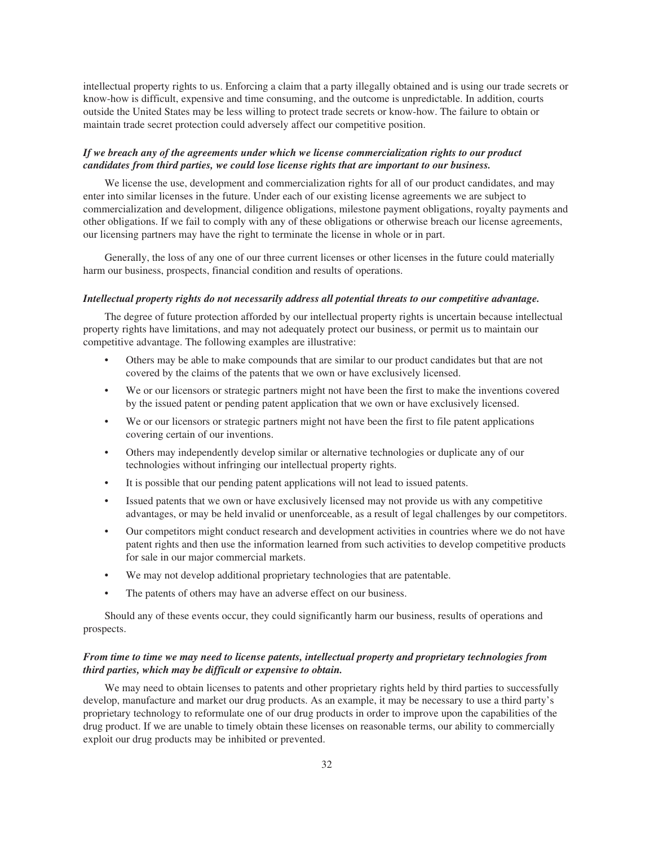intellectual property rights to us. Enforcing a claim that a party illegally obtained and is using our trade secrets or know-how is difficult, expensive and time consuming, and the outcome is unpredictable. In addition, courts outside the United States may be less willing to protect trade secrets or know-how. The failure to obtain or maintain trade secret protection could adversely affect our competitive position.

## *If we breach any of the agreements under which we license commercialization rights to our product candidates from third parties, we could lose license rights that are important to our business.*

We license the use, development and commercialization rights for all of our product candidates, and may enter into similar licenses in the future. Under each of our existing license agreements we are subject to commercialization and development, diligence obligations, milestone payment obligations, royalty payments and other obligations. If we fail to comply with any of these obligations or otherwise breach our license agreements, our licensing partners may have the right to terminate the license in whole or in part.

Generally, the loss of any one of our three current licenses or other licenses in the future could materially harm our business, prospects, financial condition and results of operations.

#### *Intellectual property rights do not necessarily address all potential threats to our competitive advantage.*

The degree of future protection afforded by our intellectual property rights is uncertain because intellectual property rights have limitations, and may not adequately protect our business, or permit us to maintain our competitive advantage. The following examples are illustrative:

- Others may be able to make compounds that are similar to our product candidates but that are not covered by the claims of the patents that we own or have exclusively licensed.
- We or our licensors or strategic partners might not have been the first to make the inventions covered by the issued patent or pending patent application that we own or have exclusively licensed.
- We or our licensors or strategic partners might not have been the first to file patent applications covering certain of our inventions.
- Others may independently develop similar or alternative technologies or duplicate any of our technologies without infringing our intellectual property rights.
- It is possible that our pending patent applications will not lead to issued patents.
- Issued patents that we own or have exclusively licensed may not provide us with any competitive advantages, or may be held invalid or unenforceable, as a result of legal challenges by our competitors.
- Our competitors might conduct research and development activities in countries where we do not have patent rights and then use the information learned from such activities to develop competitive products for sale in our major commercial markets.
- We may not develop additional proprietary technologies that are patentable.
- The patents of others may have an adverse effect on our business.

Should any of these events occur, they could significantly harm our business, results of operations and prospects.

## *From time to time we may need to license patents, intellectual property and proprietary technologies from third parties, which may be difficult or expensive to obtain.*

We may need to obtain licenses to patents and other proprietary rights held by third parties to successfully develop, manufacture and market our drug products. As an example, it may be necessary to use a third party's proprietary technology to reformulate one of our drug products in order to improve upon the capabilities of the drug product. If we are unable to timely obtain these licenses on reasonable terms, our ability to commercially exploit our drug products may be inhibited or prevented.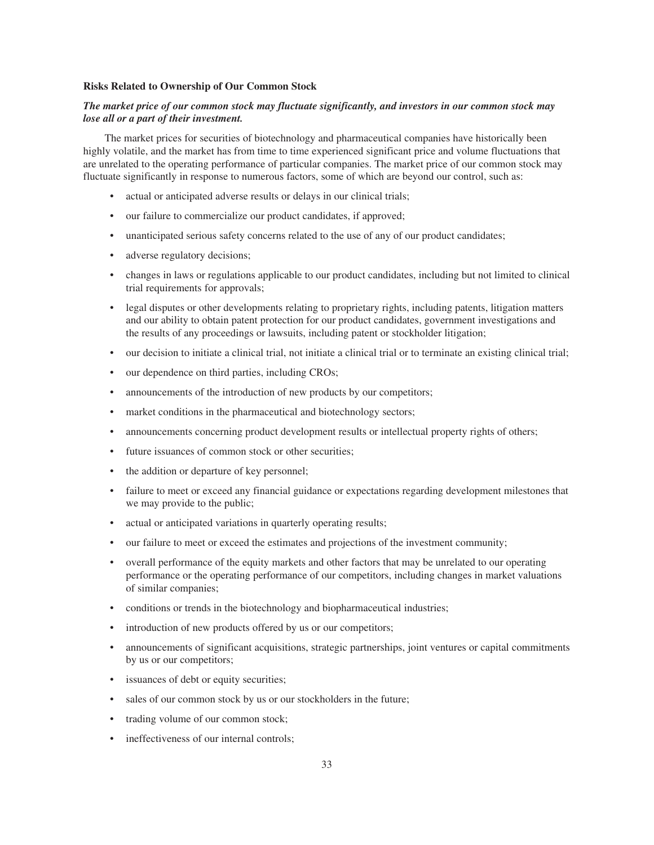#### **Risks Related to Ownership of Our Common Stock**

## *The market price of our common stock may fluctuate significantly, and investors in our common stock may lose all or a part of their investment.*

The market prices for securities of biotechnology and pharmaceutical companies have historically been highly volatile, and the market has from time to time experienced significant price and volume fluctuations that are unrelated to the operating performance of particular companies. The market price of our common stock may fluctuate significantly in response to numerous factors, some of which are beyond our control, such as:

- actual or anticipated adverse results or delays in our clinical trials;
- our failure to commercialize our product candidates, if approved;
- unanticipated serious safety concerns related to the use of any of our product candidates;
- adverse regulatory decisions;
- changes in laws or regulations applicable to our product candidates, including but not limited to clinical trial requirements for approvals;
- legal disputes or other developments relating to proprietary rights, including patents, litigation matters and our ability to obtain patent protection for our product candidates, government investigations and the results of any proceedings or lawsuits, including patent or stockholder litigation;
- our decision to initiate a clinical trial, not initiate a clinical trial or to terminate an existing clinical trial;
- our dependence on third parties, including CROs;
- announcements of the introduction of new products by our competitors;
- market conditions in the pharmaceutical and biotechnology sectors;
- announcements concerning product development results or intellectual property rights of others;
- future issuances of common stock or other securities:
- the addition or departure of key personnel;
- failure to meet or exceed any financial guidance or expectations regarding development milestones that we may provide to the public;
- actual or anticipated variations in quarterly operating results;
- our failure to meet or exceed the estimates and projections of the investment community;
- overall performance of the equity markets and other factors that may be unrelated to our operating performance or the operating performance of our competitors, including changes in market valuations of similar companies;
- conditions or trends in the biotechnology and biopharmaceutical industries;
- introduction of new products offered by us or our competitors;
- announcements of significant acquisitions, strategic partnerships, joint ventures or capital commitments by us or our competitors;
- issuances of debt or equity securities;
- sales of our common stock by us or our stockholders in the future;
- trading volume of our common stock;
- ineffectiveness of our internal controls;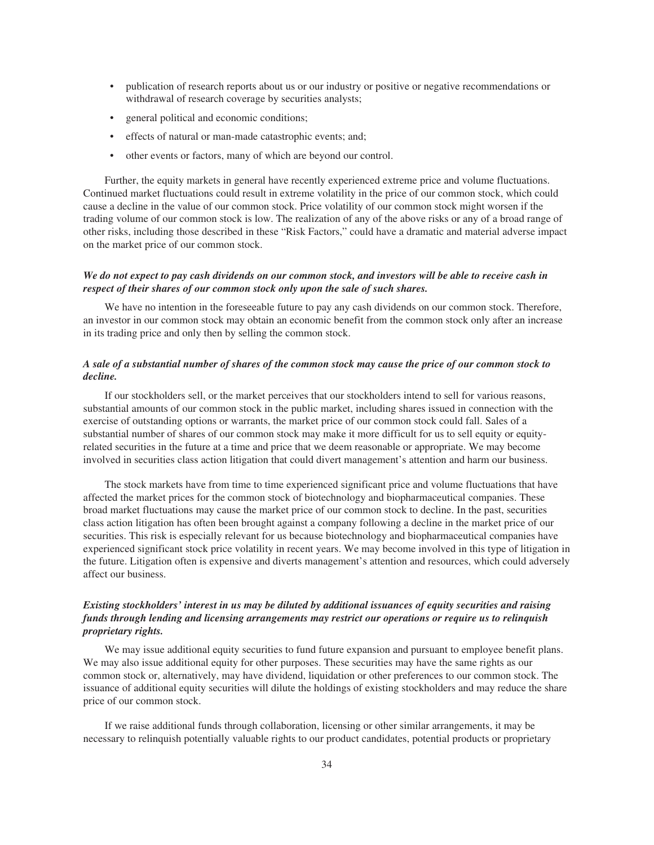- publication of research reports about us or our industry or positive or negative recommendations or withdrawal of research coverage by securities analysts;
- general political and economic conditions;
- effects of natural or man-made catastrophic events; and;
- other events or factors, many of which are beyond our control.

Further, the equity markets in general have recently experienced extreme price and volume fluctuations. Continued market fluctuations could result in extreme volatility in the price of our common stock, which could cause a decline in the value of our common stock. Price volatility of our common stock might worsen if the trading volume of our common stock is low. The realization of any of the above risks or any of a broad range of other risks, including those described in these "Risk Factors," could have a dramatic and material adverse impact on the market price of our common stock.

## *We do not expect to pay cash dividends on our common stock, and investors will be able to receive cash in respect of their shares of our common stock only upon the sale of such shares.*

We have no intention in the foreseeable future to pay any cash dividends on our common stock. Therefore, an investor in our common stock may obtain an economic benefit from the common stock only after an increase in its trading price and only then by selling the common stock.

## *A sale of a substantial number of shares of the common stock may cause the price of our common stock to decline.*

If our stockholders sell, or the market perceives that our stockholders intend to sell for various reasons, substantial amounts of our common stock in the public market, including shares issued in connection with the exercise of outstanding options or warrants, the market price of our common stock could fall. Sales of a substantial number of shares of our common stock may make it more difficult for us to sell equity or equityrelated securities in the future at a time and price that we deem reasonable or appropriate. We may become involved in securities class action litigation that could divert management's attention and harm our business.

The stock markets have from time to time experienced significant price and volume fluctuations that have affected the market prices for the common stock of biotechnology and biopharmaceutical companies. These broad market fluctuations may cause the market price of our common stock to decline. In the past, securities class action litigation has often been brought against a company following a decline in the market price of our securities. This risk is especially relevant for us because biotechnology and biopharmaceutical companies have experienced significant stock price volatility in recent years. We may become involved in this type of litigation in the future. Litigation often is expensive and diverts management's attention and resources, which could adversely affect our business.

## *Existing stockholders' interest in us may be diluted by additional issuances of equity securities and raising funds through lending and licensing arrangements may restrict our operations or require us to relinquish proprietary rights.*

We may issue additional equity securities to fund future expansion and pursuant to employee benefit plans. We may also issue additional equity for other purposes. These securities may have the same rights as our common stock or, alternatively, may have dividend, liquidation or other preferences to our common stock. The issuance of additional equity securities will dilute the holdings of existing stockholders and may reduce the share price of our common stock.

If we raise additional funds through collaboration, licensing or other similar arrangements, it may be necessary to relinquish potentially valuable rights to our product candidates, potential products or proprietary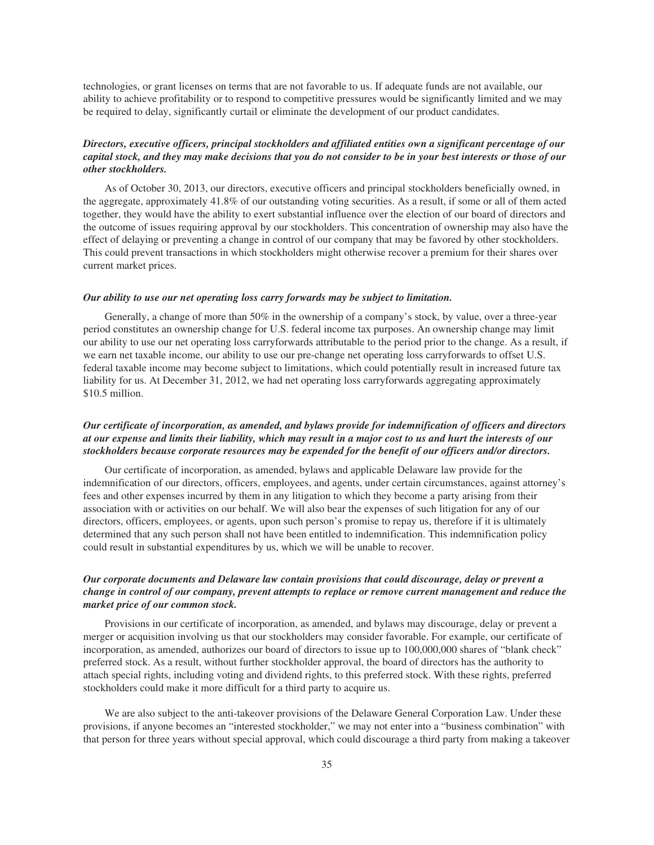technologies, or grant licenses on terms that are not favorable to us. If adequate funds are not available, our ability to achieve profitability or to respond to competitive pressures would be significantly limited and we may be required to delay, significantly curtail or eliminate the development of our product candidates.

## *Directors, executive officers, principal stockholders and affiliated entities own a significant percentage of our capital stock, and they may make decisions that you do not consider to be in your best interests or those of our other stockholders.*

As of October 30, 2013, our directors, executive officers and principal stockholders beneficially owned, in the aggregate, approximately 41.8% of our outstanding voting securities. As a result, if some or all of them acted together, they would have the ability to exert substantial influence over the election of our board of directors and the outcome of issues requiring approval by our stockholders. This concentration of ownership may also have the effect of delaying or preventing a change in control of our company that may be favored by other stockholders. This could prevent transactions in which stockholders might otherwise recover a premium for their shares over current market prices.

#### *Our ability to use our net operating loss carry forwards may be subject to limitation.*

Generally, a change of more than 50% in the ownership of a company's stock, by value, over a three-year period constitutes an ownership change for U.S. federal income tax purposes. An ownership change may limit our ability to use our net operating loss carryforwards attributable to the period prior to the change. As a result, if we earn net taxable income, our ability to use our pre-change net operating loss carryforwards to offset U.S. federal taxable income may become subject to limitations, which could potentially result in increased future tax liability for us. At December 31, 2012, we had net operating loss carryforwards aggregating approximately \$10.5 million.

## *Our certificate of incorporation, as amended, and bylaws provide for indemnification of officers and directors at our expense and limits their liability, which may result in a major cost to us and hurt the interests of our stockholders because corporate resources may be expended for the benefit of our officers and/or directors.*

Our certificate of incorporation, as amended, bylaws and applicable Delaware law provide for the indemnification of our directors, officers, employees, and agents, under certain circumstances, against attorney's fees and other expenses incurred by them in any litigation to which they become a party arising from their association with or activities on our behalf. We will also bear the expenses of such litigation for any of our directors, officers, employees, or agents, upon such person's promise to repay us, therefore if it is ultimately determined that any such person shall not have been entitled to indemnification. This indemnification policy could result in substantial expenditures by us, which we will be unable to recover.

## *Our corporate documents and Delaware law contain provisions that could discourage, delay or prevent a change in control of our company, prevent attempts to replace or remove current management and reduce the market price of our common stock.*

Provisions in our certificate of incorporation, as amended, and bylaws may discourage, delay or prevent a merger or acquisition involving us that our stockholders may consider favorable. For example, our certificate of incorporation, as amended, authorizes our board of directors to issue up to 100,000,000 shares of "blank check" preferred stock. As a result, without further stockholder approval, the board of directors has the authority to attach special rights, including voting and dividend rights, to this preferred stock. With these rights, preferred stockholders could make it more difficult for a third party to acquire us.

We are also subject to the anti-takeover provisions of the Delaware General Corporation Law. Under these provisions, if anyone becomes an "interested stockholder," we may not enter into a "business combination" with that person for three years without special approval, which could discourage a third party from making a takeover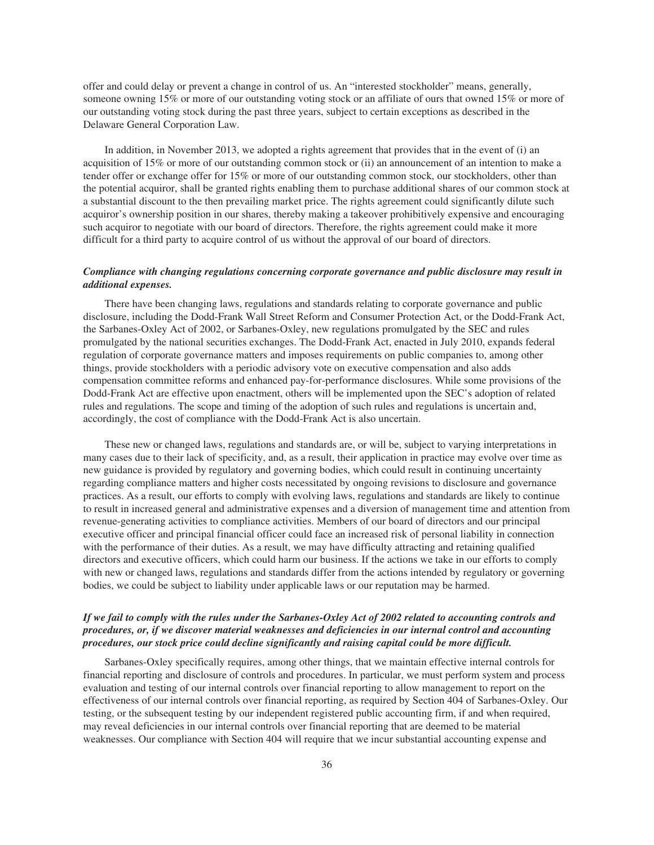offer and could delay or prevent a change in control of us. An "interested stockholder" means, generally, someone owning 15% or more of our outstanding voting stock or an affiliate of ours that owned 15% or more of our outstanding voting stock during the past three years, subject to certain exceptions as described in the Delaware General Corporation Law.

In addition, in November 2013, we adopted a rights agreement that provides that in the event of (i) an acquisition of 15% or more of our outstanding common stock or (ii) an announcement of an intention to make a tender offer or exchange offer for 15% or more of our outstanding common stock, our stockholders, other than the potential acquiror, shall be granted rights enabling them to purchase additional shares of our common stock at a substantial discount to the then prevailing market price. The rights agreement could significantly dilute such acquiror's ownership position in our shares, thereby making a takeover prohibitively expensive and encouraging such acquiror to negotiate with our board of directors. Therefore, the rights agreement could make it more difficult for a third party to acquire control of us without the approval of our board of directors.

## *Compliance with changing regulations concerning corporate governance and public disclosure may result in additional expenses.*

There have been changing laws, regulations and standards relating to corporate governance and public disclosure, including the Dodd-Frank Wall Street Reform and Consumer Protection Act, or the Dodd-Frank Act, the Sarbanes-Oxley Act of 2002, or Sarbanes-Oxley, new regulations promulgated by the SEC and rules promulgated by the national securities exchanges. The Dodd-Frank Act, enacted in July 2010, expands federal regulation of corporate governance matters and imposes requirements on public companies to, among other things, provide stockholders with a periodic advisory vote on executive compensation and also adds compensation committee reforms and enhanced pay-for-performance disclosures. While some provisions of the Dodd-Frank Act are effective upon enactment, others will be implemented upon the SEC's adoption of related rules and regulations. The scope and timing of the adoption of such rules and regulations is uncertain and, accordingly, the cost of compliance with the Dodd-Frank Act is also uncertain.

These new or changed laws, regulations and standards are, or will be, subject to varying interpretations in many cases due to their lack of specificity, and, as a result, their application in practice may evolve over time as new guidance is provided by regulatory and governing bodies, which could result in continuing uncertainty regarding compliance matters and higher costs necessitated by ongoing revisions to disclosure and governance practices. As a result, our efforts to comply with evolving laws, regulations and standards are likely to continue to result in increased general and administrative expenses and a diversion of management time and attention from revenue-generating activities to compliance activities. Members of our board of directors and our principal executive officer and principal financial officer could face an increased risk of personal liability in connection with the performance of their duties. As a result, we may have difficulty attracting and retaining qualified directors and executive officers, which could harm our business. If the actions we take in our efforts to comply with new or changed laws, regulations and standards differ from the actions intended by regulatory or governing bodies, we could be subject to liability under applicable laws or our reputation may be harmed.

## *If we fail to comply with the rules under the Sarbanes-Oxley Act of 2002 related to accounting controls and procedures, or, if we discover material weaknesses and deficiencies in our internal control and accounting procedures, our stock price could decline significantly and raising capital could be more difficult.*

Sarbanes-Oxley specifically requires, among other things, that we maintain effective internal controls for financial reporting and disclosure of controls and procedures. In particular, we must perform system and process evaluation and testing of our internal controls over financial reporting to allow management to report on the effectiveness of our internal controls over financial reporting, as required by Section 404 of Sarbanes-Oxley. Our testing, or the subsequent testing by our independent registered public accounting firm, if and when required, may reveal deficiencies in our internal controls over financial reporting that are deemed to be material weaknesses. Our compliance with Section 404 will require that we incur substantial accounting expense and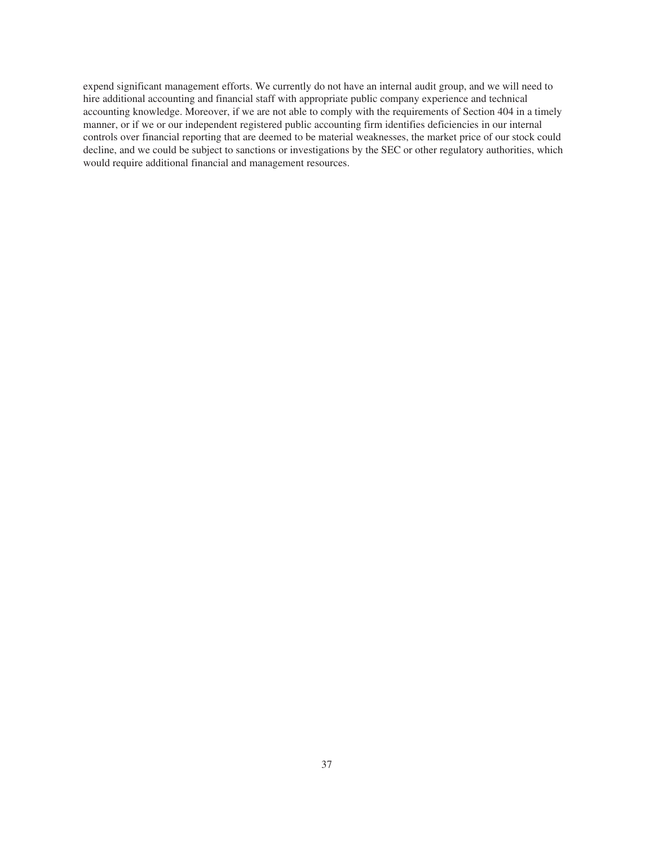expend significant management efforts. We currently do not have an internal audit group, and we will need to hire additional accounting and financial staff with appropriate public company experience and technical accounting knowledge. Moreover, if we are not able to comply with the requirements of Section 404 in a timely manner, or if we or our independent registered public accounting firm identifies deficiencies in our internal controls over financial reporting that are deemed to be material weaknesses, the market price of our stock could decline, and we could be subject to sanctions or investigations by the SEC or other regulatory authorities, which would require additional financial and management resources.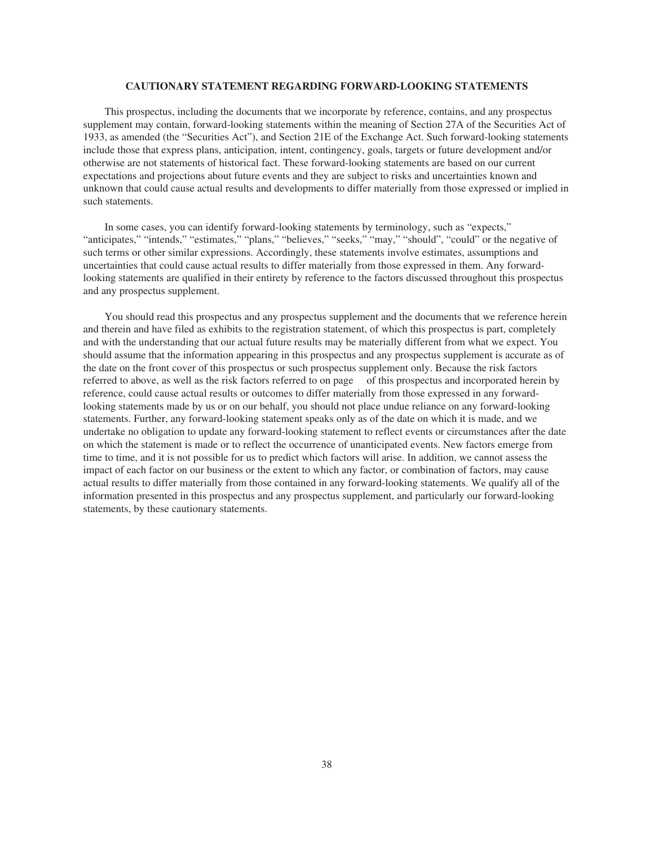#### **CAUTIONARY STATEMENT REGARDING FORWARD-LOOKING STATEMENTS**

This prospectus, including the documents that we incorporate by reference, contains, and any prospectus supplement may contain, forward-looking statements within the meaning of Section 27A of the Securities Act of 1933, as amended (the "Securities Act"), and Section 21E of the Exchange Act. Such forward-looking statements include those that express plans, anticipation, intent, contingency, goals, targets or future development and/or otherwise are not statements of historical fact. These forward-looking statements are based on our current expectations and projections about future events and they are subject to risks and uncertainties known and unknown that could cause actual results and developments to differ materially from those expressed or implied in such statements.

In some cases, you can identify forward-looking statements by terminology, such as "expects," "anticipates," "intends," "estimates," "plans," "believes," "seeks," "may," "should", "could" or the negative of such terms or other similar expressions. Accordingly, these statements involve estimates, assumptions and uncertainties that could cause actual results to differ materially from those expressed in them. Any forwardlooking statements are qualified in their entirety by reference to the factors discussed throughout this prospectus and any prospectus supplement.

You should read this prospectus and any prospectus supplement and the documents that we reference herein and therein and have filed as exhibits to the registration statement, of which this prospectus is part, completely and with the understanding that our actual future results may be materially different from what we expect. You should assume that the information appearing in this prospectus and any prospectus supplement is accurate as of the date on the front cover of this prospectus or such prospectus supplement only. Because the risk factors referred to above, as well as the risk factors referred to on page of this prospectus and incorporated herein by reference, could cause actual results or outcomes to differ materially from those expressed in any forwardlooking statements made by us or on our behalf, you should not place undue reliance on any forward-looking statements. Further, any forward-looking statement speaks only as of the date on which it is made, and we undertake no obligation to update any forward-looking statement to reflect events or circumstances after the date on which the statement is made or to reflect the occurrence of unanticipated events. New factors emerge from time to time, and it is not possible for us to predict which factors will arise. In addition, we cannot assess the impact of each factor on our business or the extent to which any factor, or combination of factors, may cause actual results to differ materially from those contained in any forward-looking statements. We qualify all of the information presented in this prospectus and any prospectus supplement, and particularly our forward-looking statements, by these cautionary statements.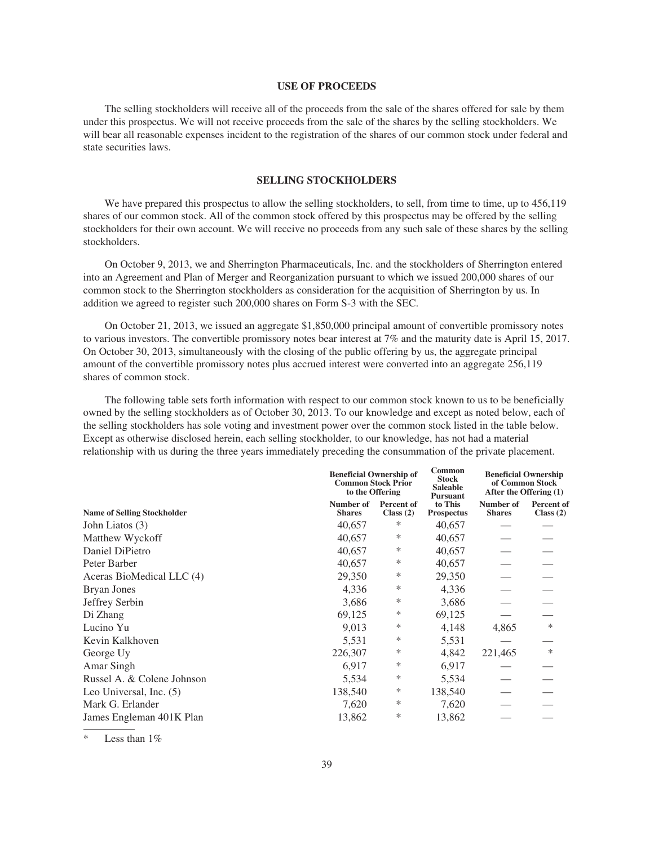#### **USE OF PROCEEDS**

The selling stockholders will receive all of the proceeds from the sale of the shares offered for sale by them under this prospectus. We will not receive proceeds from the sale of the shares by the selling stockholders. We will bear all reasonable expenses incident to the registration of the shares of our common stock under federal and state securities laws.

#### **SELLING STOCKHOLDERS**

We have prepared this prospectus to allow the selling stockholders, to sell, from time to time, up to 456,119 shares of our common stock. All of the common stock offered by this prospectus may be offered by the selling stockholders for their own account. We will receive no proceeds from any such sale of these shares by the selling stockholders.

On October 9, 2013, we and Sherrington Pharmaceuticals, Inc. and the stockholders of Sherrington entered into an Agreement and Plan of Merger and Reorganization pursuant to which we issued 200,000 shares of our common stock to the Sherrington stockholders as consideration for the acquisition of Sherrington by us. In addition we agreed to register such 200,000 shares on Form S-3 with the SEC.

On October 21, 2013, we issued an aggregate \$1,850,000 principal amount of convertible promissory notes to various investors. The convertible promissory notes bear interest at 7% and the maturity date is April 15, 2017. On October 30, 2013, simultaneously with the closing of the public offering by us, the aggregate principal amount of the convertible promissory notes plus accrued interest were converted into an aggregate 256,119 shares of common stock.

The following table sets forth information with respect to our common stock known to us to be beneficially owned by the selling stockholders as of October 30, 2013. To our knowledge and except as noted below, each of the selling stockholders has sole voting and investment power over the common stock listed in the table below. Except as otherwise disclosed herein, each selling stockholder, to our knowledge, has not had a material relationship with us during the three years immediately preceding the consummation of the private placement.

|                                    |                            | <b>Beneficial Ownership of</b><br><b>Common Stock Prior</b><br>to the Offering |                                                 | <b>Beneficial Ownership</b><br>of Common Stock<br>After the Offering (1) |                           |
|------------------------------------|----------------------------|--------------------------------------------------------------------------------|-------------------------------------------------|--------------------------------------------------------------------------|---------------------------|
| <b>Name of Selling Stockholder</b> | Number of<br><b>Shares</b> | Percent of<br>Class $(2)$                                                      | <b>Pursuant</b><br>to This<br><b>Prospectus</b> | Number of<br><b>Shares</b>                                               | Percent of<br>Class $(2)$ |
| John Liatos (3)                    | 40,657                     | ∗                                                                              | 40,657                                          |                                                                          |                           |
| Matthew Wyckoff                    | 40,657                     | ∗                                                                              | 40,657                                          |                                                                          |                           |
| Daniel DiPietro                    | 40,657                     | ∗                                                                              | 40,657                                          |                                                                          |                           |
| Peter Barber                       | 40,657                     | ∗                                                                              | 40,657                                          |                                                                          |                           |
| Aceras BioMedical LLC (4)          | 29,350                     | ∗                                                                              | 29,350                                          |                                                                          |                           |
| Bryan Jones                        | 4,336                      | ∗                                                                              | 4,336                                           |                                                                          |                           |
| Jeffrey Serbin                     | 3,686                      | ∗                                                                              | 3,686                                           |                                                                          |                           |
| Di Zhang                           | 69,125                     | ∗                                                                              | 69,125                                          |                                                                          |                           |
| Lucino Yu                          | 9,013                      | ∗                                                                              | 4,148                                           | 4,865                                                                    | $\ast$                    |
| Kevin Kalkhoven                    | 5,531                      | ∗                                                                              | 5,531                                           |                                                                          |                           |
| George Uy                          | 226,307                    | ∗                                                                              | 4,842                                           | 221,465                                                                  | $\ast$                    |
| Amar Singh                         | 6,917                      | ∗                                                                              | 6,917                                           |                                                                          |                           |
| Russel A. & Colene Johnson         | 5,534                      | ∗                                                                              | 5,534                                           |                                                                          |                           |
| Leo Universal, Inc. (5)            | 138,540                    | ∗                                                                              | 138,540                                         |                                                                          |                           |
| Mark G. Erlander                   | 7,620                      | ∗                                                                              | 7,620                                           |                                                                          |                           |
| James Engleman 401K Plan           | 13,862                     | ∗                                                                              | 13,862                                          |                                                                          |                           |
|                                    |                            |                                                                                |                                                 |                                                                          |                           |

Less than  $1\%$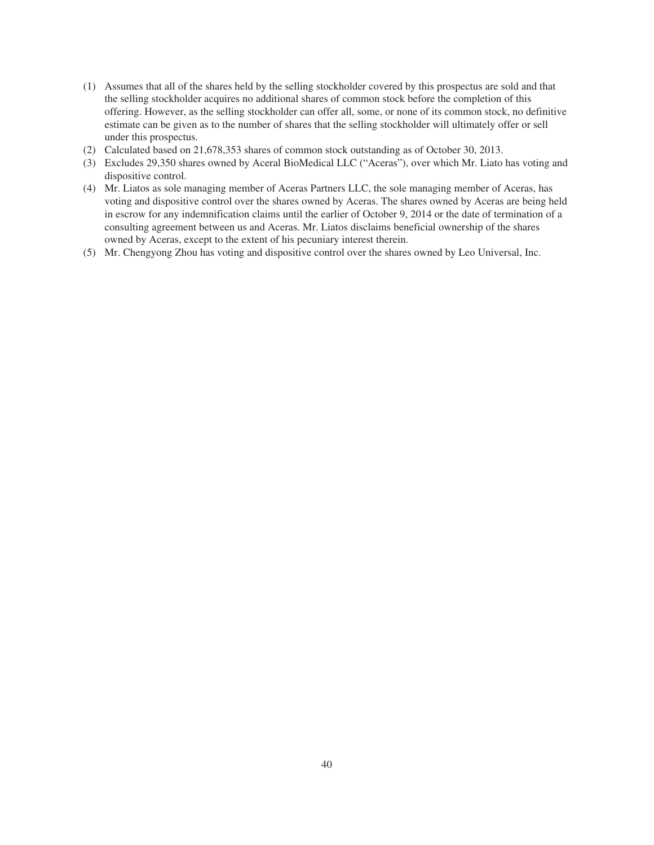- (1) Assumes that all of the shares held by the selling stockholder covered by this prospectus are sold and that the selling stockholder acquires no additional shares of common stock before the completion of this offering. However, as the selling stockholder can offer all, some, or none of its common stock, no definitive estimate can be given as to the number of shares that the selling stockholder will ultimately offer or sell under this prospectus.
- (2) Calculated based on 21,678,353 shares of common stock outstanding as of October 30, 2013.
- (3) Excludes 29,350 shares owned by Aceral BioMedical LLC ("Aceras"), over which Mr. Liato has voting and dispositive control.
- (4) Mr. Liatos as sole managing member of Aceras Partners LLC, the sole managing member of Aceras, has voting and dispositive control over the shares owned by Aceras. The shares owned by Aceras are being held in escrow for any indemnification claims until the earlier of October 9, 2014 or the date of termination of a consulting agreement between us and Aceras. Mr. Liatos disclaims beneficial ownership of the shares owned by Aceras, except to the extent of his pecuniary interest therein.
- (5) Mr. Chengyong Zhou has voting and dispositive control over the shares owned by Leo Universal, Inc.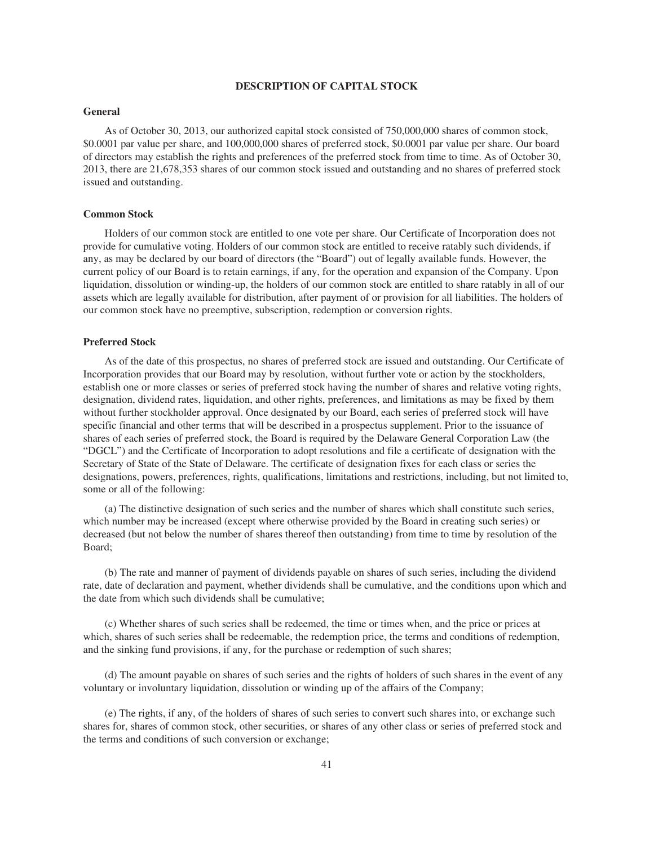#### **DESCRIPTION OF CAPITAL STOCK**

#### **General**

As of October 30, 2013, our authorized capital stock consisted of 750,000,000 shares of common stock, \$0.0001 par value per share, and 100,000,000 shares of preferred stock, \$0.0001 par value per share. Our board of directors may establish the rights and preferences of the preferred stock from time to time. As of October 30, 2013, there are 21,678,353 shares of our common stock issued and outstanding and no shares of preferred stock issued and outstanding.

#### **Common Stock**

Holders of our common stock are entitled to one vote per share. Our Certificate of Incorporation does not provide for cumulative voting. Holders of our common stock are entitled to receive ratably such dividends, if any, as may be declared by our board of directors (the "Board") out of legally available funds. However, the current policy of our Board is to retain earnings, if any, for the operation and expansion of the Company. Upon liquidation, dissolution or winding-up, the holders of our common stock are entitled to share ratably in all of our assets which are legally available for distribution, after payment of or provision for all liabilities. The holders of our common stock have no preemptive, subscription, redemption or conversion rights.

## **Preferred Stock**

As of the date of this prospectus, no shares of preferred stock are issued and outstanding. Our Certificate of Incorporation provides that our Board may by resolution, without further vote or action by the stockholders, establish one or more classes or series of preferred stock having the number of shares and relative voting rights, designation, dividend rates, liquidation, and other rights, preferences, and limitations as may be fixed by them without further stockholder approval. Once designated by our Board, each series of preferred stock will have specific financial and other terms that will be described in a prospectus supplement. Prior to the issuance of shares of each series of preferred stock, the Board is required by the Delaware General Corporation Law (the "DGCL") and the Certificate of Incorporation to adopt resolutions and file a certificate of designation with the Secretary of State of the State of Delaware. The certificate of designation fixes for each class or series the designations, powers, preferences, rights, qualifications, limitations and restrictions, including, but not limited to, some or all of the following:

(a) The distinctive designation of such series and the number of shares which shall constitute such series, which number may be increased (except where otherwise provided by the Board in creating such series) or decreased (but not below the number of shares thereof then outstanding) from time to time by resolution of the Board;

(b) The rate and manner of payment of dividends payable on shares of such series, including the dividend rate, date of declaration and payment, whether dividends shall be cumulative, and the conditions upon which and the date from which such dividends shall be cumulative;

(c) Whether shares of such series shall be redeemed, the time or times when, and the price or prices at which, shares of such series shall be redeemable, the redemption price, the terms and conditions of redemption, and the sinking fund provisions, if any, for the purchase or redemption of such shares;

(d) The amount payable on shares of such series and the rights of holders of such shares in the event of any voluntary or involuntary liquidation, dissolution or winding up of the affairs of the Company;

(e) The rights, if any, of the holders of shares of such series to convert such shares into, or exchange such shares for, shares of common stock, other securities, or shares of any other class or series of preferred stock and the terms and conditions of such conversion or exchange;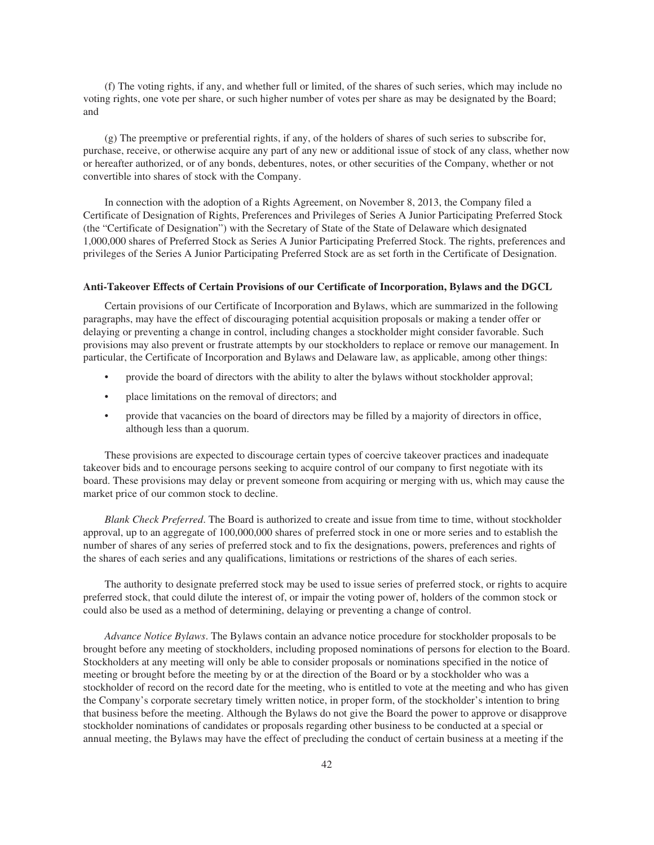(f) The voting rights, if any, and whether full or limited, of the shares of such series, which may include no voting rights, one vote per share, or such higher number of votes per share as may be designated by the Board; and

(g) The preemptive or preferential rights, if any, of the holders of shares of such series to subscribe for, purchase, receive, or otherwise acquire any part of any new or additional issue of stock of any class, whether now or hereafter authorized, or of any bonds, debentures, notes, or other securities of the Company, whether or not convertible into shares of stock with the Company.

In connection with the adoption of a Rights Agreement, on November 8, 2013, the Company filed a Certificate of Designation of Rights, Preferences and Privileges of Series A Junior Participating Preferred Stock (the "Certificate of Designation") with the Secretary of State of the State of Delaware which designated 1,000,000 shares of Preferred Stock as Series A Junior Participating Preferred Stock. The rights, preferences and privileges of the Series A Junior Participating Preferred Stock are as set forth in the Certificate of Designation.

#### **Anti-Takeover Effects of Certain Provisions of our Certificate of Incorporation, Bylaws and the DGCL**

Certain provisions of our Certificate of Incorporation and Bylaws, which are summarized in the following paragraphs, may have the effect of discouraging potential acquisition proposals or making a tender offer or delaying or preventing a change in control, including changes a stockholder might consider favorable. Such provisions may also prevent or frustrate attempts by our stockholders to replace or remove our management. In particular, the Certificate of Incorporation and Bylaws and Delaware law, as applicable, among other things:

- provide the board of directors with the ability to alter the bylaws without stockholder approval;
- place limitations on the removal of directors; and
- provide that vacancies on the board of directors may be filled by a majority of directors in office, although less than a quorum.

These provisions are expected to discourage certain types of coercive takeover practices and inadequate takeover bids and to encourage persons seeking to acquire control of our company to first negotiate with its board. These provisions may delay or prevent someone from acquiring or merging with us, which may cause the market price of our common stock to decline.

*Blank Check Preferred*. The Board is authorized to create and issue from time to time, without stockholder approval, up to an aggregate of 100,000,000 shares of preferred stock in one or more series and to establish the number of shares of any series of preferred stock and to fix the designations, powers, preferences and rights of the shares of each series and any qualifications, limitations or restrictions of the shares of each series.

The authority to designate preferred stock may be used to issue series of preferred stock, or rights to acquire preferred stock, that could dilute the interest of, or impair the voting power of, holders of the common stock or could also be used as a method of determining, delaying or preventing a change of control.

*Advance Notice Bylaws*. The Bylaws contain an advance notice procedure for stockholder proposals to be brought before any meeting of stockholders, including proposed nominations of persons for election to the Board. Stockholders at any meeting will only be able to consider proposals or nominations specified in the notice of meeting or brought before the meeting by or at the direction of the Board or by a stockholder who was a stockholder of record on the record date for the meeting, who is entitled to vote at the meeting and who has given the Company's corporate secretary timely written notice, in proper form, of the stockholder's intention to bring that business before the meeting. Although the Bylaws do not give the Board the power to approve or disapprove stockholder nominations of candidates or proposals regarding other business to be conducted at a special or annual meeting, the Bylaws may have the effect of precluding the conduct of certain business at a meeting if the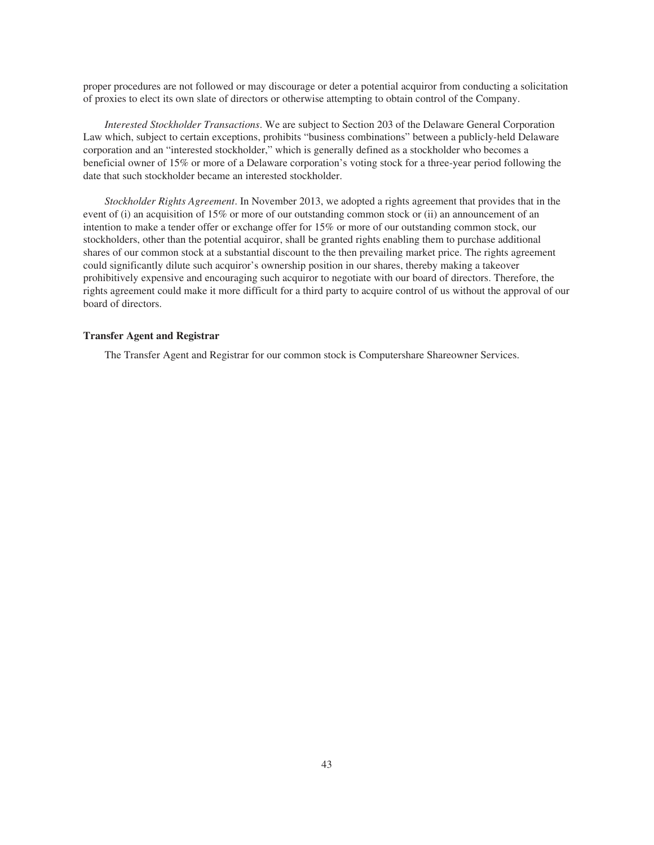proper procedures are not followed or may discourage or deter a potential acquiror from conducting a solicitation of proxies to elect its own slate of directors or otherwise attempting to obtain control of the Company.

*Interested Stockholder Transactions*. We are subject to Section 203 of the Delaware General Corporation Law which, subject to certain exceptions, prohibits "business combinations" between a publicly-held Delaware corporation and an "interested stockholder," which is generally defined as a stockholder who becomes a beneficial owner of 15% or more of a Delaware corporation's voting stock for a three-year period following the date that such stockholder became an interested stockholder.

*Stockholder Rights Agreement*. In November 2013, we adopted a rights agreement that provides that in the event of (i) an acquisition of 15% or more of our outstanding common stock or (ii) an announcement of an intention to make a tender offer or exchange offer for 15% or more of our outstanding common stock, our stockholders, other than the potential acquiror, shall be granted rights enabling them to purchase additional shares of our common stock at a substantial discount to the then prevailing market price. The rights agreement could significantly dilute such acquiror's ownership position in our shares, thereby making a takeover prohibitively expensive and encouraging such acquiror to negotiate with our board of directors. Therefore, the rights agreement could make it more difficult for a third party to acquire control of us without the approval of our board of directors.

## **Transfer Agent and Registrar**

The Transfer Agent and Registrar for our common stock is Computershare Shareowner Services.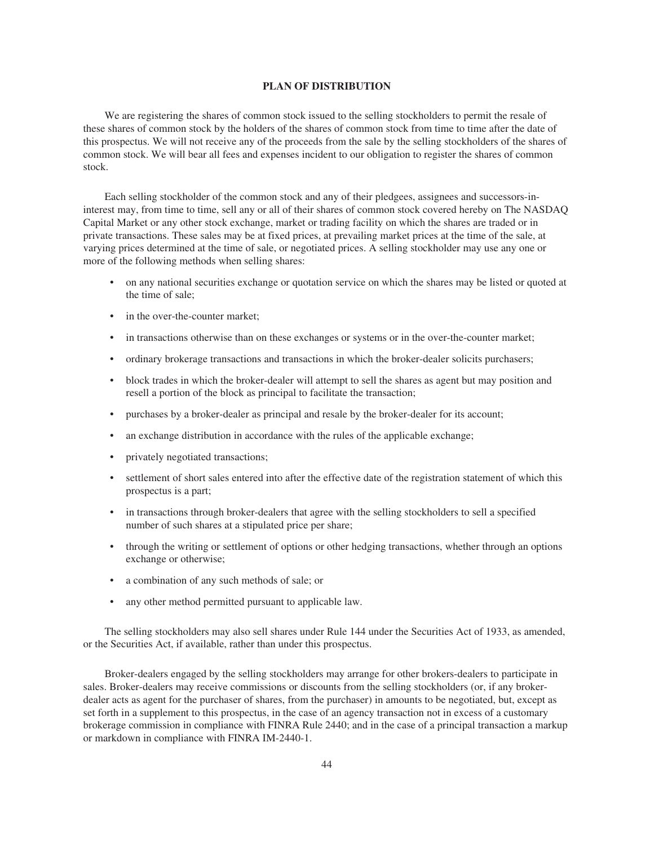#### **PLAN OF DISTRIBUTION**

We are registering the shares of common stock issued to the selling stockholders to permit the resale of these shares of common stock by the holders of the shares of common stock from time to time after the date of this prospectus. We will not receive any of the proceeds from the sale by the selling stockholders of the shares of common stock. We will bear all fees and expenses incident to our obligation to register the shares of common stock.

Each selling stockholder of the common stock and any of their pledgees, assignees and successors-ininterest may, from time to time, sell any or all of their shares of common stock covered hereby on The NASDAQ Capital Market or any other stock exchange, market or trading facility on which the shares are traded or in private transactions. These sales may be at fixed prices, at prevailing market prices at the time of the sale, at varying prices determined at the time of sale, or negotiated prices. A selling stockholder may use any one or more of the following methods when selling shares:

- on any national securities exchange or quotation service on which the shares may be listed or quoted at the time of sale;
- in the over-the-counter market;
- in transactions otherwise than on these exchanges or systems or in the over-the-counter market;
- ordinary brokerage transactions and transactions in which the broker-dealer solicits purchasers;
- block trades in which the broker-dealer will attempt to sell the shares as agent but may position and resell a portion of the block as principal to facilitate the transaction;
- purchases by a broker-dealer as principal and resale by the broker-dealer for its account;
- an exchange distribution in accordance with the rules of the applicable exchange;
- privately negotiated transactions;
- settlement of short sales entered into after the effective date of the registration statement of which this prospectus is a part;
- in transactions through broker-dealers that agree with the selling stockholders to sell a specified number of such shares at a stipulated price per share;
- through the writing or settlement of options or other hedging transactions, whether through an options exchange or otherwise;
- a combination of any such methods of sale; or
- any other method permitted pursuant to applicable law.

The selling stockholders may also sell shares under Rule 144 under the Securities Act of 1933, as amended, or the Securities Act, if available, rather than under this prospectus.

Broker-dealers engaged by the selling stockholders may arrange for other brokers-dealers to participate in sales. Broker-dealers may receive commissions or discounts from the selling stockholders (or, if any brokerdealer acts as agent for the purchaser of shares, from the purchaser) in amounts to be negotiated, but, except as set forth in a supplement to this prospectus, in the case of an agency transaction not in excess of a customary brokerage commission in compliance with FINRA Rule 2440; and in the case of a principal transaction a markup or markdown in compliance with FINRA IM-2440-1.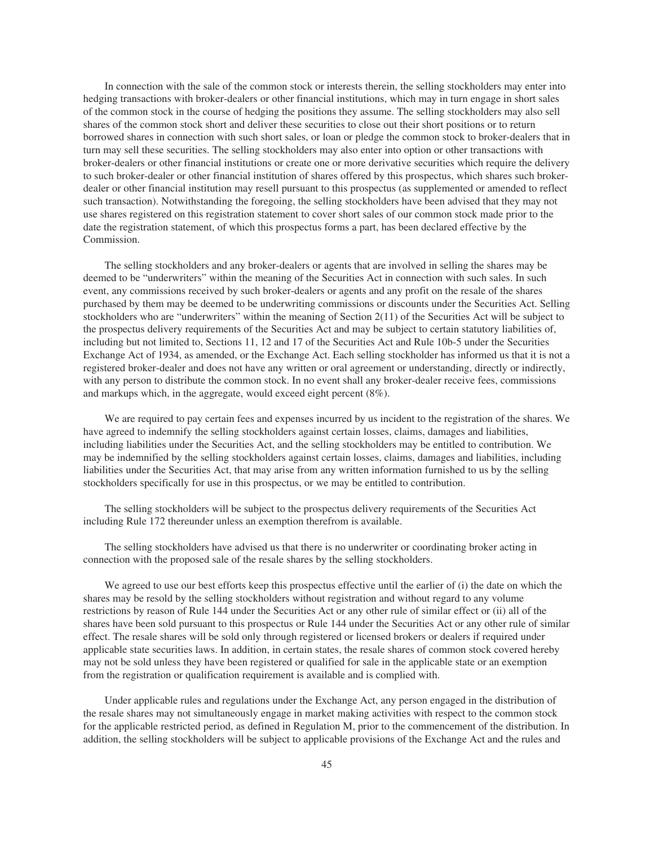In connection with the sale of the common stock or interests therein, the selling stockholders may enter into hedging transactions with broker-dealers or other financial institutions, which may in turn engage in short sales of the common stock in the course of hedging the positions they assume. The selling stockholders may also sell shares of the common stock short and deliver these securities to close out their short positions or to return borrowed shares in connection with such short sales, or loan or pledge the common stock to broker-dealers that in turn may sell these securities. The selling stockholders may also enter into option or other transactions with broker-dealers or other financial institutions or create one or more derivative securities which require the delivery to such broker-dealer or other financial institution of shares offered by this prospectus, which shares such brokerdealer or other financial institution may resell pursuant to this prospectus (as supplemented or amended to reflect such transaction). Notwithstanding the foregoing, the selling stockholders have been advised that they may not use shares registered on this registration statement to cover short sales of our common stock made prior to the date the registration statement, of which this prospectus forms a part, has been declared effective by the Commission.

The selling stockholders and any broker-dealers or agents that are involved in selling the shares may be deemed to be "underwriters" within the meaning of the Securities Act in connection with such sales. In such event, any commissions received by such broker-dealers or agents and any profit on the resale of the shares purchased by them may be deemed to be underwriting commissions or discounts under the Securities Act. Selling stockholders who are "underwriters" within the meaning of Section  $2(11)$  of the Securities Act will be subject to the prospectus delivery requirements of the Securities Act and may be subject to certain statutory liabilities of, including but not limited to, Sections 11, 12 and 17 of the Securities Act and Rule 10b-5 under the Securities Exchange Act of 1934, as amended, or the Exchange Act. Each selling stockholder has informed us that it is not a registered broker-dealer and does not have any written or oral agreement or understanding, directly or indirectly, with any person to distribute the common stock. In no event shall any broker-dealer receive fees, commissions and markups which, in the aggregate, would exceed eight percent (8%).

We are required to pay certain fees and expenses incurred by us incident to the registration of the shares. We have agreed to indemnify the selling stockholders against certain losses, claims, damages and liabilities, including liabilities under the Securities Act, and the selling stockholders may be entitled to contribution. We may be indemnified by the selling stockholders against certain losses, claims, damages and liabilities, including liabilities under the Securities Act, that may arise from any written information furnished to us by the selling stockholders specifically for use in this prospectus, or we may be entitled to contribution.

The selling stockholders will be subject to the prospectus delivery requirements of the Securities Act including Rule 172 thereunder unless an exemption therefrom is available.

The selling stockholders have advised us that there is no underwriter or coordinating broker acting in connection with the proposed sale of the resale shares by the selling stockholders.

We agreed to use our best efforts keep this prospectus effective until the earlier of (i) the date on which the shares may be resold by the selling stockholders without registration and without regard to any volume restrictions by reason of Rule 144 under the Securities Act or any other rule of similar effect or (ii) all of the shares have been sold pursuant to this prospectus or Rule 144 under the Securities Act or any other rule of similar effect. The resale shares will be sold only through registered or licensed brokers or dealers if required under applicable state securities laws. In addition, in certain states, the resale shares of common stock covered hereby may not be sold unless they have been registered or qualified for sale in the applicable state or an exemption from the registration or qualification requirement is available and is complied with.

Under applicable rules and regulations under the Exchange Act, any person engaged in the distribution of the resale shares may not simultaneously engage in market making activities with respect to the common stock for the applicable restricted period, as defined in Regulation M, prior to the commencement of the distribution. In addition, the selling stockholders will be subject to applicable provisions of the Exchange Act and the rules and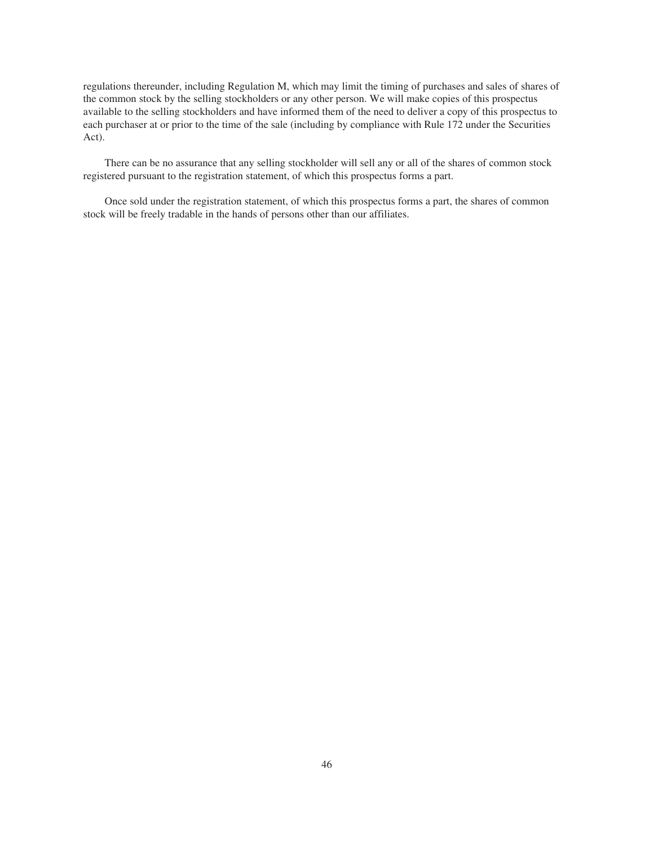regulations thereunder, including Regulation M, which may limit the timing of purchases and sales of shares of the common stock by the selling stockholders or any other person. We will make copies of this prospectus available to the selling stockholders and have informed them of the need to deliver a copy of this prospectus to each purchaser at or prior to the time of the sale (including by compliance with Rule 172 under the Securities Act).

There can be no assurance that any selling stockholder will sell any or all of the shares of common stock registered pursuant to the registration statement, of which this prospectus forms a part.

Once sold under the registration statement, of which this prospectus forms a part, the shares of common stock will be freely tradable in the hands of persons other than our affiliates.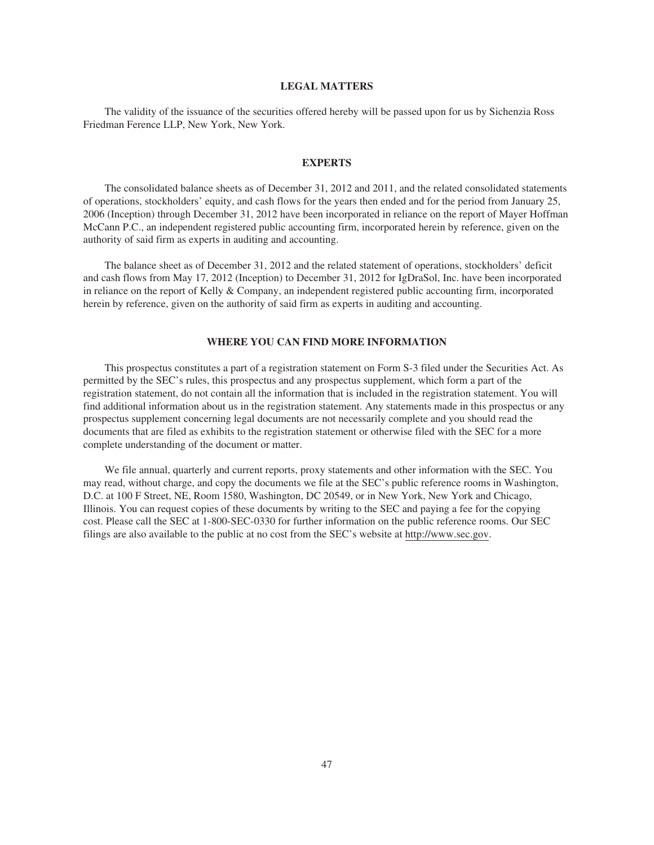## **LEGAL MATTERS**

The validity of the issuance of the securities offered hereby will be passed upon for us by Sichenzia Ross Friedman Ference LLP, New York, New York.

#### **EXPERTS**

The consolidated balance sheets as of December 31, 2012 and 2011, and the related consolidated statements of operations, stockholders' equity, and cash flows for the years then ended and for the period from January 25, 2006 (Inception) through December 31, 2012 have been incorporated in reliance on the report of Mayer Hoffman McCann P.C., an independent registered public accounting firm, incorporated herein by reference, given on the authority of said firm as experts in auditing and accounting.

The balance sheet as of December 31, 2012 and the related statement of operations, stockholders' deficit and cash flows from May 17, 2012 (Inception) to December 31, 2012 for IgDraSol, Inc. have been incorporated in reliance on the report of Kelly & Company, an independent registered public accounting firm, incorporated herein by reference, given on the authority of said firm as experts in auditing and accounting.

## **WHERE YOU CAN FIND MORE INFORMATION**

This prospectus constitutes a part of a registration statement on Form S-3 filed under the Securities Act. As permitted by the SEC's rules, this prospectus and any prospectus supplement, which form a part of the registration statement, do not contain all the information that is included in the registration statement. You will find additional information about us in the registration statement. Any statements made in this prospectus or any prospectus supplement concerning legal documents are not necessarily complete and you should read the documents that are filed as exhibits to the registration statement or otherwise filed with the SEC for a more complete understanding of the document or matter.

We file annual, quarterly and current reports, proxy statements and other information with the SEC. You may read, without charge, and copy the documents we file at the SEC's public reference rooms in Washington, D.C. at 100 F Street, NE, Room 1580, Washington, DC 20549, or in New York, New York and Chicago, Illinois. You can request copies of these documents by writing to the SEC and paying a fee for the copying cost. Please call the SEC at 1-800-SEC-0330 for further information on the public reference rooms. Our SEC filings are also available to the public at no cost from the SEC's website at http://www.sec.gov.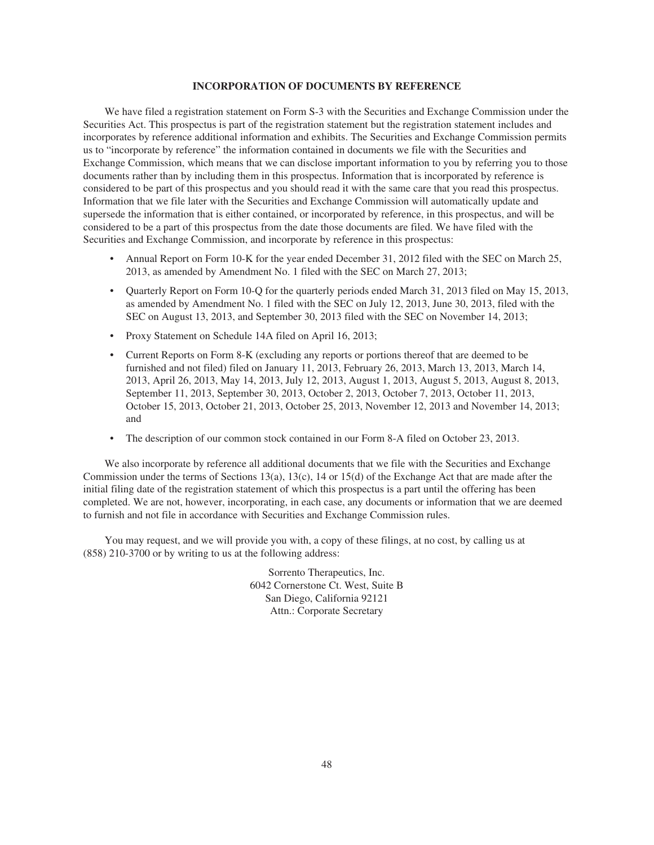#### **INCORPORATION OF DOCUMENTS BY REFERENCE**

We have filed a registration statement on Form S-3 with the Securities and Exchange Commission under the Securities Act. This prospectus is part of the registration statement but the registration statement includes and incorporates by reference additional information and exhibits. The Securities and Exchange Commission permits us to "incorporate by reference" the information contained in documents we file with the Securities and Exchange Commission, which means that we can disclose important information to you by referring you to those documents rather than by including them in this prospectus. Information that is incorporated by reference is considered to be part of this prospectus and you should read it with the same care that you read this prospectus. Information that we file later with the Securities and Exchange Commission will automatically update and supersede the information that is either contained, or incorporated by reference, in this prospectus, and will be considered to be a part of this prospectus from the date those documents are filed. We have filed with the Securities and Exchange Commission, and incorporate by reference in this prospectus:

- Annual Report on Form 10-K for the year ended December 31, 2012 filed with the SEC on March 25, 2013, as amended by Amendment No. 1 filed with the SEC on March 27, 2013;
- Quarterly Report on Form 10-Q for the quarterly periods ended March 31, 2013 filed on May 15, 2013, as amended by Amendment No. 1 filed with the SEC on July 12, 2013, June 30, 2013, filed with the SEC on August 13, 2013, and September 30, 2013 filed with the SEC on November 14, 2013;
- Proxy Statement on Schedule 14A filed on April 16, 2013;
- Current Reports on Form 8-K (excluding any reports or portions thereof that are deemed to be furnished and not filed) filed on January 11, 2013, February 26, 2013, March 13, 2013, March 14, 2013, April 26, 2013, May 14, 2013, July 12, 2013, August 1, 2013, August 5, 2013, August 8, 2013, September 11, 2013, September 30, 2013, October 2, 2013, October 7, 2013, October 11, 2013, October 15, 2013, October 21, 2013, October 25, 2013, November 12, 2013 and November 14, 2013; and
- The description of our common stock contained in our Form 8-A filed on October 23, 2013.

We also incorporate by reference all additional documents that we file with the Securities and Exchange Commission under the terms of Sections 13(a), 13(c), 14 or 15(d) of the Exchange Act that are made after the initial filing date of the registration statement of which this prospectus is a part until the offering has been completed. We are not, however, incorporating, in each case, any documents or information that we are deemed to furnish and not file in accordance with Securities and Exchange Commission rules.

You may request, and we will provide you with, a copy of these filings, at no cost, by calling us at (858) 210-3700 or by writing to us at the following address:

> Sorrento Therapeutics, Inc. 6042 Cornerstone Ct. West, Suite B San Diego, California 92121 Attn.: Corporate Secretary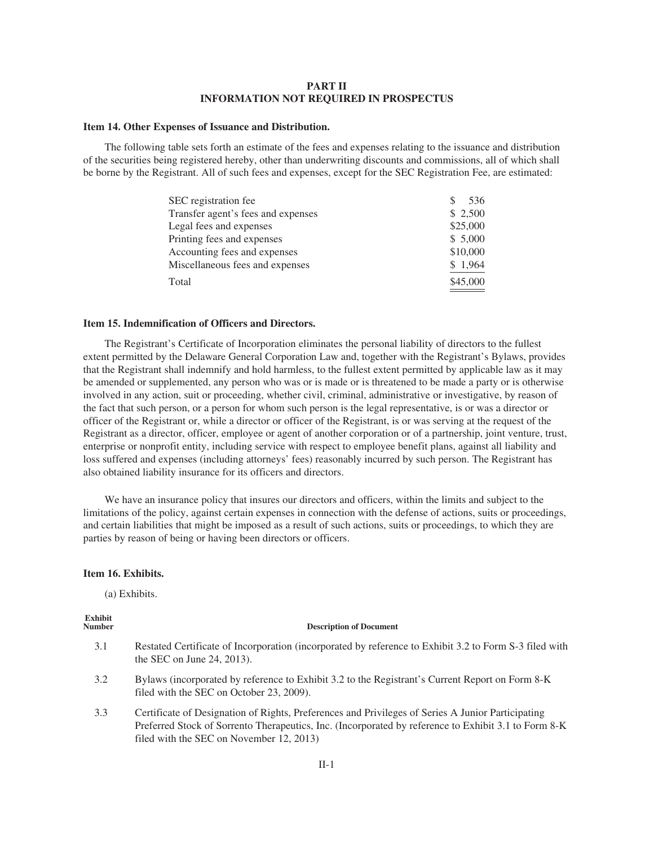## **PART II INFORMATION NOT REQUIRED IN PROSPECTUS**

#### **Item 14. Other Expenses of Issuance and Distribution.**

The following table sets forth an estimate of the fees and expenses relating to the issuance and distribution of the securities being registered hereby, other than underwriting discounts and commissions, all of which shall be borne by the Registrant. All of such fees and expenses, except for the SEC Registration Fee, are estimated:

| SEC registration fee.              | 536      |
|------------------------------------|----------|
| Transfer agent's fees and expenses | \$ 2,500 |
| Legal fees and expenses            | \$25,000 |
| Printing fees and expenses         | \$5,000  |
| Accounting fees and expenses       | \$10,000 |
| Miscellaneous fees and expenses    | \$1,964  |
| Total                              | \$45,000 |

#### **Item 15. Indemnification of Officers and Directors.**

The Registrant's Certificate of Incorporation eliminates the personal liability of directors to the fullest extent permitted by the Delaware General Corporation Law and, together with the Registrant's Bylaws, provides that the Registrant shall indemnify and hold harmless, to the fullest extent permitted by applicable law as it may be amended or supplemented, any person who was or is made or is threatened to be made a party or is otherwise involved in any action, suit or proceeding, whether civil, criminal, administrative or investigative, by reason of the fact that such person, or a person for whom such person is the legal representative, is or was a director or officer of the Registrant or, while a director or officer of the Registrant, is or was serving at the request of the Registrant as a director, officer, employee or agent of another corporation or of a partnership, joint venture, trust, enterprise or nonprofit entity, including service with respect to employee benefit plans, against all liability and loss suffered and expenses (including attorneys' fees) reasonably incurred by such person. The Registrant has also obtained liability insurance for its officers and directors.

We have an insurance policy that insures our directors and officers, within the limits and subject to the limitations of the policy, against certain expenses in connection with the defense of actions, suits or proceedings, and certain liabilities that might be imposed as a result of such actions, suits or proceedings, to which they are parties by reason of being or having been directors or officers.

#### **Item 16. Exhibits.**

(a) Exhibits.

## **Exhibit**

#### **Description of Document**

- 3.1 Restated Certificate of Incorporation (incorporated by reference to Exhibit 3.2 to Form S-3 filed with the SEC on June 24, 2013).
- 3.2 Bylaws (incorporated by reference to Exhibit 3.2 to the Registrant's Current Report on Form 8-K filed with the SEC on October 23, 2009).
- 3.3 Certificate of Designation of Rights, Preferences and Privileges of Series A Junior Participating Preferred Stock of Sorrento Therapeutics, Inc. (Incorporated by reference to Exhibit 3.1 to Form 8-K filed with the SEC on November 12, 2013)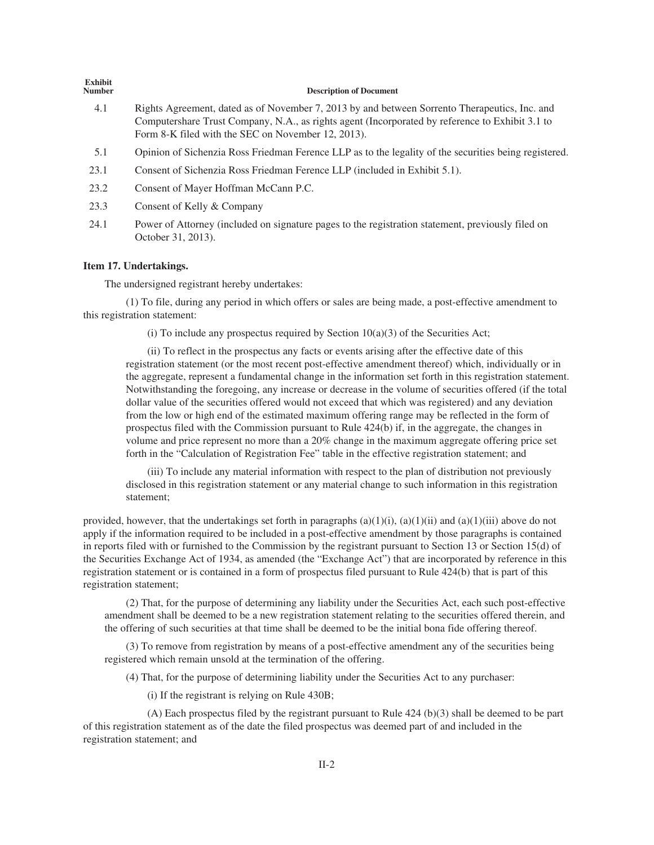| елшин<br><b>Number</b> | <b>Description of Document</b>                                                                                                                                                                                                                         |
|------------------------|--------------------------------------------------------------------------------------------------------------------------------------------------------------------------------------------------------------------------------------------------------|
| 4.1                    | Rights Agreement, dated as of November 7, 2013 by and between Sorrento Therapeutics, Inc. and<br>Computershare Trust Company, N.A., as rights agent (Incorporated by reference to Exhibit 3.1 to<br>Form 8-K filed with the SEC on November 12, 2013). |
| 5.1                    | Opinion of Sichenzia Ross Friedman Ference LLP as to the legality of the securities being registered.                                                                                                                                                  |
| 23.1                   | Consent of Sichenzia Ross Friedman Ference LLP (included in Exhibit 5.1).                                                                                                                                                                              |
| 23.2                   | Consent of Mayer Hoffman McCann P.C.                                                                                                                                                                                                                   |
| 23.3                   | Consent of Kelly & Company                                                                                                                                                                                                                             |
| 24.1                   | Power of Attorney (included on signature pages to the registration statement, previously filed on<br>October 31, 2013).                                                                                                                                |
|                        | $\bf{L}_{\rm{1.3-1.2}}$ , $\bf{1.5}$ , $\bf{1.1}$ , $\bf{1.1}$ , $\bf{1.1}$ , $\bf{1.2}$ , $\bf{1.3}$ , $\bf{1.4}$                                                                                                                                     |

#### **Item 17. Undertakings.**

**Exhibit**

The undersigned registrant hereby undertakes:

(1) To file, during any period in which offers or sales are being made, a post-effective amendment to this registration statement:

(i) To include any prospectus required by Section  $10(a)(3)$  of the Securities Act;

(ii) To reflect in the prospectus any facts or events arising after the effective date of this registration statement (or the most recent post-effective amendment thereof) which, individually or in the aggregate, represent a fundamental change in the information set forth in this registration statement. Notwithstanding the foregoing, any increase or decrease in the volume of securities offered (if the total dollar value of the securities offered would not exceed that which was registered) and any deviation from the low or high end of the estimated maximum offering range may be reflected in the form of prospectus filed with the Commission pursuant to Rule 424(b) if, in the aggregate, the changes in volume and price represent no more than a 20% change in the maximum aggregate offering price set forth in the "Calculation of Registration Fee" table in the effective registration statement; and

(iii) To include any material information with respect to the plan of distribution not previously disclosed in this registration statement or any material change to such information in this registration statement;

provided, however, that the undertakings set forth in paragraphs  $(a)(1)(i)$ ,  $(a)(1)(ii)$  and  $(a)(1)(iii)$  above do not apply if the information required to be included in a post-effective amendment by those paragraphs is contained in reports filed with or furnished to the Commission by the registrant pursuant to Section 13 or Section 15(d) of the Securities Exchange Act of 1934, as amended (the "Exchange Act") that are incorporated by reference in this registration statement or is contained in a form of prospectus filed pursuant to Rule 424(b) that is part of this registration statement;

(2) That, for the purpose of determining any liability under the Securities Act, each such post-effective amendment shall be deemed to be a new registration statement relating to the securities offered therein, and the offering of such securities at that time shall be deemed to be the initial bona fide offering thereof.

(3) To remove from registration by means of a post-effective amendment any of the securities being registered which remain unsold at the termination of the offering.

(4) That, for the purpose of determining liability under the Securities Act to any purchaser:

(i) If the registrant is relying on Rule 430B;

(A) Each prospectus filed by the registrant pursuant to Rule 424 (b)(3) shall be deemed to be part of this registration statement as of the date the filed prospectus was deemed part of and included in the registration statement; and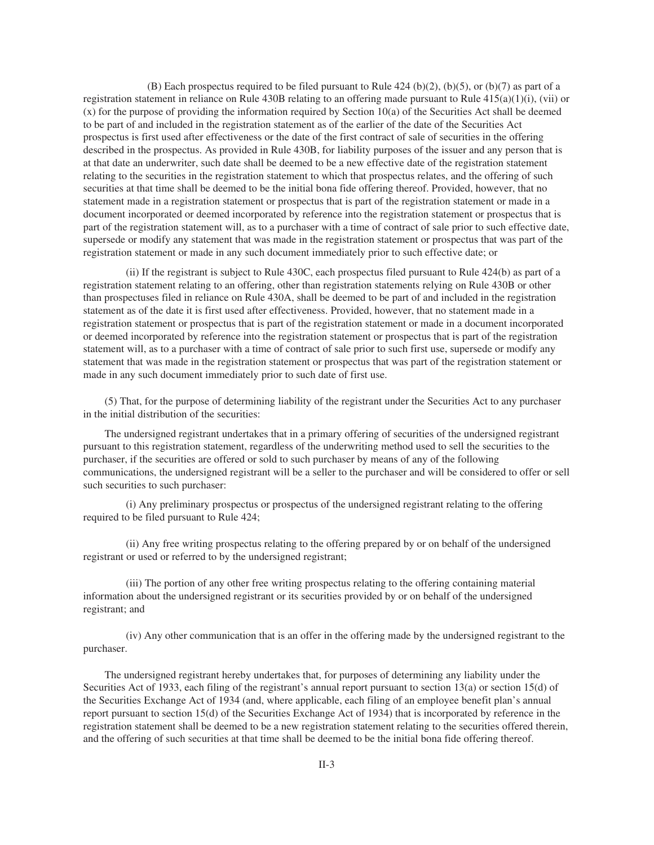(B) Each prospectus required to be filed pursuant to Rule 424 (b)(2), (b)(5), or (b)(7) as part of a registration statement in reliance on Rule 430B relating to an offering made pursuant to Rule  $415(a)(1)(i)$ , (vii) or (x) for the purpose of providing the information required by Section 10(a) of the Securities Act shall be deemed to be part of and included in the registration statement as of the earlier of the date of the Securities Act prospectus is first used after effectiveness or the date of the first contract of sale of securities in the offering described in the prospectus. As provided in Rule 430B, for liability purposes of the issuer and any person that is at that date an underwriter, such date shall be deemed to be a new effective date of the registration statement relating to the securities in the registration statement to which that prospectus relates, and the offering of such securities at that time shall be deemed to be the initial bona fide offering thereof. Provided, however, that no statement made in a registration statement or prospectus that is part of the registration statement or made in a document incorporated or deemed incorporated by reference into the registration statement or prospectus that is part of the registration statement will, as to a purchaser with a time of contract of sale prior to such effective date, supersede or modify any statement that was made in the registration statement or prospectus that was part of the registration statement or made in any such document immediately prior to such effective date; or

(ii) If the registrant is subject to Rule 430C, each prospectus filed pursuant to Rule 424(b) as part of a registration statement relating to an offering, other than registration statements relying on Rule 430B or other than prospectuses filed in reliance on Rule 430A, shall be deemed to be part of and included in the registration statement as of the date it is first used after effectiveness. Provided, however, that no statement made in a registration statement or prospectus that is part of the registration statement or made in a document incorporated or deemed incorporated by reference into the registration statement or prospectus that is part of the registration statement will, as to a purchaser with a time of contract of sale prior to such first use, supersede or modify any statement that was made in the registration statement or prospectus that was part of the registration statement or made in any such document immediately prior to such date of first use.

(5) That, for the purpose of determining liability of the registrant under the Securities Act to any purchaser in the initial distribution of the securities:

The undersigned registrant undertakes that in a primary offering of securities of the undersigned registrant pursuant to this registration statement, regardless of the underwriting method used to sell the securities to the purchaser, if the securities are offered or sold to such purchaser by means of any of the following communications, the undersigned registrant will be a seller to the purchaser and will be considered to offer or sell such securities to such purchaser:

(i) Any preliminary prospectus or prospectus of the undersigned registrant relating to the offering required to be filed pursuant to Rule 424;

(ii) Any free writing prospectus relating to the offering prepared by or on behalf of the undersigned registrant or used or referred to by the undersigned registrant;

(iii) The portion of any other free writing prospectus relating to the offering containing material information about the undersigned registrant or its securities provided by or on behalf of the undersigned registrant; and

(iv) Any other communication that is an offer in the offering made by the undersigned registrant to the purchaser.

The undersigned registrant hereby undertakes that, for purposes of determining any liability under the Securities Act of 1933, each filing of the registrant's annual report pursuant to section 13(a) or section 15(d) of the Securities Exchange Act of 1934 (and, where applicable, each filing of an employee benefit plan's annual report pursuant to section 15(d) of the Securities Exchange Act of 1934) that is incorporated by reference in the registration statement shall be deemed to be a new registration statement relating to the securities offered therein, and the offering of such securities at that time shall be deemed to be the initial bona fide offering thereof.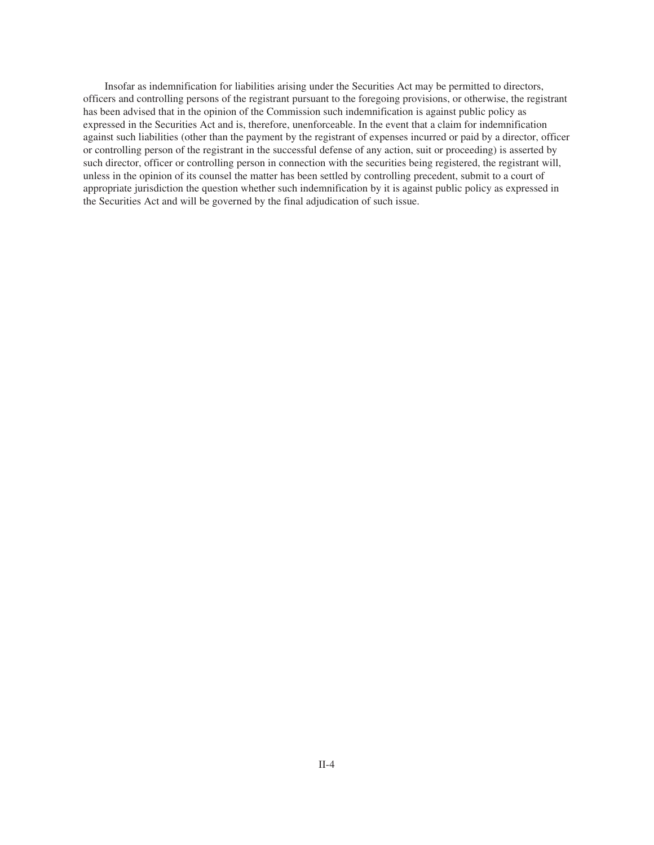Insofar as indemnification for liabilities arising under the Securities Act may be permitted to directors, officers and controlling persons of the registrant pursuant to the foregoing provisions, or otherwise, the registrant has been advised that in the opinion of the Commission such indemnification is against public policy as expressed in the Securities Act and is, therefore, unenforceable. In the event that a claim for indemnification against such liabilities (other than the payment by the registrant of expenses incurred or paid by a director, officer or controlling person of the registrant in the successful defense of any action, suit or proceeding) is asserted by such director, officer or controlling person in connection with the securities being registered, the registrant will, unless in the opinion of its counsel the matter has been settled by controlling precedent, submit to a court of appropriate jurisdiction the question whether such indemnification by it is against public policy as expressed in the Securities Act and will be governed by the final adjudication of such issue.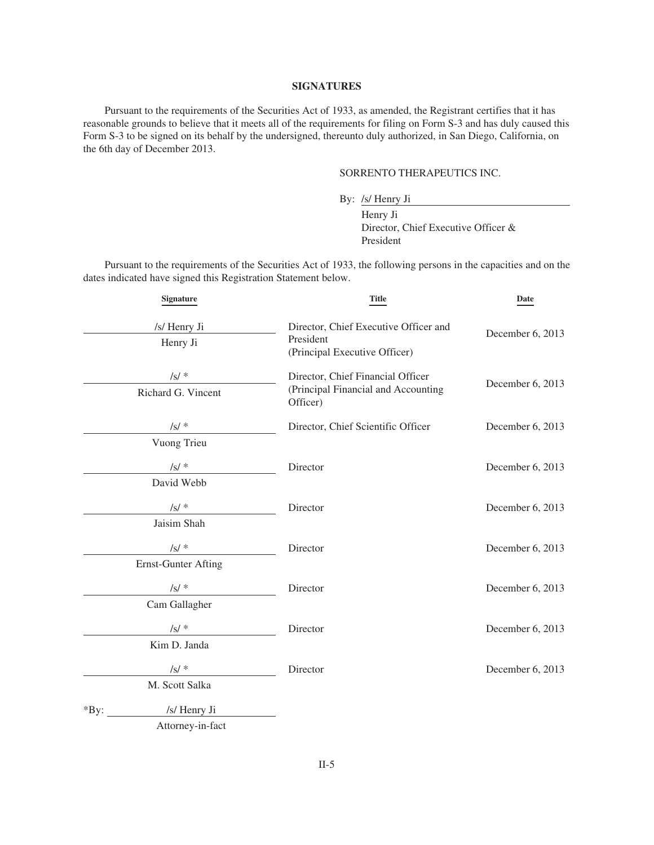#### **SIGNATURES**

Pursuant to the requirements of the Securities Act of 1933, as amended, the Registrant certifies that it has reasonable grounds to believe that it meets all of the requirements for filing on Form S-3 and has duly caused this Form S-3 to be signed on its behalf by the undersigned, thereunto duly authorized, in San Diego, California, on the 6th day of December 2013.

## SORRENTO THERAPEUTICS INC.

By: /s/ Henry Ji

Henry Ji Director, Chief Executive Officer & President

Pursuant to the requirements of the Securities Act of 1933, the following persons in the capacities and on the dates indicated have signed this Registration Statement below.

| Signature                  | <b>Title</b>                                    | Date             |
|----------------------------|-------------------------------------------------|------------------|
| /s/ Henry Ji               | Director, Chief Executive Officer and           | December 6, 2013 |
| Henry Ji                   | President<br>(Principal Executive Officer)      |                  |
| $\sqrt{s}/*$               | Director, Chief Financial Officer               | December 6, 2013 |
| Richard G. Vincent         | (Principal Financial and Accounting<br>Officer) |                  |
| /s/ $*$                    | Director, Chief Scientific Officer              | December 6, 2013 |
| Vuong Trieu                |                                                 |                  |
| $\sqrt{s}/*$               | Director                                        | December 6, 2013 |
| David Webb                 |                                                 |                  |
| $\sqrt{s}/*$               | Director                                        | December 6, 2013 |
| Jaisim Shah                |                                                 |                  |
| $\sqrt{s}$ /*              | Director                                        | December 6, 2013 |
| <b>Ernst-Gunter Afting</b> |                                                 |                  |
| $/s/$ *                    | Director                                        | December 6, 2013 |
| Cam Gallagher              |                                                 |                  |
| $\sqrt{s}/*$               | Director                                        | December 6, 2013 |
| Kim D. Janda               |                                                 |                  |
| $\sqrt{s}/*$               | Director                                        | December 6, 2013 |
| M. Scott Salka             |                                                 |                  |
| /s/ Henry Ji<br>*By:       |                                                 |                  |
| Attorney-in-fact           |                                                 |                  |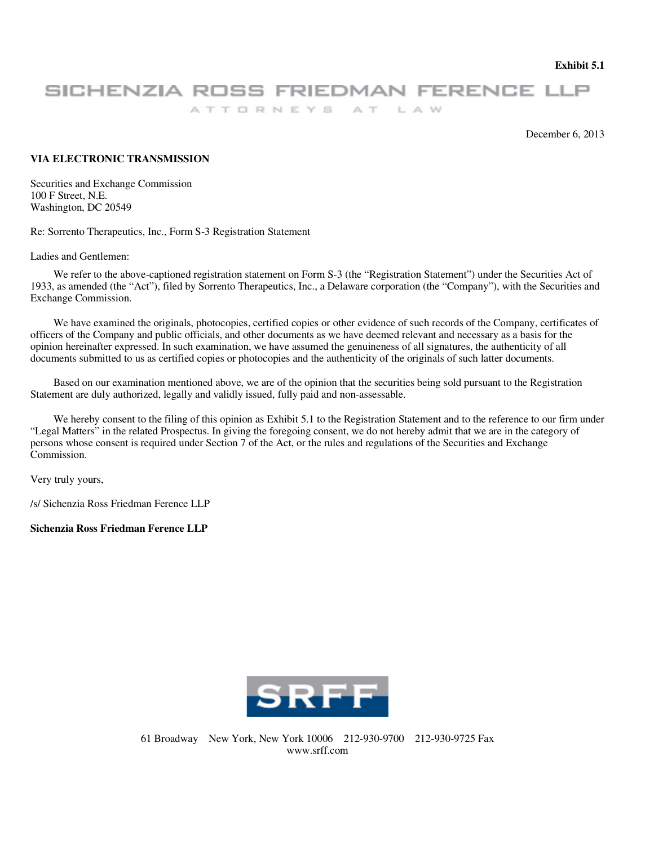**Exhibit 5.1** 

# SICHENZIA ROSS FRIEDMAN FERENCE LLP

ATTORNEYS AT LAW

December 6, 2013

## **VIA ELECTRONIC TRANSMISSION**

Securities and Exchange Commission 100 F Street, N.E. Washington, DC 20549

Re: Sorrento Therapeutics, Inc., Form S-3 Registration Statement

Ladies and Gentlemen:

We refer to the above-captioned registration statement on Form S-3 (the "Registration Statement") under the Securities Act of 1933, as amended (the "Act"), filed by Sorrento Therapeutics, Inc., a Delaware corporation (the "Company"), with the Securities and Exchange Commission.

We have examined the originals, photocopies, certified copies or other evidence of such records of the Company, certificates of officers of the Company and public officials, and other documents as we have deemed relevant and necessary as a basis for the opinion hereinafter expressed. In such examination, we have assumed the genuineness of all signatures, the authenticity of all documents submitted to us as certified copies or photocopies and the authenticity of the originals of such latter documents.

Based on our examination mentioned above, we are of the opinion that the securities being sold pursuant to the Registration Statement are duly authorized, legally and validly issued, fully paid and non-assessable.

We hereby consent to the filing of this opinion as Exhibit 5.1 to the Registration Statement and to the reference to our firm under "Legal Matters" in the related Prospectus. In giving the foregoing consent, we do not hereby admit that we are in the category of persons whose consent is required under Section 7 of the Act, or the rules and regulations of the Securities and Exchange Commission.

Very truly yours,

/s/ Sichenzia Ross Friedman Ference LLP

**Sichenzia Ross Friedman Ference LLP** 

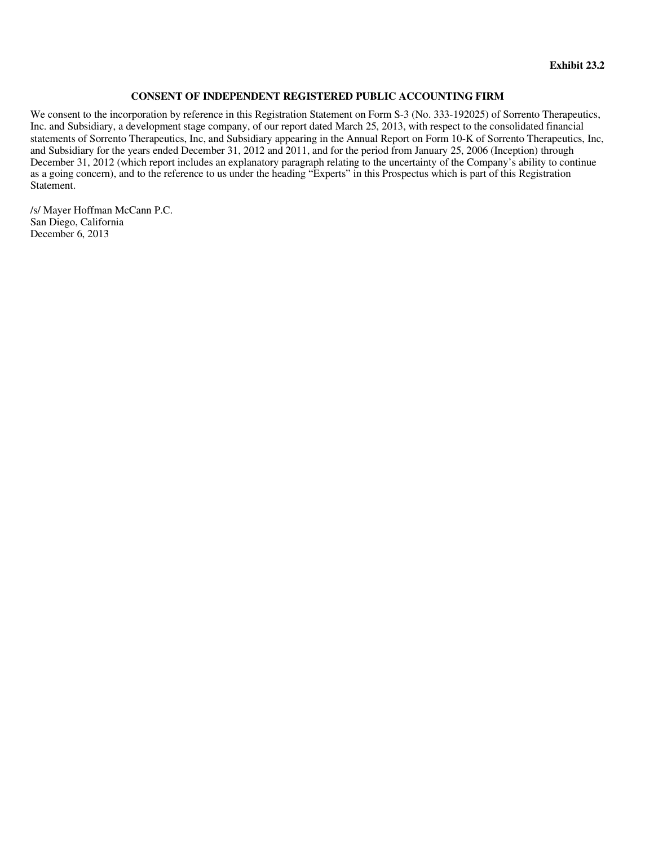## **CONSENT OF INDEPENDENT REGISTERED PUBLIC ACCOUNTING FIRM**

We consent to the incorporation by reference in this Registration Statement on Form S-3 (No. 333-192025) of Sorrento Therapeutics, Inc. and Subsidiary, a development stage company, of our report dated March 25, 2013, with respect to the consolidated financial statements of Sorrento Therapeutics, Inc, and Subsidiary appearing in the Annual Report on Form 10-K of Sorrento Therapeutics, Inc, and Subsidiary for the years ended December 31, 2012 and 2011, and for the period from January 25, 2006 (Inception) through December 31, 2012 (which report includes an explanatory paragraph relating to the uncertainty of the Company's ability to continue as a going concern), and to the reference to us under the heading "Experts" in this Prospectus which is part of this Registration Statement.

/s/ Mayer Hoffman McCann P.C. San Diego, California December 6, 2013